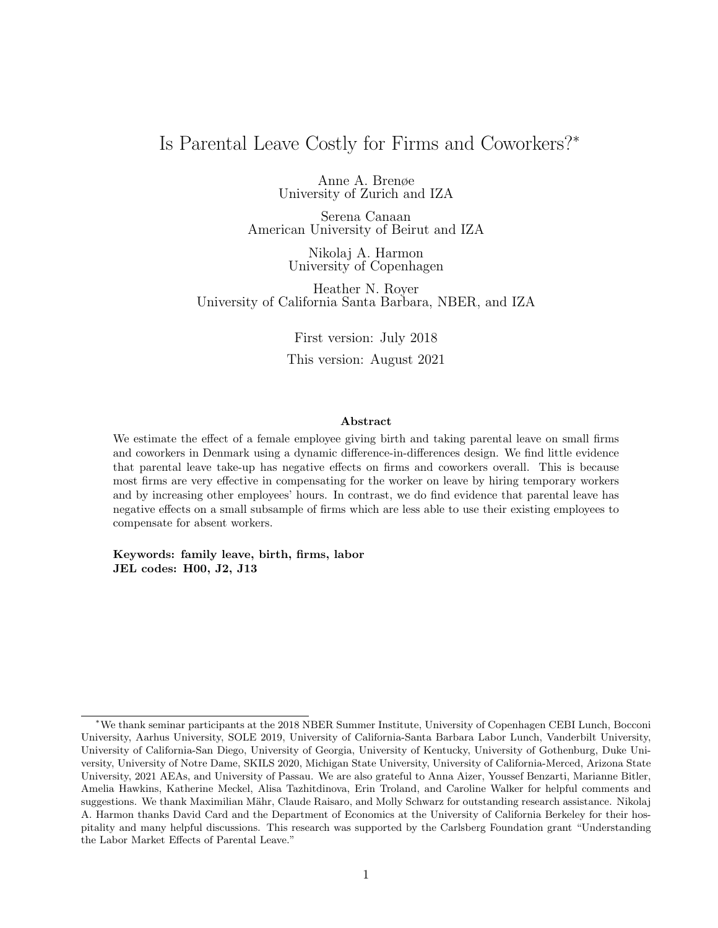# <span id="page-0-0"></span>Is Parental Leave Costly for Firms and Coworkers?<sup>∗</sup>

Anne A. Brenøe University of Zurich and IZA

Serena Canaan American University of Beirut and IZA

> Nikolaj A. Harmon University of Copenhagen

Heather N. Royer University of California Santa Barbara, NBER, and IZA

> First version: July 2018 This version: August 2021

#### Abstract

We estimate the effect of a female employee giving birth and taking parental leave on small firms and coworkers in Denmark using a dynamic difference-in-differences design. We find little evidence that parental leave take-up has negative effects on firms and coworkers overall. This is because most firms are very effective in compensating for the worker on leave by hiring temporary workers and by increasing other employees' hours. In contrast, we do find evidence that parental leave has negative effects on a small subsample of firms which are less able to use their existing employees to compensate for absent workers.

Keywords: family leave, birth, firms, labor JEL codes: H00, J2, J13

<sup>∗</sup>We thank seminar participants at the 2018 NBER Summer Institute, University of Copenhagen CEBI Lunch, Bocconi University, Aarhus University, SOLE 2019, University of California-Santa Barbara Labor Lunch, Vanderbilt University, University of California-San Diego, University of Georgia, University of Kentucky, University of Gothenburg, Duke University, University of Notre Dame, SKILS 2020, Michigan State University, University of California-Merced, Arizona State University, 2021 AEAs, and University of Passau. We are also grateful to Anna Aizer, Youssef Benzarti, Marianne Bitler, Amelia Hawkins, Katherine Meckel, Alisa Tazhitdinova, Erin Troland, and Caroline Walker for helpful comments and suggestions. We thank Maximilian Mähr, Claude Raisaro, and Molly Schwarz for outstanding research assistance. Nikolaj A. Harmon thanks David Card and the Department of Economics at the University of California Berkeley for their hospitality and many helpful discussions. This research was supported by the Carlsberg Foundation grant "Understanding the Labor Market Effects of Parental Leave."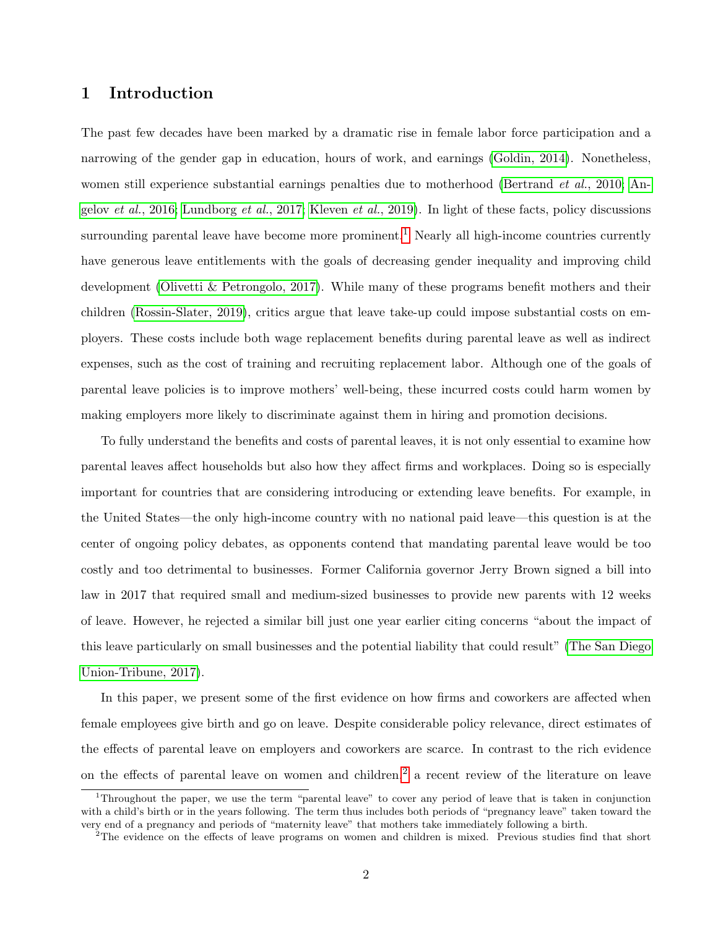## 1 Introduction

The past few decades have been marked by a dramatic rise in female labor force participation and a narrowing of the gender gap in education, hours of work, and earnings [\(Goldin, 2014\)](#page-40-0). Nonetheless, women still experience substantial earnings penalties due to motherhood [\(Bertrand](#page-38-0) *et al.*, 2010; [An-](#page-37-0)gelov et al.[, 2016;](#page-37-0) [Lundborg](#page-41-0) et al., 2017; [Kleven](#page-41-1) et al., 2019). In light of these facts, policy discussions surrounding parental leave have become more prominent.<sup>[1](#page-0-0)</sup> Nearly all high-income countries currently have generous leave entitlements with the goals of decreasing gender inequality and improving child development [\(Olivetti & Petrongolo, 2017\)](#page-41-2). While many of these programs benefit mothers and their children [\(Rossin-Slater, 2019\)](#page-42-0), critics argue that leave take-up could impose substantial costs on employers. These costs include both wage replacement benefits during parental leave as well as indirect expenses, such as the cost of training and recruiting replacement labor. Although one of the goals of parental leave policies is to improve mothers' well-being, these incurred costs could harm women by making employers more likely to discriminate against them in hiring and promotion decisions.

To fully understand the benefits and costs of parental leaves, it is not only essential to examine how parental leaves affect households but also how they affect firms and workplaces. Doing so is especially important for countries that are considering introducing or extending leave benefits. For example, in the United States—the only high-income country with no national paid leave—this question is at the center of ongoing policy debates, as opponents contend that mandating parental leave would be too costly and too detrimental to businesses. Former California governor Jerry Brown signed a bill into law in 2017 that required small and medium-sized businesses to provide new parents with 12 weeks of leave. However, he rejected a similar bill just one year earlier citing concerns "about the impact of this leave particularly on small businesses and the potential liability that could result" [\(The San Diego](#page-42-1) [Union-Tribune, 2017\)](#page-42-1).

In this paper, we present some of the first evidence on how firms and coworkers are affected when female employees give birth and go on leave. Despite considerable policy relevance, direct estimates of the effects of parental leave on employers and coworkers are scarce. In contrast to the rich evidence on the effects of parental leave on women and children,<sup>[2](#page-0-0)</sup> a recent review of the literature on leave

<sup>1</sup>Throughout the paper, we use the term "parental leave" to cover any period of leave that is taken in conjunction with a child's birth or in the years following. The term thus includes both periods of "pregnancy leave" taken toward the very end of a pregnancy and periods of "maternity leave" that mothers take immediately following a birth.

<sup>&</sup>lt;sup>2</sup>The evidence on the effects of leave programs on women and children is mixed. Previous studies find that short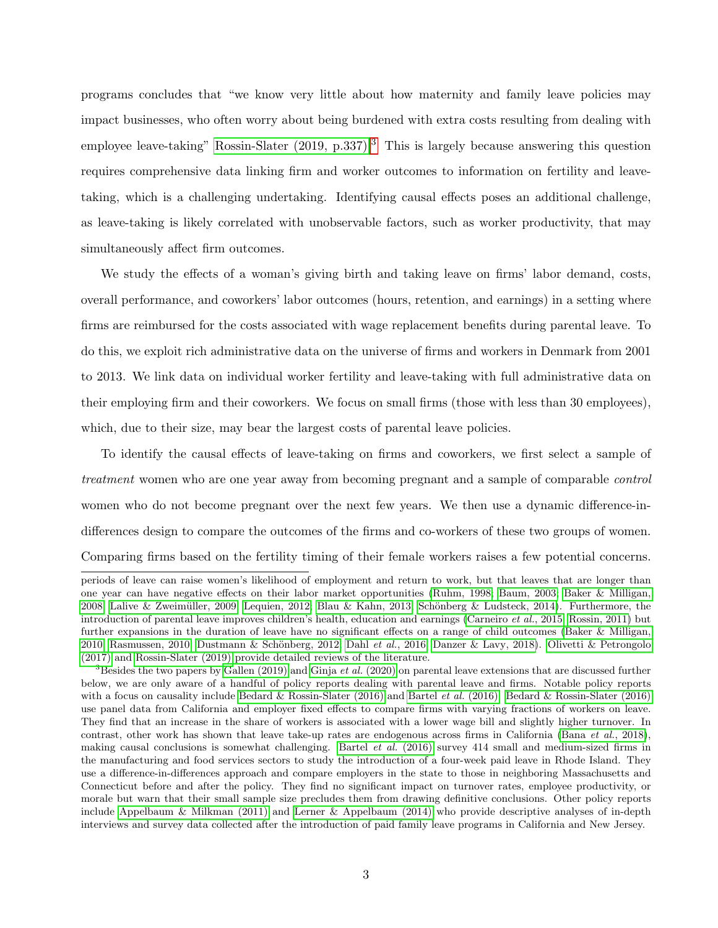programs concludes that "we know very little about how maternity and family leave policies may impact businesses, who often worry about being burdened with extra costs resulting from dealing with employee leave-taking" Rossin-Slater  $(2019, p.337)$  $(2019, p.337)$  $(2019, p.337)$ .<sup>3</sup> This is largely because answering this question requires comprehensive data linking firm and worker outcomes to information on fertility and leavetaking, which is a challenging undertaking. Identifying causal effects poses an additional challenge, as leave-taking is likely correlated with unobservable factors, such as worker productivity, that may simultaneously affect firm outcomes.

We study the effects of a woman's giving birth and taking leave on firms' labor demand, costs, overall performance, and coworkers' labor outcomes (hours, retention, and earnings) in a setting where firms are reimbursed for the costs associated with wage replacement benefits during parental leave. To do this, we exploit rich administrative data on the universe of firms and workers in Denmark from 2001 to 2013. We link data on individual worker fertility and leave-taking with full administrative data on their employing firm and their coworkers. We focus on small firms (those with less than 30 employees), which, due to their size, may bear the largest costs of parental leave policies.

To identify the causal effects of leave-taking on firms and coworkers, we first select a sample of treatment women who are one year away from becoming pregnant and a sample of comparable control women who do not become pregnant over the next few years. We then use a dynamic difference-indifferences design to compare the outcomes of the firms and co-workers of these two groups of women. Comparing firms based on the fertility timing of their female workers raises a few potential concerns.

periods of leave can raise women's likelihood of employment and return to work, but that leaves that are longer than one year can have negative effects on their labor market opportunities [\(Ruhm, 1998;](#page-42-2) [Baum, 2003;](#page-38-1) [Baker & Milligan,](#page-37-1) [2008;](#page-37-1) Lalive & Zweimüller, 2009; [Lequien, 2012;](#page-41-4) [Blau & Kahn, 2013;](#page-38-2) Schönberg & Ludsteck, 2014). Furthermore, the introduction of parental leave improves children's health, education and earnings [\(Carneiro](#page-39-0) *et al.*, 2015; [Rossin, 2011\)](#page-42-4) but further expansions in the duration of leave have no significant effects on a range of child outcomes [\(Baker & Milligan,](#page-37-2) [2010;](#page-37-2) [Rasmussen, 2010;](#page-42-5) Dustmann & Schönberg, 2012; Dahl et al.[, 2016;](#page-39-2) [Danzer & Lavy, 2018\)](#page-39-3). [Olivetti & Petrongolo](#page-41-2) [\(2017\)](#page-41-2) and [Rossin-Slater \(2019\)](#page-42-0) provide detailed reviews of the literature.

 $3$ Besides the two papers by [Gallen \(2019\)](#page-40-1) and Ginja et al. [\(2020\)](#page-40-2) on parental leave extensions that are discussed further below, we are only aware of a handful of policy reports dealing with parental leave and firms. Notable policy reports with a focus on causality include [Bedard & Rossin-Slater \(2016\)](#page-38-3) and Bartel et al. [\(2016\).](#page-38-4) Bedard & Rossin-Slater (2016) use panel data from California and employer fixed effects to compare firms with varying fractions of workers on leave. They find that an increase in the share of workers is associated with a lower wage bill and slightly higher turnover. In contrast, other work has shown that leave take-up rates are endogenous across firms in California (Bana et al.[, 2018\)](#page-38-5), making causal conclusions is somewhat challenging. Bartel et al. [\(2016\)](#page-38-4) survey 414 small and medium-sized firms in the manufacturing and food services sectors to study the introduction of a four-week paid leave in Rhode Island. They use a difference-in-differences approach and compare employers in the state to those in neighboring Massachusetts and Connecticut before and after the policy. They find no significant impact on turnover rates, employee productivity, or morale but warn that their small sample size precludes them from drawing definitive conclusions. Other policy reports include [Appelbaum & Milkman \(2011\)](#page-37-3) and [Lerner & Appelbaum \(2014\)](#page-41-5) who provide descriptive analyses of in-depth interviews and survey data collected after the introduction of paid family leave programs in California and New Jersey.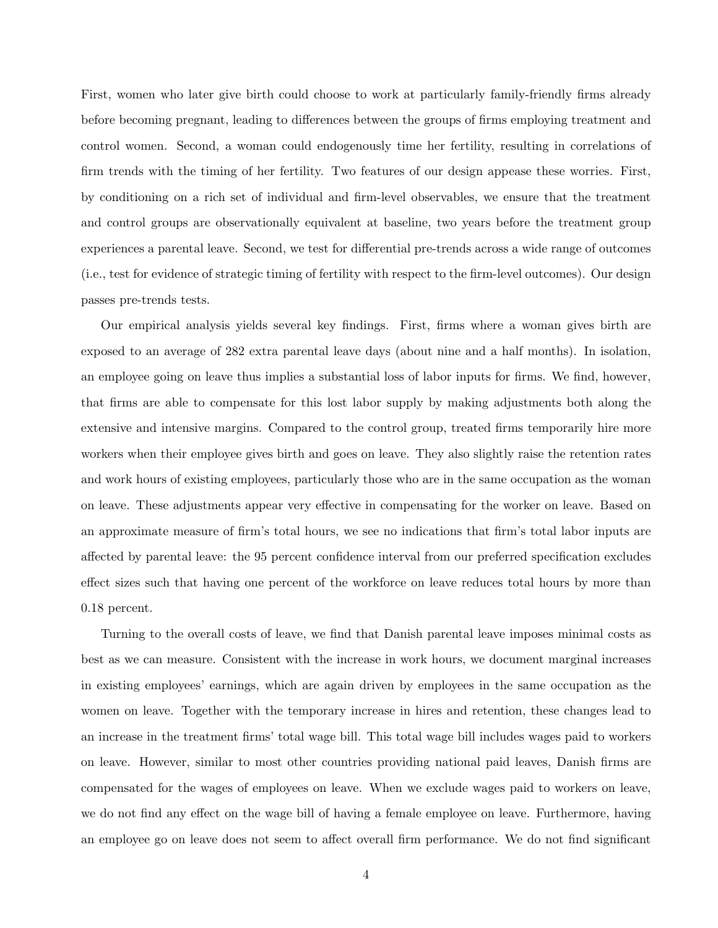First, women who later give birth could choose to work at particularly family-friendly firms already before becoming pregnant, leading to differences between the groups of firms employing treatment and control women. Second, a woman could endogenously time her fertility, resulting in correlations of firm trends with the timing of her fertility. Two features of our design appease these worries. First, by conditioning on a rich set of individual and firm-level observables, we ensure that the treatment and control groups are observationally equivalent at baseline, two years before the treatment group experiences a parental leave. Second, we test for differential pre-trends across a wide range of outcomes (i.e., test for evidence of strategic timing of fertility with respect to the firm-level outcomes). Our design passes pre-trends tests.

Our empirical analysis yields several key findings. First, firms where a woman gives birth are exposed to an average of 282 extra parental leave days (about nine and a half months). In isolation, an employee going on leave thus implies a substantial loss of labor inputs for firms. We find, however, that firms are able to compensate for this lost labor supply by making adjustments both along the extensive and intensive margins. Compared to the control group, treated firms temporarily hire more workers when their employee gives birth and goes on leave. They also slightly raise the retention rates and work hours of existing employees, particularly those who are in the same occupation as the woman on leave. These adjustments appear very effective in compensating for the worker on leave. Based on an approximate measure of firm's total hours, we see no indications that firm's total labor inputs are affected by parental leave: the 95 percent confidence interval from our preferred specification excludes effect sizes such that having one percent of the workforce on leave reduces total hours by more than 0.18 percent.

Turning to the overall costs of leave, we find that Danish parental leave imposes minimal costs as best as we can measure. Consistent with the increase in work hours, we document marginal increases in existing employees' earnings, which are again driven by employees in the same occupation as the women on leave. Together with the temporary increase in hires and retention, these changes lead to an increase in the treatment firms' total wage bill. This total wage bill includes wages paid to workers on leave. However, similar to most other countries providing national paid leaves, Danish firms are compensated for the wages of employees on leave. When we exclude wages paid to workers on leave, we do not find any effect on the wage bill of having a female employee on leave. Furthermore, having an employee go on leave does not seem to affect overall firm performance. We do not find significant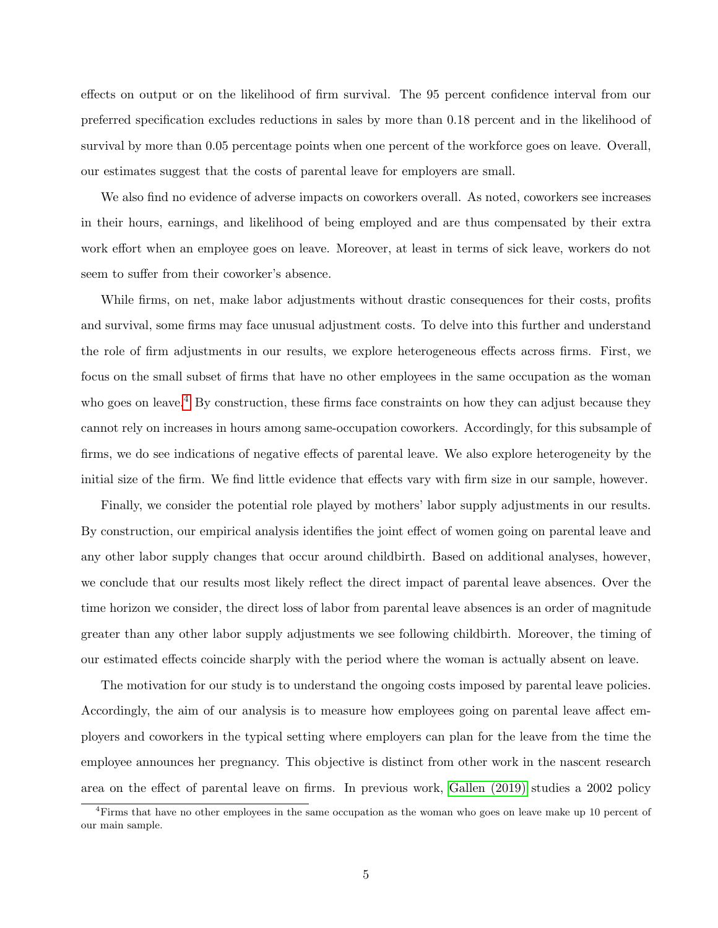effects on output or on the likelihood of firm survival. The 95 percent confidence interval from our preferred specification excludes reductions in sales by more than 0.18 percent and in the likelihood of survival by more than 0.05 percentage points when one percent of the workforce goes on leave. Overall, our estimates suggest that the costs of parental leave for employers are small.

We also find no evidence of adverse impacts on coworkers overall. As noted, coworkers see increases in their hours, earnings, and likelihood of being employed and are thus compensated by their extra work effort when an employee goes on leave. Moreover, at least in terms of sick leave, workers do not seem to suffer from their coworker's absence.

While firms, on net, make labor adjustments without drastic consequences for their costs, profits and survival, some firms may face unusual adjustment costs. To delve into this further and understand the role of firm adjustments in our results, we explore heterogeneous effects across firms. First, we focus on the small subset of firms that have no other employees in the same occupation as the woman who goes on leave.<sup>[4](#page-0-0)</sup> By construction, these firms face constraints on how they can adjust because they cannot rely on increases in hours among same-occupation coworkers. Accordingly, for this subsample of firms, we do see indications of negative effects of parental leave. We also explore heterogeneity by the initial size of the firm. We find little evidence that effects vary with firm size in our sample, however.

Finally, we consider the potential role played by mothers' labor supply adjustments in our results. By construction, our empirical analysis identifies the joint effect of women going on parental leave and any other labor supply changes that occur around childbirth. Based on additional analyses, however, we conclude that our results most likely reflect the direct impact of parental leave absences. Over the time horizon we consider, the direct loss of labor from parental leave absences is an order of magnitude greater than any other labor supply adjustments we see following childbirth. Moreover, the timing of our estimated effects coincide sharply with the period where the woman is actually absent on leave.

The motivation for our study is to understand the ongoing costs imposed by parental leave policies. Accordingly, the aim of our analysis is to measure how employees going on parental leave affect employers and coworkers in the typical setting where employers can plan for the leave from the time the employee announces her pregnancy. This objective is distinct from other work in the nascent research area on the effect of parental leave on firms. In previous work, [Gallen \(2019\)](#page-40-1) studies a 2002 policy

<sup>4</sup>Firms that have no other employees in the same occupation as the woman who goes on leave make up 10 percent of our main sample.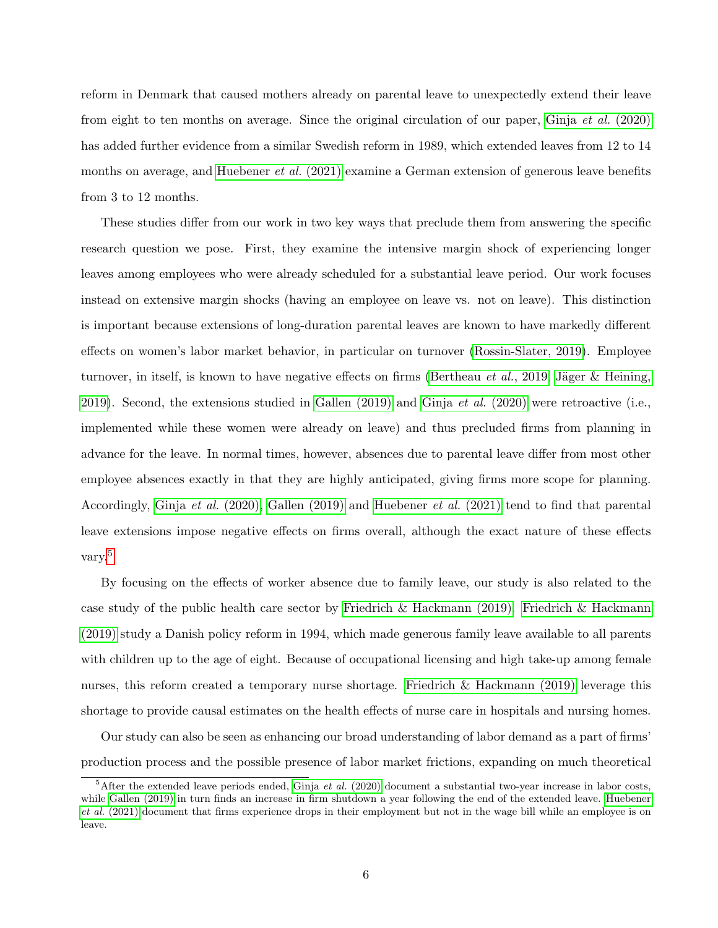reform in Denmark that caused mothers already on parental leave to unexpectedly extend their leave from eight to ten months on average. Since the original circulation of our paper, Ginja et al. [\(2020\)](#page-40-2) has added further evidence from a similar Swedish reform in 1989, which extended leaves from 12 to 14 months on average, and [Huebener](#page-40-3) *et al.*  $(2021)$  examine a German extension of generous leave benefits from 3 to 12 months.

These studies differ from our work in two key ways that preclude them from answering the specific research question we pose. First, they examine the intensive margin shock of experiencing longer leaves among employees who were already scheduled for a substantial leave period. Our work focuses instead on extensive margin shocks (having an employee on leave vs. not on leave). This distinction is important because extensions of long-duration parental leaves are known to have markedly different effects on women's labor market behavior, in particular on turnover [\(Rossin-Slater, 2019\)](#page-42-0). Employee turnover, in itself, is known to have negative effects on firms [\(Bertheau](#page-38-6) *et al.*, 2019; Jäger & Heining, [2019\)](#page-40-4). Second, the extensions studied in [Gallen \(2019\)](#page-40-1) and Ginja *et al.* [\(2020\)](#page-40-2) were retroactive (i.e., implemented while these women were already on leave) and thus precluded firms from planning in advance for the leave. In normal times, however, absences due to parental leave differ from most other employee absences exactly in that they are highly anticipated, giving firms more scope for planning. Accordingly, Ginja et al. [\(2020\),](#page-40-2) [Gallen \(2019\)](#page-40-1) and [Huebener](#page-40-3) et al. (2021) tend to find that parental leave extensions impose negative effects on firms overall, although the exact nature of these effects vary.[5](#page-0-0)

By focusing on the effects of worker absence due to family leave, our study is also related to the case study of the public health care sector by [Friedrich & Hackmann \(2019\). Friedrich & Hackmann](#page-39-4) [\(2019\)](#page-39-4) study a Danish policy reform in 1994, which made generous family leave available to all parents with children up to the age of eight. Because of occupational licensing and high take-up among female nurses, this reform created a temporary nurse shortage. [Friedrich & Hackmann \(2019\)](#page-39-4) leverage this shortage to provide causal estimates on the health effects of nurse care in hospitals and nursing homes.

Our study can also be seen as enhancing our broad understanding of labor demand as a part of firms' production process and the possible presence of labor market frictions, expanding on much theoretical

 ${}^{5}$ After the extended leave periods ended, Ginja *et al.* [\(2020\)](#page-40-2) document a substantial two-year increase in labor costs, while [Gallen \(2019\)](#page-40-1) in turn finds an increase in firm shutdown a year following the end of the extended leave. [Huebener](#page-40-3) et al. [\(2021\)](#page-40-3) document that firms experience drops in their employment but not in the wage bill while an employee is on leave.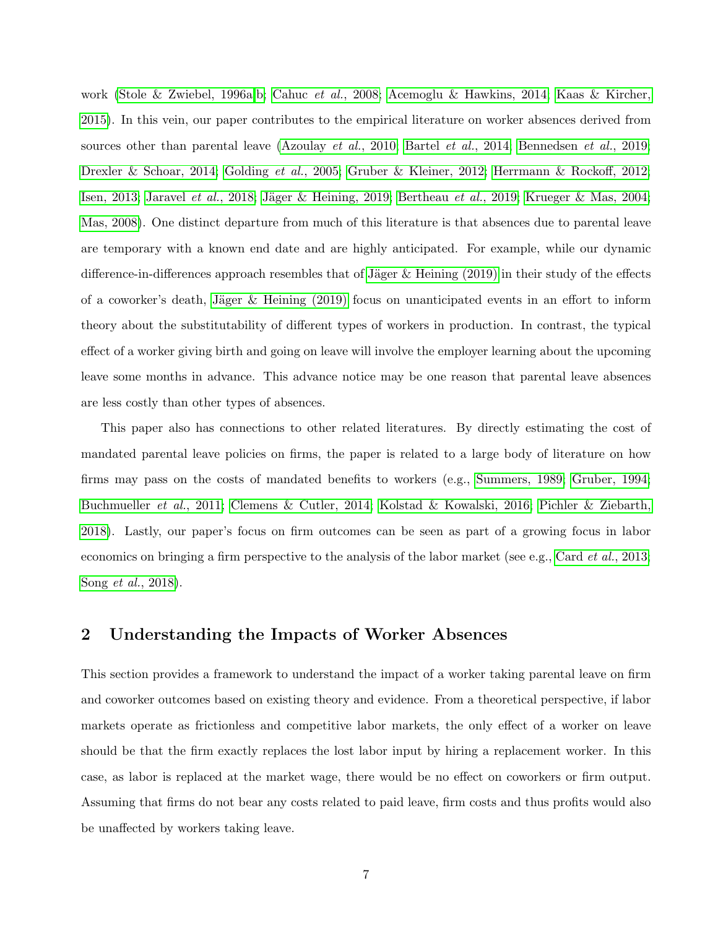work [\(Stole & Zwiebel, 1996a,](#page-42-6)[b;](#page-42-7) Cahuc et al.[, 2008;](#page-39-5) [Acemoglu & Hawkins, 2014;](#page-37-4) [Kaas & Kircher,](#page-41-6) [2015\)](#page-41-6). In this vein, our paper contributes to the empirical literature on worker absences derived from sources other than parental leave [\(Azoulay](#page-37-5) *et al.*, 2010; [Bartel](#page-38-7) *et al.*, 2014; [Bennedsen](#page-38-8) *et al.*, 2019; [Drexler & Schoar, 2014;](#page-39-6) [Golding](#page-40-5) et al., 2005; [Gruber & Kleiner, 2012;](#page-40-6) [Herrmann & Rockoff, 2012;](#page-40-7) [Isen, 2013;](#page-40-8) [Jaravel](#page-40-9) et al., 2018; Jäger & Heining, 2019; [Bertheau](#page-38-6) et al., 2019; [Krueger & Mas, 2004;](#page-41-7) [Mas, 2008\)](#page-41-8). One distinct departure from much of this literature is that absences due to parental leave are temporary with a known end date and are highly anticipated. For example, while our dynamic difference-in-differences approach resembles that of Jäger & Heining (2019) in their study of the effects of a coworker's death, Jäger & Heining  $(2019)$  focus on unanticipated events in an effort to inform theory about the substitutability of different types of workers in production. In contrast, the typical effect of a worker giving birth and going on leave will involve the employer learning about the upcoming leave some months in advance. This advance notice may be one reason that parental leave absences are less costly than other types of absences.

This paper also has connections to other related literatures. By directly estimating the cost of mandated parental leave policies on firms, the paper is related to a large body of literature on how firms may pass on the costs of mandated benefits to workers (e.g., [Summers, 1989;](#page-42-8) [Gruber, 1994;](#page-40-10) [Buchmueller](#page-38-9) et al., 2011; [Clemens & Cutler, 2014;](#page-39-7) [Kolstad & Kowalski, 2016;](#page-41-9) [Pichler & Ziebarth,](#page-42-9) [2018\)](#page-42-9). Lastly, our paper's focus on firm outcomes can be seen as part of a growing focus in labor economics on bringing a firm perspective to the analysis of the labor market (see e.g., Card *et al.*[, 2013;](#page-39-8) Song et al.[, 2018\)](#page-42-10).

## <span id="page-6-0"></span>2 Understanding the Impacts of Worker Absences

This section provides a framework to understand the impact of a worker taking parental leave on firm and coworker outcomes based on existing theory and evidence. From a theoretical perspective, if labor markets operate as frictionless and competitive labor markets, the only effect of a worker on leave should be that the firm exactly replaces the lost labor input by hiring a replacement worker. In this case, as labor is replaced at the market wage, there would be no effect on coworkers or firm output. Assuming that firms do not bear any costs related to paid leave, firm costs and thus profits would also be unaffected by workers taking leave.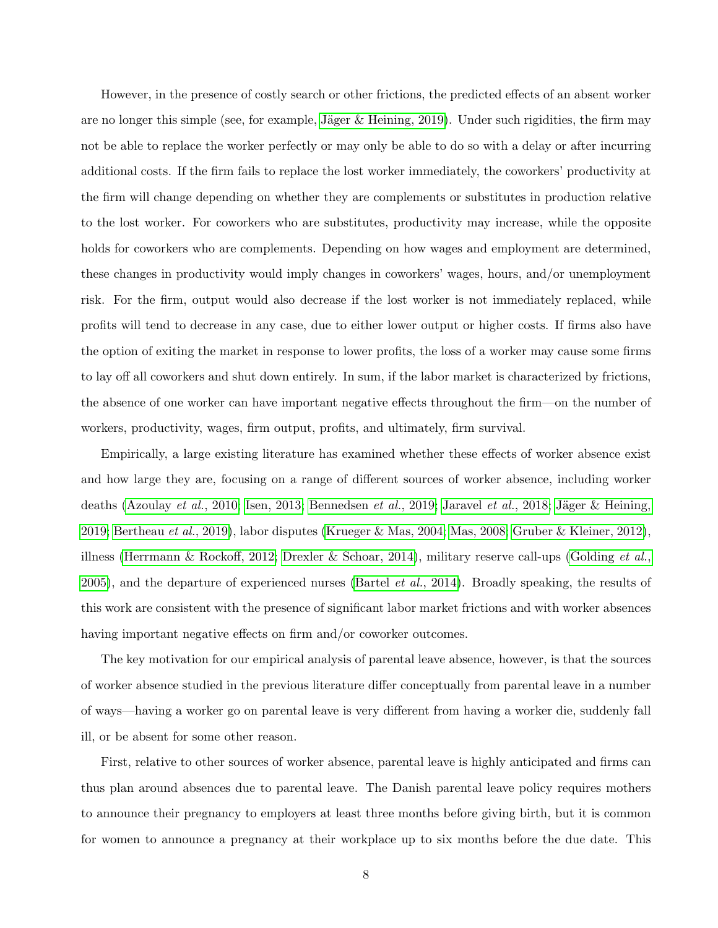However, in the presence of costly search or other frictions, the predicted effects of an absent worker are no longer this simple (see, for example, Jäger  $&$  Heining, 2019). Under such rigidities, the firm may not be able to replace the worker perfectly or may only be able to do so with a delay or after incurring additional costs. If the firm fails to replace the lost worker immediately, the coworkers' productivity at the firm will change depending on whether they are complements or substitutes in production relative to the lost worker. For coworkers who are substitutes, productivity may increase, while the opposite holds for coworkers who are complements. Depending on how wages and employment are determined, these changes in productivity would imply changes in coworkers' wages, hours, and/or unemployment risk. For the firm, output would also decrease if the lost worker is not immediately replaced, while profits will tend to decrease in any case, due to either lower output or higher costs. If firms also have the option of exiting the market in response to lower profits, the loss of a worker may cause some firms to lay off all coworkers and shut down entirely. In sum, if the labor market is characterized by frictions, the absence of one worker can have important negative effects throughout the firm—on the number of workers, productivity, wages, firm output, profits, and ultimately, firm survival.

Empirically, a large existing literature has examined whether these effects of worker absence exist and how large they are, focusing on a range of different sources of worker absence, including worker deaths [\(Azoulay](#page-37-5) et al., 2010; [Isen, 2013;](#page-40-8) [Bennedsen](#page-38-8) et al., 2019; [Jaravel](#page-40-9) et al., 2018; Jäger & Heining, [2019;](#page-40-4) [Bertheau](#page-38-6) et al., 2019), labor disputes [\(Krueger & Mas, 2004;](#page-41-7) [Mas, 2008;](#page-41-8) [Gruber & Kleiner, 2012\)](#page-40-6), illness [\(Herrmann & Rockoff, 2012;](#page-40-7) [Drexler & Schoar, 2014\)](#page-39-6), military reserve call-ups [\(Golding](#page-40-5) *et al.*, [2005\)](#page-40-5), and the departure of experienced nurses [\(Bartel](#page-38-7) et al., 2014). Broadly speaking, the results of this work are consistent with the presence of significant labor market frictions and with worker absences having important negative effects on firm and/or coworker outcomes.

The key motivation for our empirical analysis of parental leave absence, however, is that the sources of worker absence studied in the previous literature differ conceptually from parental leave in a number of ways—having a worker go on parental leave is very different from having a worker die, suddenly fall ill, or be absent for some other reason.

First, relative to other sources of worker absence, parental leave is highly anticipated and firms can thus plan around absences due to parental leave. The Danish parental leave policy requires mothers to announce their pregnancy to employers at least three months before giving birth, but it is common for women to announce a pregnancy at their workplace up to six months before the due date. This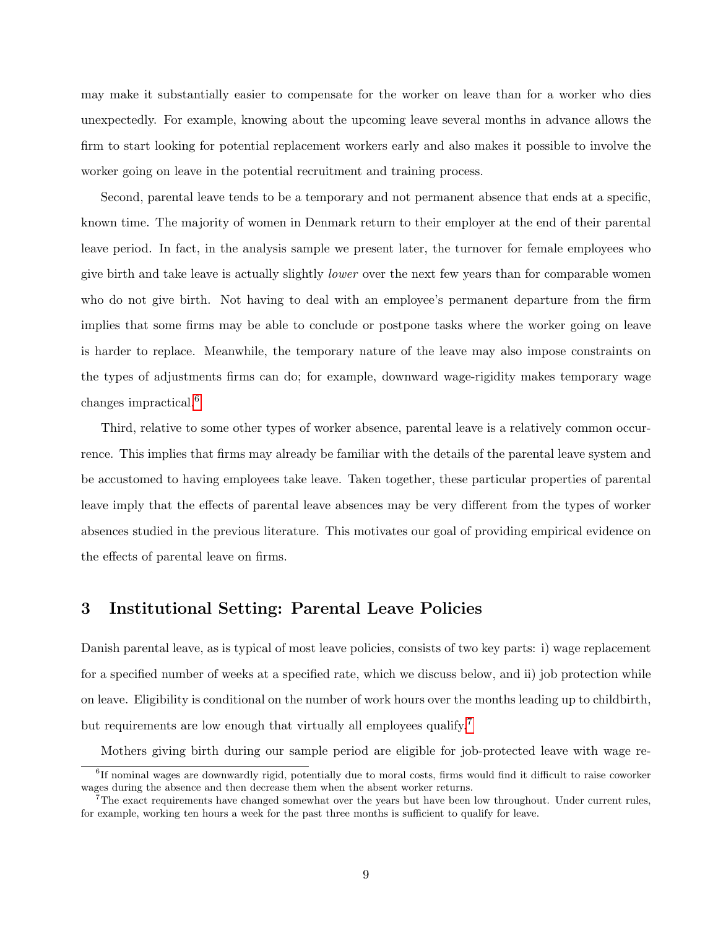may make it substantially easier to compensate for the worker on leave than for a worker who dies unexpectedly. For example, knowing about the upcoming leave several months in advance allows the firm to start looking for potential replacement workers early and also makes it possible to involve the worker going on leave in the potential recruitment and training process.

Second, parental leave tends to be a temporary and not permanent absence that ends at a specific, known time. The majority of women in Denmark return to their employer at the end of their parental leave period. In fact, in the analysis sample we present later, the turnover for female employees who give birth and take leave is actually slightly lower over the next few years than for comparable women who do not give birth. Not having to deal with an employee's permanent departure from the firm implies that some firms may be able to conclude or postpone tasks where the worker going on leave is harder to replace. Meanwhile, the temporary nature of the leave may also impose constraints on the types of adjustments firms can do; for example, downward wage-rigidity makes temporary wage changes impractical.<sup>[6](#page-0-0)</sup>

Third, relative to some other types of worker absence, parental leave is a relatively common occurrence. This implies that firms may already be familiar with the details of the parental leave system and be accustomed to having employees take leave. Taken together, these particular properties of parental leave imply that the effects of parental leave absences may be very different from the types of worker absences studied in the previous literature. This motivates our goal of providing empirical evidence on the effects of parental leave on firms.

## <span id="page-8-0"></span>3 Institutional Setting: Parental Leave Policies

Danish parental leave, as is typical of most leave policies, consists of two key parts: i) wage replacement for a specified number of weeks at a specified rate, which we discuss below, and ii) job protection while on leave. Eligibility is conditional on the number of work hours over the months leading up to childbirth, but requirements are low enough that virtually all employees qualify.<sup>[7](#page-0-0)</sup>

Mothers giving birth during our sample period are eligible for job-protected leave with wage re-

<sup>&</sup>lt;sup>6</sup>If nominal wages are downwardly rigid, potentially due to moral costs, firms would find it difficult to raise coworker wages during the absence and then decrease them when the absent worker returns.

 $7$ The exact requirements have changed somewhat over the years but have been low throughout. Under current rules, for example, working ten hours a week for the past three months is sufficient to qualify for leave.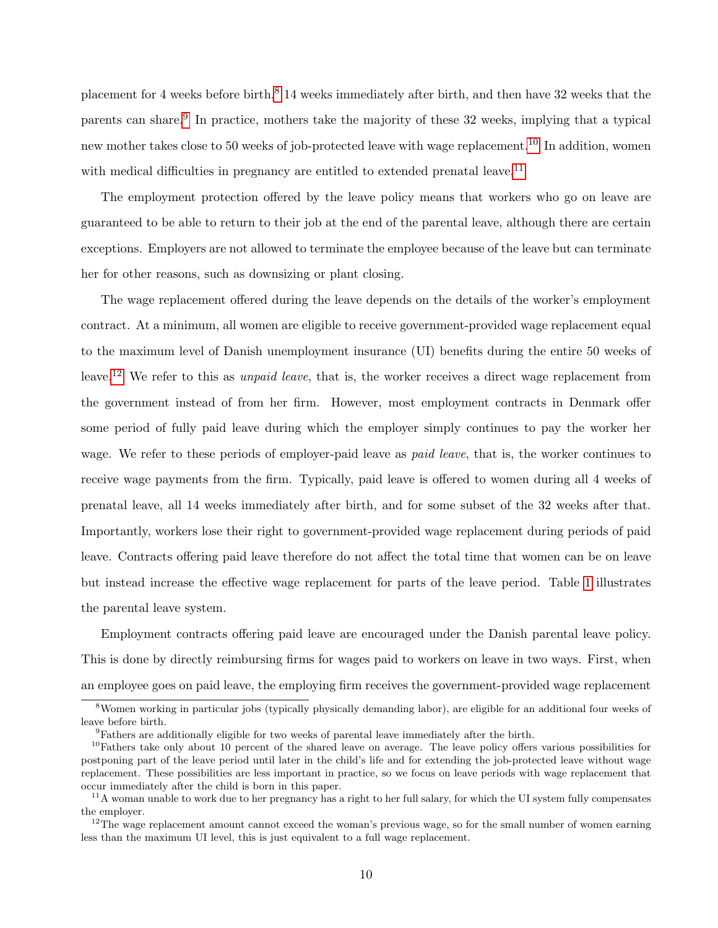placement for 4 weeks before birth,<sup>[8](#page-0-0)</sup> 14 weeks immediately after birth, and then have 32 weeks that the parents can share.<sup>[9](#page-0-0)</sup> In practice, mothers take the majority of these 32 weeks, implying that a typical new mother takes close to 50 weeks of job-protected leave with wage replacement.<sup>[10](#page-0-0)</sup> In addition, women with medical difficulties in pregnancy are entitled to extended prenatal leave.<sup>[11](#page-0-0)</sup>

The employment protection offered by the leave policy means that workers who go on leave are guaranteed to be able to return to their job at the end of the parental leave, although there are certain exceptions. Employers are not allowed to terminate the employee because of the leave but can terminate her for other reasons, such as downsizing or plant closing.

The wage replacement offered during the leave depends on the details of the worker's employment contract. At a minimum, all women are eligible to receive government-provided wage replacement equal to the maximum level of Danish unemployment insurance (UI) benefits during the entire 50 weeks of leave.<sup>[12](#page-0-0)</sup> We refer to this as *unpaid leave*, that is, the worker receives a direct wage replacement from the government instead of from her firm. However, most employment contracts in Denmark offer some period of fully paid leave during which the employer simply continues to pay the worker her wage. We refer to these periods of employer-paid leave as *paid leave*, that is, the worker continues to receive wage payments from the firm. Typically, paid leave is offered to women during all 4 weeks of prenatal leave, all 14 weeks immediately after birth, and for some subset of the 32 weeks after that. Importantly, workers lose their right to government-provided wage replacement during periods of paid leave. Contracts offering paid leave therefore do not affect the total time that women can be on leave but instead increase the effective wage replacement for parts of the leave period. Table [1](#page-49-0) illustrates the parental leave system.

Employment contracts offering paid leave are encouraged under the Danish parental leave policy. This is done by directly reimbursing firms for wages paid to workers on leave in two ways. First, when an employee goes on paid leave, the employing firm receives the government-provided wage replacement

<sup>8</sup>Women working in particular jobs (typically physically demanding labor), are eligible for an additional four weeks of leave before birth.

<sup>9</sup>Fathers are additionally eligible for two weeks of parental leave immediately after the birth.

 $10$ Fathers take only about 10 percent of the shared leave on average. The leave policy offers various possibilities for postponing part of the leave period until later in the child's life and for extending the job-protected leave without wage replacement. These possibilities are less important in practice, so we focus on leave periods with wage replacement that occur immediately after the child is born in this paper.

<sup>&</sup>lt;sup>11</sup>A woman unable to work due to her pregnancy has a right to her full salary, for which the UI system fully compensates the employer.

 $12$ The wage replacement amount cannot exceed the woman's previous wage, so for the small number of women earning less than the maximum UI level, this is just equivalent to a full wage replacement.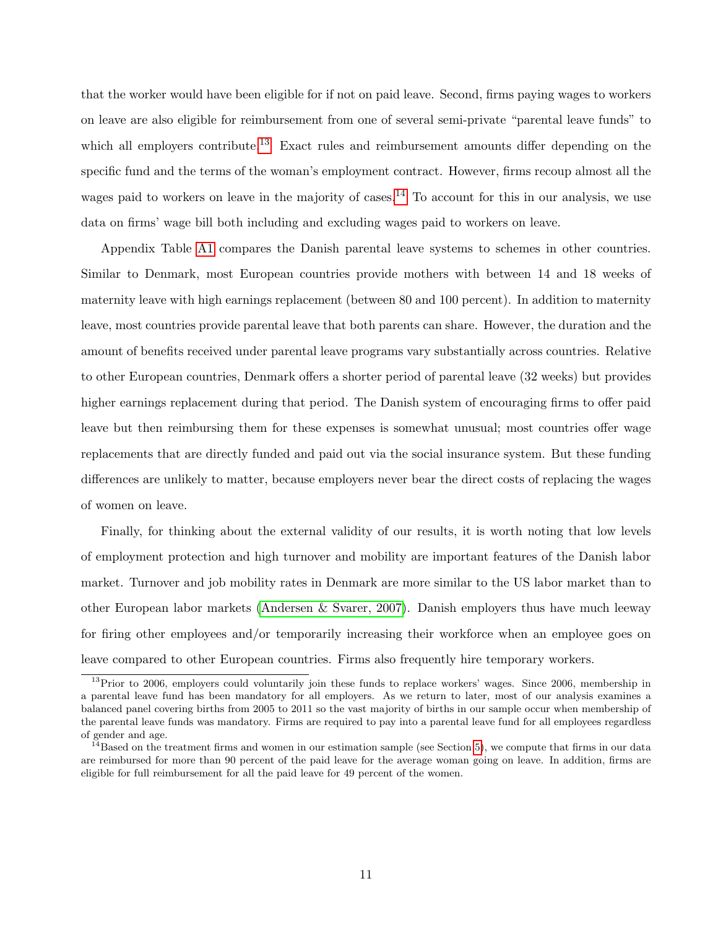that the worker would have been eligible for if not on paid leave. Second, firms paying wages to workers on leave are also eligible for reimbursement from one of several semi-private "parental leave funds" to which all employers contribute.<sup>[13](#page-0-0)</sup> Exact rules and reimbursement amounts differ depending on the specific fund and the terms of the woman's employment contract. However, firms recoup almost all the wages paid to workers on leave in the majority of cases.<sup>[14](#page-0-0)</sup> To account for this in our analysis, we use data on firms' wage bill both including and excluding wages paid to workers on leave.

Appendix Table [A1](#page-59-0) compares the Danish parental leave systems to schemes in other countries. Similar to Denmark, most European countries provide mothers with between 14 and 18 weeks of maternity leave with high earnings replacement (between 80 and 100 percent). In addition to maternity leave, most countries provide parental leave that both parents can share. However, the duration and the amount of benefits received under parental leave programs vary substantially across countries. Relative to other European countries, Denmark offers a shorter period of parental leave (32 weeks) but provides higher earnings replacement during that period. The Danish system of encouraging firms to offer paid leave but then reimbursing them for these expenses is somewhat unusual; most countries offer wage replacements that are directly funded and paid out via the social insurance system. But these funding differences are unlikely to matter, because employers never bear the direct costs of replacing the wages of women on leave.

Finally, for thinking about the external validity of our results, it is worth noting that low levels of employment protection and high turnover and mobility are important features of the Danish labor market. Turnover and job mobility rates in Denmark are more similar to the US labor market than to other European labor markets [\(Andersen & Svarer, 2007\)](#page-37-6). Danish employers thus have much leeway for firing other employees and/or temporarily increasing their workforce when an employee goes on leave compared to other European countries. Firms also frequently hire temporary workers.

 $13$ Prior to 2006, employers could voluntarily join these funds to replace workers' wages. Since 2006, membership in a parental leave fund has been mandatory for all employers. As we return to later, most of our analysis examines a balanced panel covering births from 2005 to 2011 so the vast majority of births in our sample occur when membership of the parental leave funds was mandatory. Firms are required to pay into a parental leave fund for all employees regardless of gender and age.

 $14$ Based on the treatment firms and women in our estimation sample (see Section [5\)](#page-14-0), we compute that firms in our data are reimbursed for more than 90 percent of the paid leave for the average woman going on leave. In addition, firms are eligible for full reimbursement for all the paid leave for 49 percent of the women.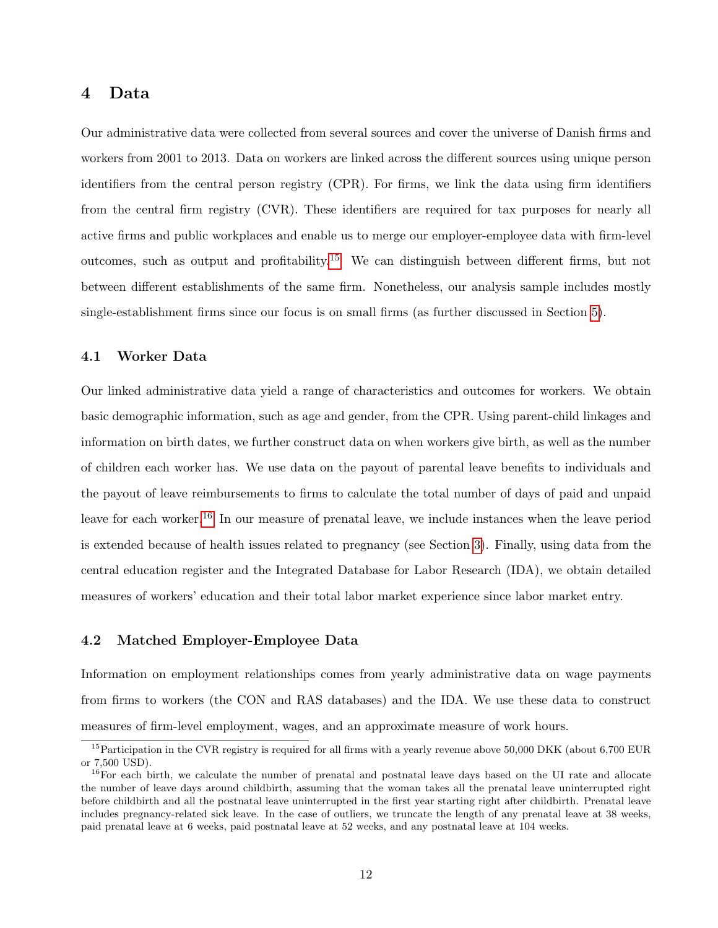## <span id="page-11-0"></span>4 Data

Our administrative data were collected from several sources and cover the universe of Danish firms and workers from 2001 to 2013. Data on workers are linked across the different sources using unique person identifiers from the central person registry (CPR). For firms, we link the data using firm identifiers from the central firm registry (CVR). These identifiers are required for tax purposes for nearly all active firms and public workplaces and enable us to merge our employer-employee data with firm-level outcomes, such as output and profitability.<sup>[15](#page-0-0)</sup> We can distinguish between different firms, but not between different establishments of the same firm. Nonetheless, our analysis sample includes mostly single-establishment firms since our focus is on small firms (as further discussed in Section [5\)](#page-14-0).

## 4.1 Worker Data

Our linked administrative data yield a range of characteristics and outcomes for workers. We obtain basic demographic information, such as age and gender, from the CPR. Using parent-child linkages and information on birth dates, we further construct data on when workers give birth, as well as the number of children each worker has. We use data on the payout of parental leave benefits to individuals and the payout of leave reimbursements to firms to calculate the total number of days of paid and unpaid leave for each worker.<sup>[16](#page-0-0)</sup> In our measure of prenatal leave, we include instances when the leave period is extended because of health issues related to pregnancy (see Section [3\)](#page-8-0). Finally, using data from the central education register and the Integrated Database for Labor Research (IDA), we obtain detailed measures of workers' education and their total labor market experience since labor market entry.

### 4.2 Matched Employer-Employee Data

Information on employment relationships comes from yearly administrative data on wage payments from firms to workers (the CON and RAS databases) and the IDA. We use these data to construct measures of firm-level employment, wages, and an approximate measure of work hours.

 $^{15}$ Participation in the CVR registry is required for all firms with a yearly revenue above 50,000 DKK (about 6,700 EUR or 7,500 USD).

<sup>&</sup>lt;sup>16</sup>For each birth, we calculate the number of prenatal and postnatal leave days based on the UI rate and allocate the number of leave days around childbirth, assuming that the woman takes all the prenatal leave uninterrupted right before childbirth and all the postnatal leave uninterrupted in the first year starting right after childbirth. Prenatal leave includes pregnancy-related sick leave. In the case of outliers, we truncate the length of any prenatal leave at 38 weeks, paid prenatal leave at 6 weeks, paid postnatal leave at 52 weeks, and any postnatal leave at 104 weeks.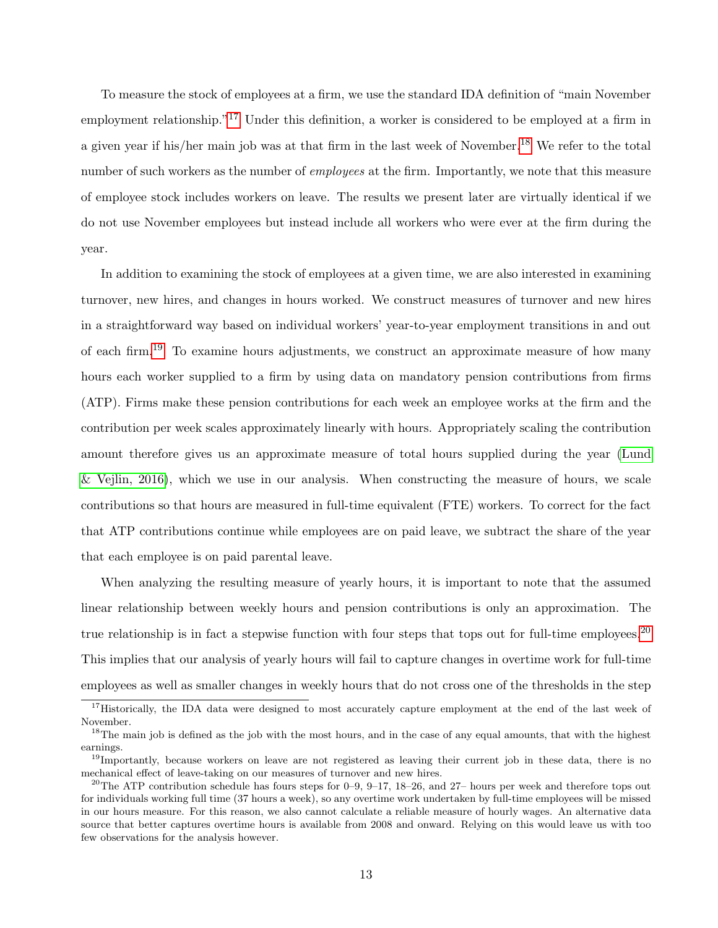To measure the stock of employees at a firm, we use the standard IDA definition of "main November employment relationship."<sup>[17](#page-0-0)</sup> Under this definition, a worker is considered to be employed at a firm in a given year if his/her main job was at that firm in the last week of November.<sup>[18](#page-0-0)</sup> We refer to the total number of such workers as the number of *employees* at the firm. Importantly, we note that this measure of employee stock includes workers on leave. The results we present later are virtually identical if we do not use November employees but instead include all workers who were ever at the firm during the year.

In addition to examining the stock of employees at a given time, we are also interested in examining turnover, new hires, and changes in hours worked. We construct measures of turnover and new hires in a straightforward way based on individual workers' year-to-year employment transitions in and out of each firm.<sup>[19](#page-0-0)</sup> To examine hours adjustments, we construct an approximate measure of how many hours each worker supplied to a firm by using data on mandatory pension contributions from firms (ATP). Firms make these pension contributions for each week an employee works at the firm and the contribution per week scales approximately linearly with hours. Appropriately scaling the contribution amount therefore gives us an approximate measure of total hours supplied during the year [\(Lund](#page-41-10)  $\&$  Vejlin, 2016), which we use in our analysis. When constructing the measure of hours, we scale contributions so that hours are measured in full-time equivalent (FTE) workers. To correct for the fact that ATP contributions continue while employees are on paid leave, we subtract the share of the year that each employee is on paid parental leave.

When analyzing the resulting measure of yearly hours, it is important to note that the assumed linear relationship between weekly hours and pension contributions is only an approximation. The true relationship is in fact a stepwise function with four steps that tops out for full-time employees.<sup>[20](#page-0-0)</sup> This implies that our analysis of yearly hours will fail to capture changes in overtime work for full-time employees as well as smaller changes in weekly hours that do not cross one of the thresholds in the step

<sup>&</sup>lt;sup>17</sup>Historically, the IDA data were designed to most accurately capture employment at the end of the last week of November.

<sup>&</sup>lt;sup>18</sup>The main job is defined as the job with the most hours, and in the case of any equal amounts, that with the highest earnings.

<sup>&</sup>lt;sup>19</sup>Importantly, because workers on leave are not registered as leaving their current job in these data, there is no mechanical effect of leave-taking on our measures of turnover and new hires.

<sup>&</sup>lt;sup>20</sup>The ATP contribution schedule has fours steps for 0–9, 9–17, 18–26, and 27– hours per week and therefore tops out for individuals working full time (37 hours a week), so any overtime work undertaken by full-time employees will be missed in our hours measure. For this reason, we also cannot calculate a reliable measure of hourly wages. An alternative data source that better captures overtime hours is available from 2008 and onward. Relying on this would leave us with too few observations for the analysis however.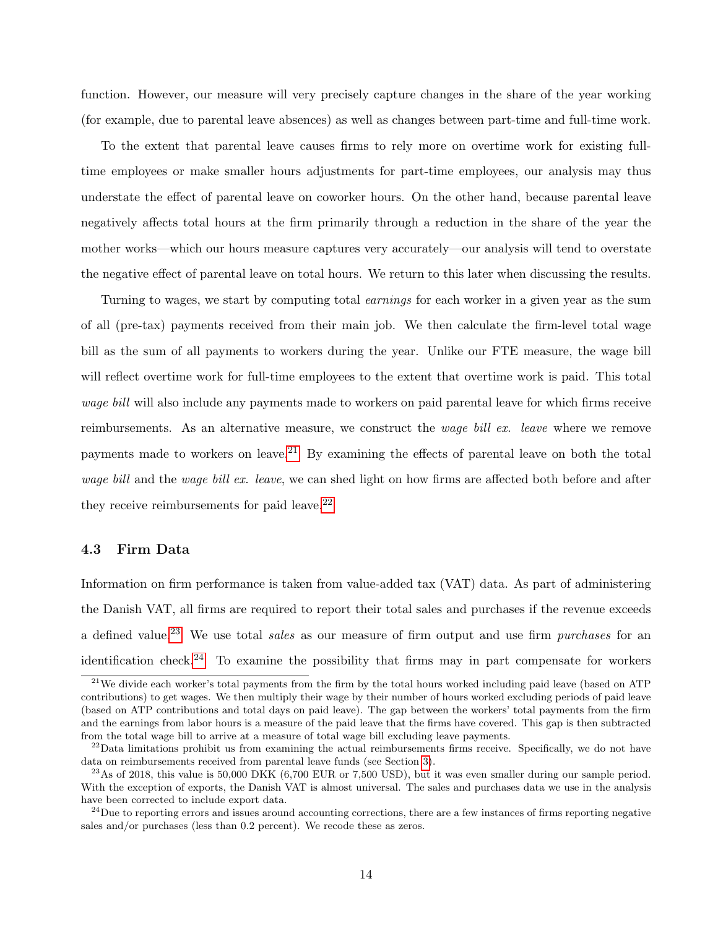function. However, our measure will very precisely capture changes in the share of the year working (for example, due to parental leave absences) as well as changes between part-time and full-time work.

To the extent that parental leave causes firms to rely more on overtime work for existing fulltime employees or make smaller hours adjustments for part-time employees, our analysis may thus understate the effect of parental leave on coworker hours. On the other hand, because parental leave negatively affects total hours at the firm primarily through a reduction in the share of the year the mother works—which our hours measure captures very accurately—our analysis will tend to overstate the negative effect of parental leave on total hours. We return to this later when discussing the results.

Turning to wages, we start by computing total earnings for each worker in a given year as the sum of all (pre-tax) payments received from their main job. We then calculate the firm-level total wage bill as the sum of all payments to workers during the year. Unlike our FTE measure, the wage bill will reflect overtime work for full-time employees to the extent that overtime work is paid. This total wage bill will also include any payments made to workers on paid parental leave for which firms receive reimbursements. As an alternative measure, we construct the *wage bill ex. leave* where we remove payments made to workers on leave.<sup>[21](#page-0-0)</sup> By examining the effects of parental leave on both the total wage bill and the wage bill ex. leave, we can shed light on how firms are affected both before and after they receive reimbursements for paid leave. $22$ 

### 4.3 Firm Data

Information on firm performance is taken from value-added tax (VAT) data. As part of administering the Danish VAT, all firms are required to report their total sales and purchases if the revenue exceeds a defined value.<sup>[23](#page-0-0)</sup> We use total *sales* as our measure of firm output and use firm *purchases* for an identification check.<sup>[24](#page-0-0)</sup> To examine the possibility that firms may in part compensate for workers

 $^{21}$ We divide each worker's total payments from the firm by the total hours worked including paid leave (based on ATP contributions) to get wages. We then multiply their wage by their number of hours worked excluding periods of paid leave (based on ATP contributions and total days on paid leave). The gap between the workers' total payments from the firm and the earnings from labor hours is a measure of the paid leave that the firms have covered. This gap is then subtracted from the total wage bill to arrive at a measure of total wage bill excluding leave payments.

<sup>&</sup>lt;sup>22</sup>Data limitations prohibit us from examining the actual reimbursements firms receive. Specifically, we do not have data on reimbursements received from parental leave funds (see Section [3\)](#page-8-0).

 $^{23}$ As of 2018, this value is 50,000 DKK (6,700 EUR or 7,500 USD), but it was even smaller during our sample period. With the exception of exports, the Danish VAT is almost universal. The sales and purchases data we use in the analysis have been corrected to include export data.

<sup>&</sup>lt;sup>24</sup>Due to reporting errors and issues around accounting corrections, there are a few instances of firms reporting negative sales and/or purchases (less than 0.2 percent). We recode these as zeros.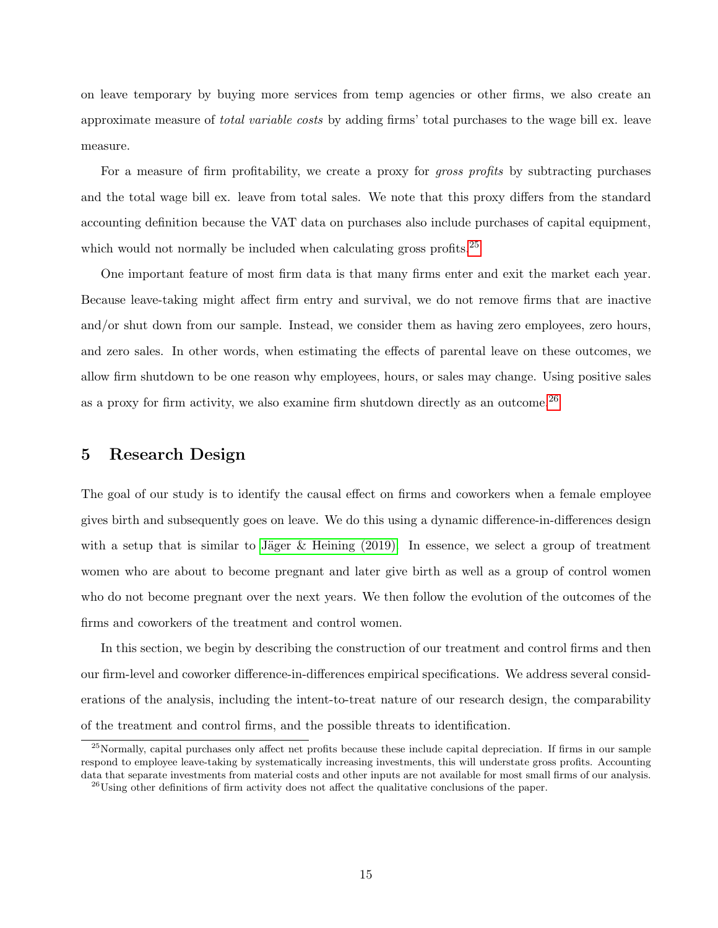on leave temporary by buying more services from temp agencies or other firms, we also create an approximate measure of *total variable costs* by adding firms' total purchases to the wage bill ex. leave measure.

For a measure of firm profitability, we create a proxy for *gross profits* by subtracting purchases and the total wage bill ex. leave from total sales. We note that this proxy differs from the standard accounting definition because the VAT data on purchases also include purchases of capital equipment, which would not normally be included when calculating gross profits.<sup>[25](#page-0-0)</sup>

One important feature of most firm data is that many firms enter and exit the market each year. Because leave-taking might affect firm entry and survival, we do not remove firms that are inactive and/or shut down from our sample. Instead, we consider them as having zero employees, zero hours, and zero sales. In other words, when estimating the effects of parental leave on these outcomes, we allow firm shutdown to be one reason why employees, hours, or sales may change. Using positive sales as a proxy for firm activity, we also examine firm shutdown directly as an outcome.<sup>[26](#page-0-0)</sup>

## <span id="page-14-0"></span>5 Research Design

The goal of our study is to identify the causal effect on firms and coworkers when a female employee gives birth and subsequently goes on leave. We do this using a dynamic difference-in-differences design with a setup that is similar to Jäger & Heining  $(2019)$ . In essence, we select a group of treatment women who are about to become pregnant and later give birth as well as a group of control women who do not become pregnant over the next years. We then follow the evolution of the outcomes of the firms and coworkers of the treatment and control women.

In this section, we begin by describing the construction of our treatment and control firms and then our firm-level and coworker difference-in-differences empirical specifications. We address several considerations of the analysis, including the intent-to-treat nature of our research design, the comparability of the treatment and control firms, and the possible threats to identification.

 $^{25}$ Normally, capital purchases only affect net profits because these include capital depreciation. If firms in our sample respond to employee leave-taking by systematically increasing investments, this will understate gross profits. Accounting data that separate investments from material costs and other inputs are not available for most small firms of our analysis.  $^{26}$ Using other definitions of firm activity does not affect the qualitative conclusions of the paper.

<sup>15</sup>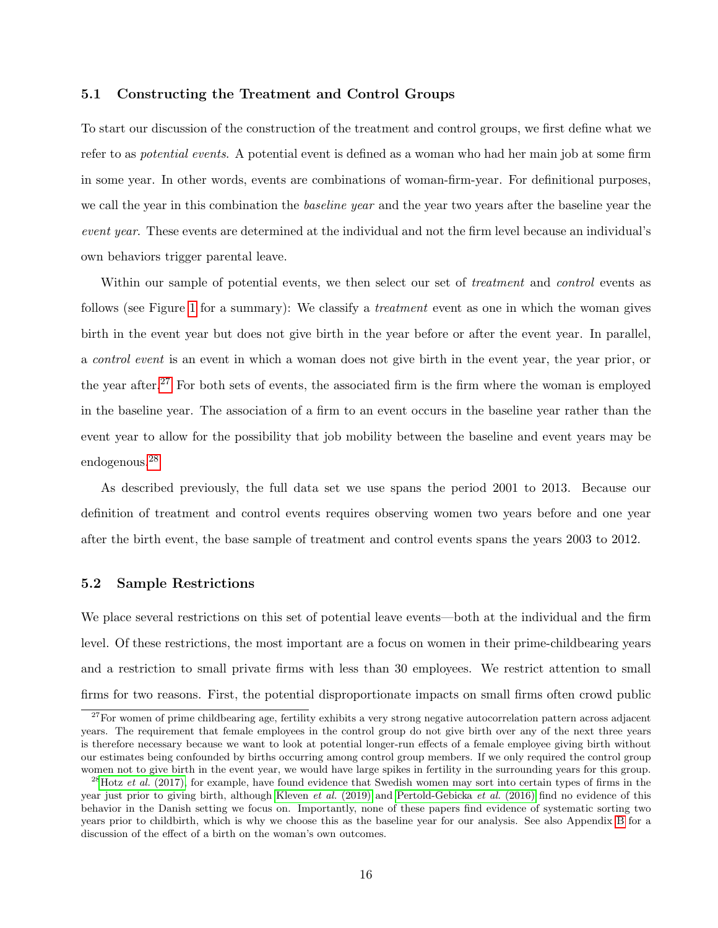### <span id="page-15-0"></span>5.1 Constructing the Treatment and Control Groups

To start our discussion of the construction of the treatment and control groups, we first define what we refer to as *potential events*. A potential event is defined as a woman who had her main job at some firm in some year. In other words, events are combinations of woman-firm-year. For definitional purposes, we call the year in this combination the *baseline year* and the year two years after the baseline year the event year. These events are determined at the individual and not the firm level because an individual's own behaviors trigger parental leave.

Within our sample of potential events, we then select our set of *treatment* and *control* events as follows (see Figure [1](#page-43-0) for a summary): We classify a *treatment* event as one in which the woman gives birth in the event year but does not give birth in the year before or after the event year. In parallel, a control event is an event in which a woman does not give birth in the event year, the year prior, or the year after.<sup>[27](#page-0-0)</sup> For both sets of events, the associated firm is the firm where the woman is employed in the baseline year. The association of a firm to an event occurs in the baseline year rather than the event year to allow for the possibility that job mobility between the baseline and event years may be endogenous.[28](#page-0-0)

As described previously, the full data set we use spans the period 2001 to 2013. Because our definition of treatment and control events requires observing women two years before and one year after the birth event, the base sample of treatment and control events spans the years 2003 to 2012.

## 5.2 Sample Restrictions

We place several restrictions on this set of potential leave events—both at the individual and the firm level. Of these restrictions, the most important are a focus on women in their prime-childbearing years and a restriction to small private firms with less than 30 employees. We restrict attention to small firms for two reasons. First, the potential disproportionate impacts on small firms often crowd public

 $27$ For women of prime childbearing age, fertility exhibits a very strong negative autocorrelation pattern across adjacent years. The requirement that female employees in the control group do not give birth over any of the next three years is therefore necessary because we want to look at potential longer-run effects of a female employee giving birth without our estimates being confounded by births occurring among control group members. If we only required the control group women not to give birth in the event year, we would have large spikes in fertility in the surrounding years for this group.

<sup>&</sup>lt;sup>28</sup>Hotz *et al.* [\(2017\),](#page-40-11) for example, have found evidence that Swedish women may sort into certain types of firms in the year just prior to giving birth, although [Kleven](#page-41-1) et al. (2019) and [Pertold-Gebicka](#page-42-11) et al. (2016) find no evidence of this behavior in the Danish setting we focus on. Importantly, none of these papers find evidence of systematic sorting two years prior to childbirth, which is why we choose this as the baseline year for our analysis. See also Appendix [B](#page-64-0) for a discussion of the effect of a birth on the woman's own outcomes.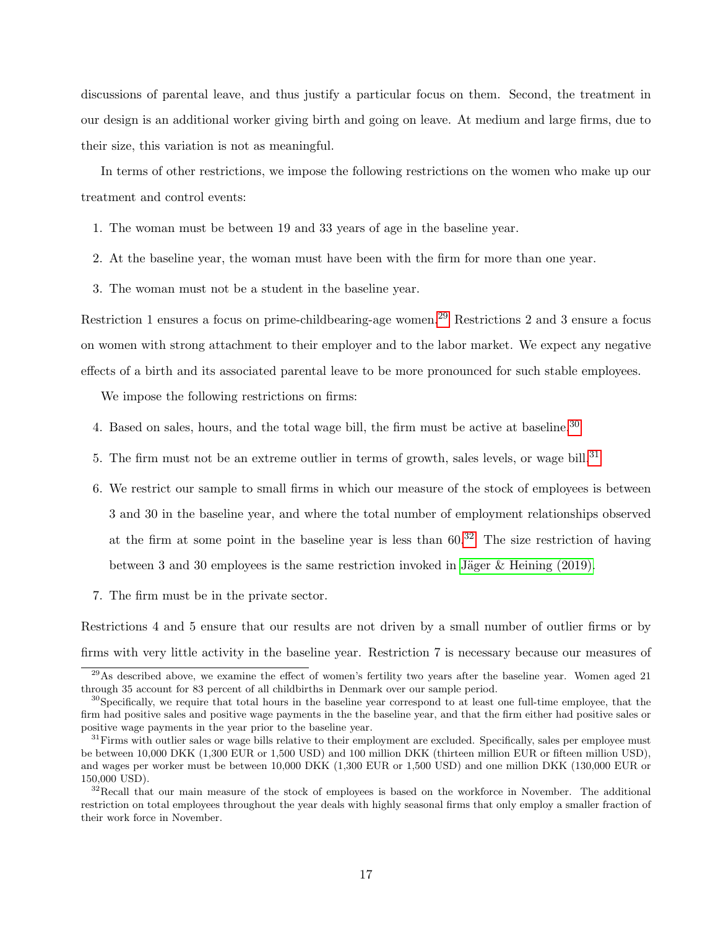discussions of parental leave, and thus justify a particular focus on them. Second, the treatment in our design is an additional worker giving birth and going on leave. At medium and large firms, due to their size, this variation is not as meaningful.

In terms of other restrictions, we impose the following restrictions on the women who make up our treatment and control events:

- 1. The woman must be between 19 and 33 years of age in the baseline year.
- 2. At the baseline year, the woman must have been with the firm for more than one year.
- 3. The woman must not be a student in the baseline year.

Restriction 1 ensures a focus on prime-childbearing-age women.<sup>[29](#page-0-0)</sup> Restrictions 2 and 3 ensure a focus on women with strong attachment to their employer and to the labor market. We expect any negative effects of a birth and its associated parental leave to be more pronounced for such stable employees.

We impose the following restrictions on firms:

- 4. Based on sales, hours, and the total wage bill, the firm must be active at baseline.<sup>[30](#page-0-0)</sup>
- 5. The firm must not be an extreme outlier in terms of growth, sales levels, or wage bill.<sup>[31](#page-0-0)</sup>
- 6. We restrict our sample to small firms in which our measure of the stock of employees is between 3 and 30 in the baseline year, and where the total number of employment relationships observed at the firm at some point in the baseline year is less than  $60<sup>32</sup>$  $60<sup>32</sup>$  $60<sup>32</sup>$  The size restriction of having between 3 and 30 employees is the same restriction invoked in Jäger  $&$  Heining (2019).
- 7. The firm must be in the private sector.

Restrictions 4 and 5 ensure that our results are not driven by a small number of outlier firms or by firms with very little activity in the baseline year. Restriction 7 is necessary because our measures of

 $29\text{As described above, we examine the effect of women's fertility two years after the baseline year. Women aged 21$ through 35 account for 83 percent of all childbirths in Denmark over our sample period.

<sup>&</sup>lt;sup>30</sup>Specifically, we require that total hours in the baseline year correspond to at least one full-time employee, that the firm had positive sales and positive wage payments in the the baseline year, and that the firm either had positive sales or positive wage payments in the year prior to the baseline year.

<sup>&</sup>lt;sup>31</sup>Firms with outlier sales or wage bills relative to their employment are excluded. Specifically, sales per employee must be between 10,000 DKK (1,300 EUR or 1,500 USD) and 100 million DKK (thirteen million EUR or fifteen million USD), and wages per worker must be between 10,000 DKK (1,300 EUR or 1,500 USD) and one million DKK (130,000 EUR or 150,000 USD).

<sup>&</sup>lt;sup>32</sup>Recall that our main measure of the stock of employees is based on the workforce in November. The additional restriction on total employees throughout the year deals with highly seasonal firms that only employ a smaller fraction of their work force in November.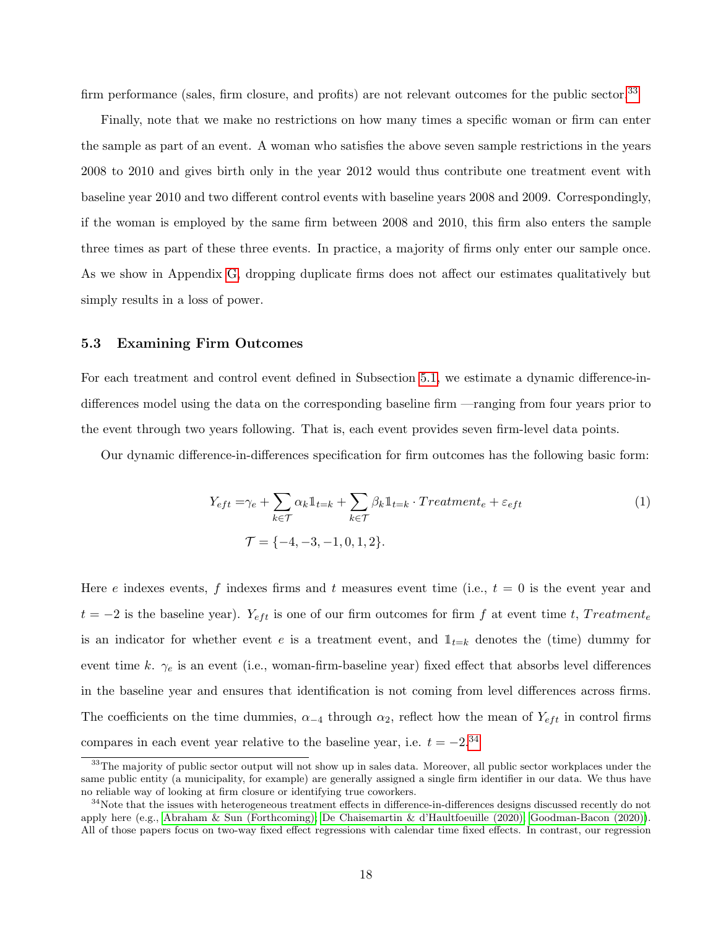firm performance (sales, firm closure, and profits) are not relevant outcomes for the public sector.<sup>[33](#page-0-0)</sup>

Finally, note that we make no restrictions on how many times a specific woman or firm can enter the sample as part of an event. A woman who satisfies the above seven sample restrictions in the years 2008 to 2010 and gives birth only in the year 2012 would thus contribute one treatment event with baseline year 2010 and two different control events with baseline years 2008 and 2009. Correspondingly, if the woman is employed by the same firm between 2008 and 2010, this firm also enters the sample three times as part of these three events. In practice, a majority of firms only enter our sample once. As we show in Appendix [G,](#page-84-0) dropping duplicate firms does not affect our estimates qualitatively but simply results in a loss of power.

#### <span id="page-17-1"></span>5.3 Examining Firm Outcomes

For each treatment and control event defined in Subsection [5.1,](#page-15-0) we estimate a dynamic difference-indifferences model using the data on the corresponding baseline firm —ranging from four years prior to the event through two years following. That is, each event provides seven firm-level data points.

Our dynamic difference-in-differences specification for firm outcomes has the following basic form:

<span id="page-17-0"></span>
$$
Y_{eft} = \gamma_e + \sum_{k \in \mathcal{T}} \alpha_k \mathbb{1}_{t=k} + \sum_{k \in \mathcal{T}} \beta_k \mathbb{1}_{t=k} \cdot Treatment_e + \varepsilon_{eft}
$$
  

$$
\mathcal{T} = \{-4, -3, -1, 0, 1, 2\}.
$$
 (1)

Here e indexes events, f indexes firms and t measures event time (i.e.,  $t = 0$  is the event year and  $t = -2$  is the baseline year).  $Y_{\text{eff}}$  is one of our firm outcomes for firm f at event time t, Treatment<sub>e</sub> is an indicator for whether event e is a treatment event, and  $\mathbb{1}_{t=k}$  denotes the (time) dummy for event time k.  $\gamma_e$  is an event (i.e., woman-firm-baseline year) fixed effect that absorbs level differences in the baseline year and ensures that identification is not coming from level differences across firms. The coefficients on the time dummies,  $\alpha_{-4}$  through  $\alpha_2$ , reflect how the mean of  $Y_{eff}$  in control firms compares in each event year relative to the baseline year, i.e.  $t = -2^{34}$  $t = -2^{34}$  $t = -2^{34}$ 

<sup>&</sup>lt;sup>33</sup>The majority of public sector output will not show up in sales data. Moreover, all public sector workplaces under the same public entity (a municipality, for example) are generally assigned a single firm identifier in our data. We thus have no reliable way of looking at firm closure or identifying true coworkers.

<sup>&</sup>lt;sup>34</sup>Note that the issues with heterogeneous treatment effects in difference-in-differences designs discussed recently do not apply here (e.g., [Abraham & Sun \(Forthcoming\);](#page-37-7) [De Chaisemartin & d'Haultfoeuille \(2020\);](#page-39-9) [Goodman-Bacon \(2020\)\)](#page-40-12). All of those papers focus on two-way fixed effect regressions with calendar time fixed effects. In contrast, our regression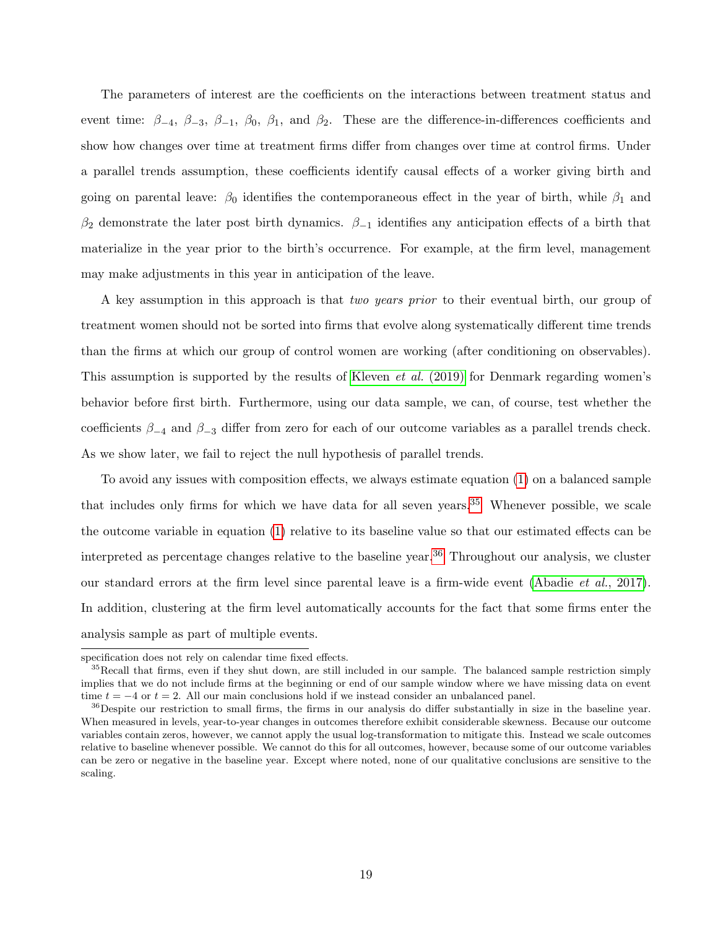The parameters of interest are the coefficients on the interactions between treatment status and event time:  $\beta_{-4}$ ,  $\beta_{-3}$ ,  $\beta_{-1}$ ,  $\beta_0$ ,  $\beta_1$ , and  $\beta_2$ . These are the difference-in-differences coefficients and show how changes over time at treatment firms differ from changes over time at control firms. Under a parallel trends assumption, these coefficients identify causal effects of a worker giving birth and going on parental leave:  $\beta_0$  identifies the contemporaneous effect in the year of birth, while  $\beta_1$  and β<sub>2</sub> demonstrate the later post birth dynamics.  $\beta_{-1}$  identifies any anticipation effects of a birth that materialize in the year prior to the birth's occurrence. For example, at the firm level, management may make adjustments in this year in anticipation of the leave.

A key assumption in this approach is that two years prior to their eventual birth, our group of treatment women should not be sorted into firms that evolve along systematically different time trends than the firms at which our group of control women are working (after conditioning on observables). This assumption is supported by the results of [Kleven](#page-41-1) *et al.* (2019) for Denmark regarding women's behavior before first birth. Furthermore, using our data sample, we can, of course, test whether the coefficients  $\beta_{-4}$  and  $\beta_{-3}$  differ from zero for each of our outcome variables as a parallel trends check. As we show later, we fail to reject the null hypothesis of parallel trends.

To avoid any issues with composition effects, we always estimate equation [\(1\)](#page-17-0) on a balanced sample that includes only firms for which we have data for all seven years.<sup>[35](#page-0-0)</sup> Whenever possible, we scale the outcome variable in equation [\(1\)](#page-17-0) relative to its baseline value so that our estimated effects can be interpreted as percentage changes relative to the baseline year.<sup>[36](#page-0-0)</sup> Throughout our analysis, we cluster our standard errors at the firm level since parental leave is a firm-wide event [\(Abadie](#page-37-8) et al., 2017). In addition, clustering at the firm level automatically accounts for the fact that some firms enter the analysis sample as part of multiple events.

specification does not rely on calendar time fixed effects.

<sup>&</sup>lt;sup>35</sup>Recall that firms, even if they shut down, are still included in our sample. The balanced sample restriction simply implies that we do not include firms at the beginning or end of our sample window where we have missing data on event time  $t = -4$  or  $t = 2$ . All our main conclusions hold if we instead consider an unbalanced panel.

<sup>&</sup>lt;sup>36</sup>Despite our restriction to small firms, the firms in our analysis do differ substantially in size in the baseline year. When measured in levels, year-to-year changes in outcomes therefore exhibit considerable skewness. Because our outcome variables contain zeros, however, we cannot apply the usual log-transformation to mitigate this. Instead we scale outcomes relative to baseline whenever possible. We cannot do this for all outcomes, however, because some of our outcome variables can be zero or negative in the baseline year. Except where noted, none of our qualitative conclusions are sensitive to the scaling.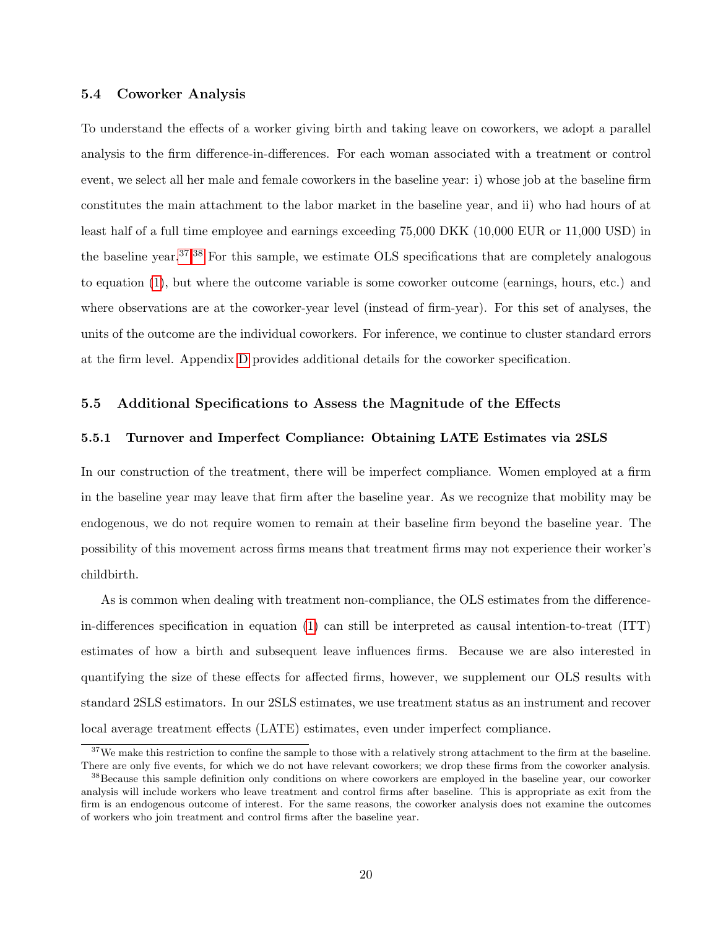### 5.4 Coworker Analysis

To understand the effects of a worker giving birth and taking leave on coworkers, we adopt a parallel analysis to the firm difference-in-differences. For each woman associated with a treatment or control event, we select all her male and female coworkers in the baseline year: i) whose job at the baseline firm constitutes the main attachment to the labor market in the baseline year, and ii) who had hours of at least half of a full time employee and earnings exceeding 75,000 DKK (10,000 EUR or 11,000 USD) in the baseline year.<sup>[37](#page-0-0),[38](#page-0-0)</sup> For this sample, we estimate OLS specifications that are completely analogous to equation [\(1\)](#page-17-0), but where the outcome variable is some coworker outcome (earnings, hours, etc.) and where observations are at the coworker-year level (instead of firm-year). For this set of analyses, the units of the outcome are the individual coworkers. For inference, we continue to cluster standard errors at the firm level. Appendix [D](#page-70-0) provides additional details for the coworker specification.

### 5.5 Additional Specifications to Assess the Magnitude of the Effects

### 5.5.1 Turnover and Imperfect Compliance: Obtaining LATE Estimates via 2SLS

In our construction of the treatment, there will be imperfect compliance. Women employed at a firm in the baseline year may leave that firm after the baseline year. As we recognize that mobility may be endogenous, we do not require women to remain at their baseline firm beyond the baseline year. The possibility of this movement across firms means that treatment firms may not experience their worker's childbirth.

As is common when dealing with treatment non-compliance, the OLS estimates from the differencein-differences specification in equation [\(1\)](#page-17-0) can still be interpreted as causal intention-to-treat (ITT) estimates of how a birth and subsequent leave influences firms. Because we are also interested in quantifying the size of these effects for affected firms, however, we supplement our OLS results with standard 2SLS estimators. In our 2SLS estimates, we use treatment status as an instrument and recover local average treatment effects (LATE) estimates, even under imperfect compliance.

 $37$ We make this restriction to confine the sample to those with a relatively strong attachment to the firm at the baseline. There are only five events, for which we do not have relevant coworkers; we drop these firms from the coworker analysis.

<sup>&</sup>lt;sup>38</sup>Because this sample definition only conditions on where coworkers are employed in the baseline year, our coworker analysis will include workers who leave treatment and control firms after baseline. This is appropriate as exit from the firm is an endogenous outcome of interest. For the same reasons, the coworker analysis does not examine the outcomes of workers who join treatment and control firms after the baseline year.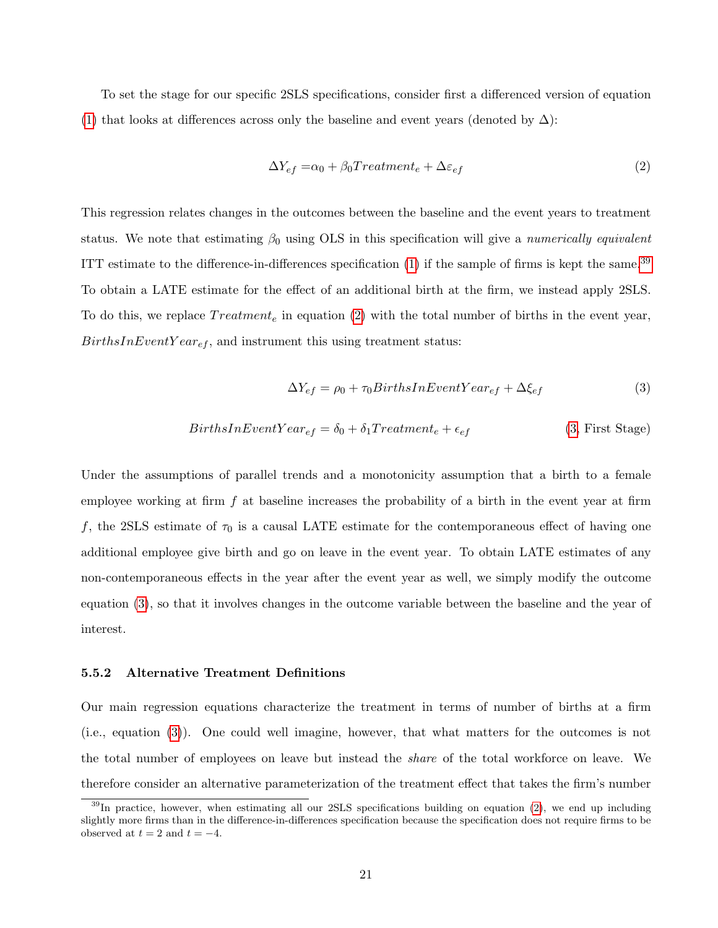To set the stage for our specific 2SLS specifications, consider first a differenced version of equation [\(1\)](#page-17-0) that looks at differences across only the baseline and event years (denoted by  $\Delta$ ):

<span id="page-20-0"></span>
$$
\Delta Y_{ef} = \alpha_0 + \beta_0 Treatment_e + \Delta \varepsilon_{ef} \tag{2}
$$

This regression relates changes in the outcomes between the baseline and the event years to treatment status. We note that estimating  $\beta_0$  using OLS in this specification will give a numerically equivalent ITT estimate to the difference-in-differences specification  $(1)$  if the sample of firms is kept the same.<sup>[39](#page-0-0)</sup> To obtain a LATE estimate for the effect of an additional birth at the firm, we instead apply 2SLS. To do this, we replace  $Treatment<sub>e</sub>$  in equation [\(2\)](#page-20-0) with the total number of births in the event year,  $BirthsInEventYear_{ef}$ , and instrument this using treatment status:

<span id="page-20-1"></span>
$$
\Delta Y_{ef} = \rho_0 + \tau_0 BirthsInEventYear_{ef} + \Delta \xi_{ef}
$$
\n(3)

$$
BirthsInEventYear_{ef} = \delta_0 + \delta_1 Treatment_e + \epsilon_{ef}
$$
 (3, First Stage)

Under the assumptions of parallel trends and a monotonicity assumption that a birth to a female employee working at firm  $f$  at baseline increases the probability of a birth in the event year at firm f, the 2SLS estimate of  $\tau_0$  is a causal LATE estimate for the contemporaneous effect of having one additional employee give birth and go on leave in the event year. To obtain LATE estimates of any non-contemporaneous effects in the year after the event year as well, we simply modify the outcome equation [\(3\)](#page-20-1), so that it involves changes in the outcome variable between the baseline and the year of interest.

### 5.5.2 Alternative Treatment Definitions

Our main regression equations characterize the treatment in terms of number of births at a firm (i.e., equation [\(3\)](#page-20-1)). One could well imagine, however, that what matters for the outcomes is not the total number of employees on leave but instead the *share* of the total workforce on leave. We therefore consider an alternative parameterization of the treatment effect that takes the firm's number

 $39$ In practice, however, when estimating all our 2SLS specifications building on equation [\(2\)](#page-20-0), we end up including slightly more firms than in the difference-in-differences specification because the specification does not require firms to be observed at  $t = 2$  and  $t = -4$ .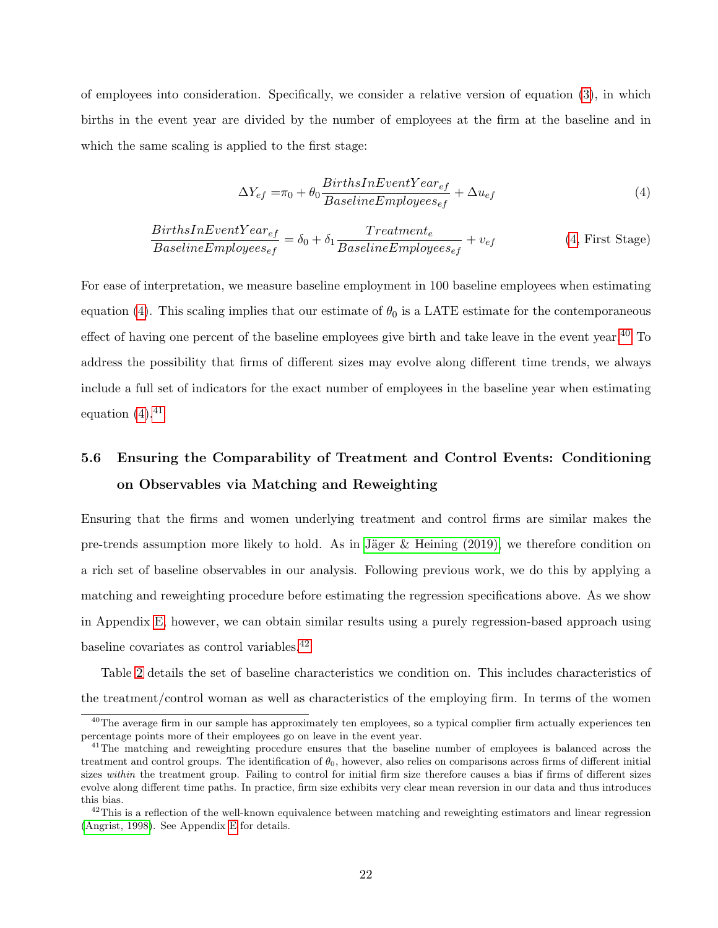of employees into consideration. Specifically, we consider a relative version of equation [\(3\)](#page-20-1), in which births in the event year are divided by the number of employees at the firm at the baseline and in which the same scaling is applied to the first stage:

<span id="page-21-0"></span>
$$
\Delta Y_{ef} = \pi_0 + \theta_0 \frac{BirthSInEventYear_{ef}}{BaselineEmployees_{ef}} + \Delta u_{ef}
$$
\n(4)

$$
\frac{BirthsInEventYear_{ef}}{BaselineEmployees_{ef}} = \delta_0 + \delta_1 \frac{Teatment_e}{BaselineEmployees_{ef}} + v_{ef}
$$
 (4, First Stage)

For ease of interpretation, we measure baseline employment in 100 baseline employees when estimating equation [\(4\)](#page-21-0). This scaling implies that our estimate of  $\theta_0$  is a LATE estimate for the contemporaneous effect of having one percent of the baseline employees give birth and take leave in the event year.<sup>[40](#page-0-0)</sup> To address the possibility that firms of different sizes may evolve along different time trends, we always include a full set of indicators for the exact number of employees in the baseline year when estimating equation  $(4)$ .<sup>[41](#page-0-0)</sup>

# 5.6 Ensuring the Comparability of Treatment and Control Events: Conditioning on Observables via Matching and Reweighting

Ensuring that the firms and women underlying treatment and control firms are similar makes the pre-trends assumption more likely to hold. As in Jäger  $&$  Heining (2019), we therefore condition on a rich set of baseline observables in our analysis. Following previous work, we do this by applying a matching and reweighting procedure before estimating the regression specifications above. As we show in Appendix [E,](#page-71-0) however, we can obtain similar results using a purely regression-based approach using baseline covariates as control variables.[42](#page-0-0)

Table [2](#page-50-0) details the set of baseline characteristics we condition on. This includes characteristics of the treatment/control woman as well as characteristics of the employing firm. In terms of the women

<sup>&</sup>lt;sup>40</sup>The average firm in our sample has approximately ten employees, so a typical complier firm actually experiences ten percentage points more of their employees go on leave in the event year.

<sup>&</sup>lt;sup>41</sup>The matching and reweighting procedure ensures that the baseline number of employees is balanced across the treatment and control groups. The identification of  $\theta_0$ , however, also relies on comparisons across firms of different initial sizes within the treatment group. Failing to control for initial firm size therefore causes a bias if firms of different sizes evolve along different time paths. In practice, firm size exhibits very clear mean reversion in our data and thus introduces this bias.

 $^{42}$ This is a reflection of the well-known equivalence between matching and reweighting estimators and linear regression [\(Angrist, 1998\)](#page-37-9). See Appendix [E](#page-71-0) for details.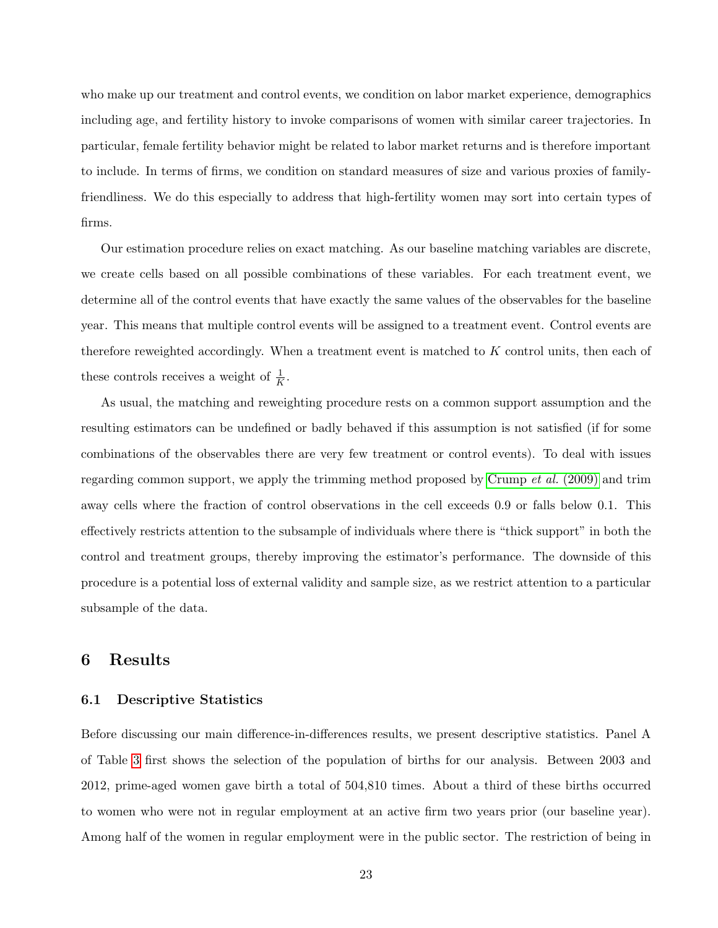who make up our treatment and control events, we condition on labor market experience, demographics including age, and fertility history to invoke comparisons of women with similar career trajectories. In particular, female fertility behavior might be related to labor market returns and is therefore important to include. In terms of firms, we condition on standard measures of size and various proxies of familyfriendliness. We do this especially to address that high-fertility women may sort into certain types of firms.

Our estimation procedure relies on exact matching. As our baseline matching variables are discrete, we create cells based on all possible combinations of these variables. For each treatment event, we determine all of the control events that have exactly the same values of the observables for the baseline year. This means that multiple control events will be assigned to a treatment event. Control events are therefore reweighted accordingly. When a treatment event is matched to K control units, then each of these controls receives a weight of  $\frac{1}{K}$ .

As usual, the matching and reweighting procedure rests on a common support assumption and the resulting estimators can be undefined or badly behaved if this assumption is not satisfied (if for some combinations of the observables there are very few treatment or control events). To deal with issues regarding common support, we apply the trimming method proposed by [Crump](#page-39-10)  $et al. (2009)$  and trim away cells where the fraction of control observations in the cell exceeds 0.9 or falls below 0.1. This effectively restricts attention to the subsample of individuals where there is "thick support" in both the control and treatment groups, thereby improving the estimator's performance. The downside of this procedure is a potential loss of external validity and sample size, as we restrict attention to a particular subsample of the data.

## 6 Results

### <span id="page-22-0"></span>6.1 Descriptive Statistics

Before discussing our main difference-in-differences results, we present descriptive statistics. Panel A of Table [3](#page-51-0) first shows the selection of the population of births for our analysis. Between 2003 and 2012, prime-aged women gave birth a total of 504,810 times. About a third of these births occurred to women who were not in regular employment at an active firm two years prior (our baseline year). Among half of the women in regular employment were in the public sector. The restriction of being in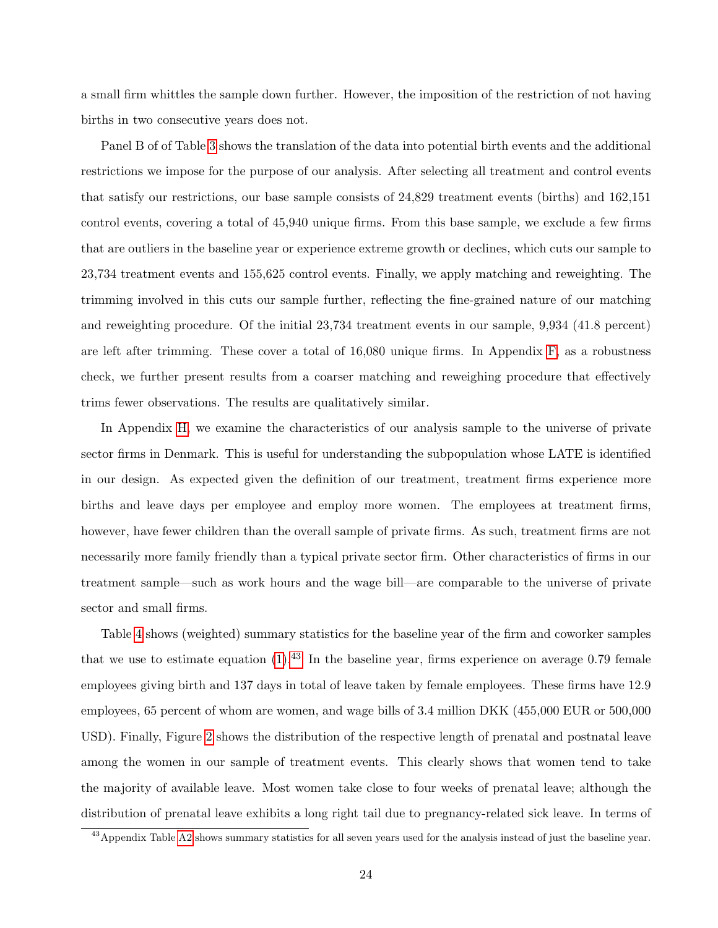a small firm whittles the sample down further. However, the imposition of the restriction of not having births in two consecutive years does not.

Panel B of of Table [3](#page-51-0) shows the translation of the data into potential birth events and the additional restrictions we impose for the purpose of our analysis. After selecting all treatment and control events that satisfy our restrictions, our base sample consists of 24,829 treatment events (births) and 162,151 control events, covering a total of 45,940 unique firms. From this base sample, we exclude a few firms that are outliers in the baseline year or experience extreme growth or declines, which cuts our sample to 23,734 treatment events and 155,625 control events. Finally, we apply matching and reweighting. The trimming involved in this cuts our sample further, reflecting the fine-grained nature of our matching and reweighting procedure. Of the initial 23,734 treatment events in our sample, 9,934 (41.8 percent) are left after trimming. These cover a total of 16,080 unique firms. In Appendix [F,](#page-77-0) as a robustness check, we further present results from a coarser matching and reweighing procedure that effectively trims fewer observations. The results are qualitatively similar.

In Appendix [H,](#page-90-0) we examine the characteristics of our analysis sample to the universe of private sector firms in Denmark. This is useful for understanding the subpopulation whose LATE is identified in our design. As expected given the definition of our treatment, treatment firms experience more births and leave days per employee and employ more women. The employees at treatment firms, however, have fewer children than the overall sample of private firms. As such, treatment firms are not necessarily more family friendly than a typical private sector firm. Other characteristics of firms in our treatment sample—such as work hours and the wage bill—are comparable to the universe of private sector and small firms.

Table [4](#page-52-0) shows (weighted) summary statistics for the baseline year of the firm and coworker samples that we use to estimate equation  $(1).^{43}$  $(1).^{43}$  $(1).^{43}$  $(1).^{43}$  In the baseline year, firms experience on average 0.79 female employees giving birth and 137 days in total of leave taken by female employees. These firms have 12.9 employees, 65 percent of whom are women, and wage bills of 3.4 million DKK (455,000 EUR or 500,000 USD). Finally, Figure [2](#page-43-1) shows the distribution of the respective length of prenatal and postnatal leave among the women in our sample of treatment events. This clearly shows that women tend to take the majority of available leave. Most women take close to four weeks of prenatal leave; although the distribution of prenatal leave exhibits a long right tail due to pregnancy-related sick leave. In terms of

<sup>43</sup>Appendix Table [A2](#page-60-0) shows summary statistics for all seven years used for the analysis instead of just the baseline year.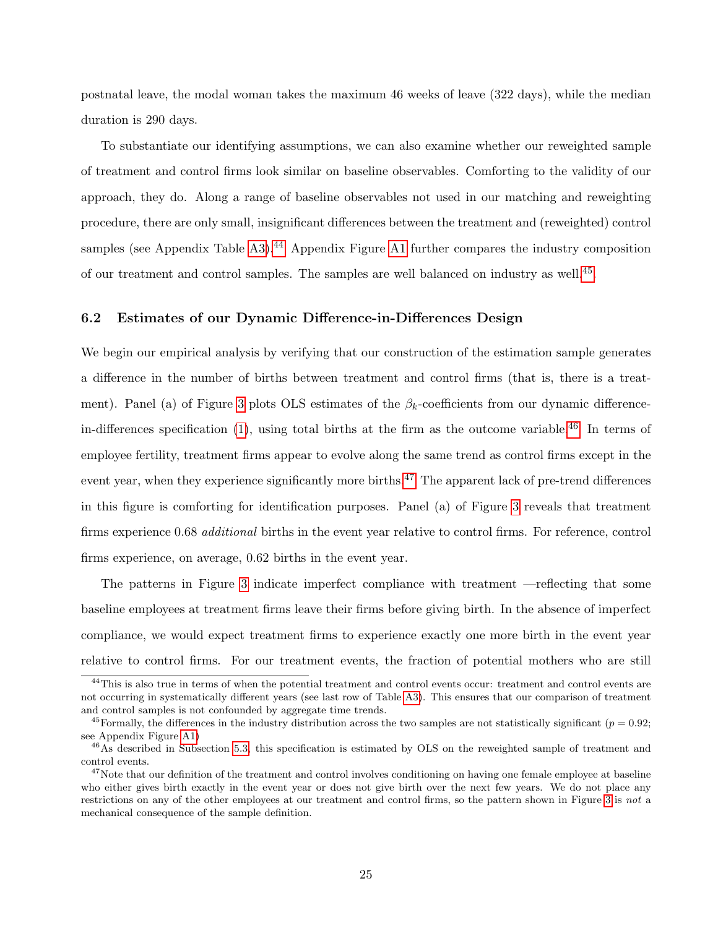postnatal leave, the modal woman takes the maximum 46 weeks of leave (322 days), while the median duration is 290 days.

To substantiate our identifying assumptions, we can also examine whether our reweighted sample of treatment and control firms look similar on baseline observables. Comforting to the validity of our approach, they do. Along a range of baseline observables not used in our matching and reweighting procedure, there are only small, insignificant differences between the treatment and (reweighted) control samples (see Appendix Table [A3\)](#page-61-0).<sup>[44](#page-0-0)</sup> Appendix Figure [A1](#page-58-0) further compares the industry composition of our treatment and control samples. The samples are well balanced on industry as well.<sup>[45](#page-0-0)</sup>.

### 6.2 Estimates of our Dynamic Difference-in-Differences Design

We begin our empirical analysis by verifying that our construction of the estimation sample generates a difference in the number of births between treatment and control firms (that is, there is a treat-ment). Panel (a) of Figure [3](#page-44-0) plots OLS estimates of the  $\beta_k$ -coefficients from our dynamic differencein-differences specification  $(1)$ , using total births at the firm as the outcome variable.<sup>[46](#page-0-0)</sup> In terms of employee fertility, treatment firms appear to evolve along the same trend as control firms except in the event year, when they experience significantly more births.<sup>[47](#page-0-0)</sup> The apparent lack of pre-trend differences in this figure is comforting for identification purposes. Panel (a) of Figure [3](#page-44-0) reveals that treatment firms experience 0.68 *additional* births in the event year relative to control firms. For reference, control firms experience, on average, 0.62 births in the event year.

The patterns in Figure [3](#page-44-0) indicate imperfect compliance with treatment —reflecting that some baseline employees at treatment firms leave their firms before giving birth. In the absence of imperfect compliance, we would expect treatment firms to experience exactly one more birth in the event year relative to control firms. For our treatment events, the fraction of potential mothers who are still

<sup>&</sup>lt;sup>44</sup>This is also true in terms of when the potential treatment and control events occur: treatment and control events are not occurring in systematically different years (see last row of Table [A3\)](#page-61-0). This ensures that our comparison of treatment and control samples is not confounded by aggregate time trends.

<sup>&</sup>lt;sup>45</sup>Formally, the differences in the industry distribution across the two samples are not statistically significant ( $p = 0.92$ ; see Appendix Figure [A1\)](#page-58-0)

<sup>&</sup>lt;sup>46</sup>As described in Subsection [5.3,](#page-17-1) this specification is estimated by OLS on the reweighted sample of treatment and control events.

 $47$ Note that our definition of the treatment and control involves conditioning on having one female employee at baseline who either gives birth exactly in the event year or does not give birth over the next few years. We do not place any restrictions on any of the other employees at our treatment and control firms, so the pattern shown in Figure [3](#page-44-0) is not a mechanical consequence of the sample definition.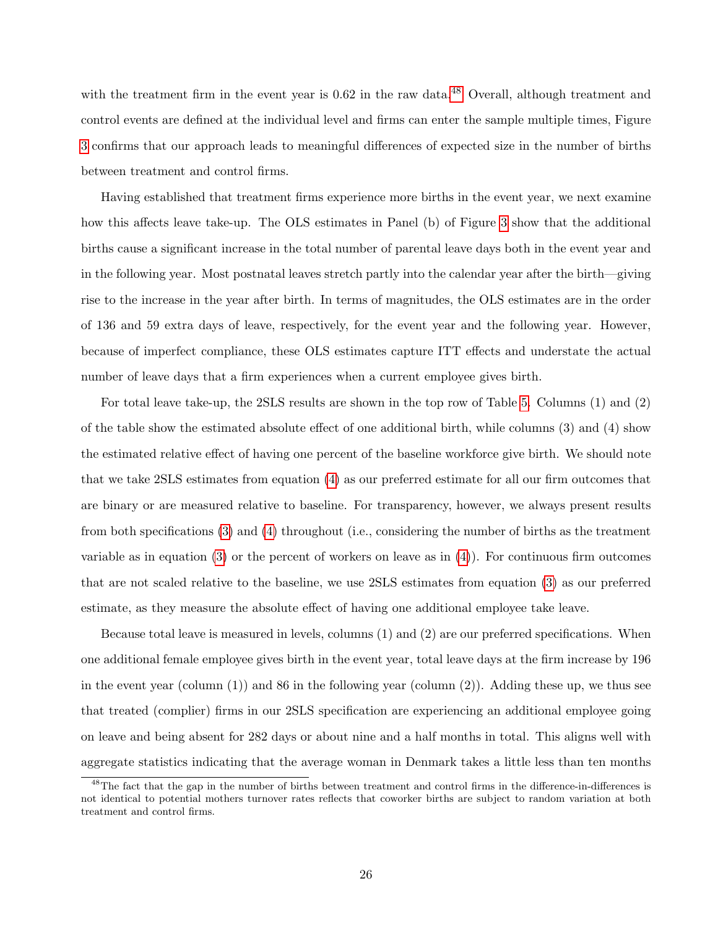with the treatment firm in the event year is  $0.62$  in the raw data.<sup>[48](#page-0-0)</sup> Overall, although treatment and control events are defined at the individual level and firms can enter the sample multiple times, Figure [3](#page-44-0) confirms that our approach leads to meaningful differences of expected size in the number of births between treatment and control firms.

Having established that treatment firms experience more births in the event year, we next examine how this affects leave take-up. The OLS estimates in Panel (b) of Figure [3](#page-44-0) show that the additional births cause a significant increase in the total number of parental leave days both in the event year and in the following year. Most postnatal leaves stretch partly into the calendar year after the birth—giving rise to the increase in the year after birth. In terms of magnitudes, the OLS estimates are in the order of 136 and 59 extra days of leave, respectively, for the event year and the following year. However, because of imperfect compliance, these OLS estimates capture ITT effects and understate the actual number of leave days that a firm experiences when a current employee gives birth.

For total leave take-up, the 2SLS results are shown in the top row of Table [5.](#page-53-0) Columns (1) and (2) of the table show the estimated absolute effect of one additional birth, while columns (3) and (4) show the estimated relative effect of having one percent of the baseline workforce give birth. We should note that we take 2SLS estimates from equation [\(4\)](#page-21-0) as our preferred estimate for all our firm outcomes that are binary or are measured relative to baseline. For transparency, however, we always present results from both specifications [\(3\)](#page-20-1) and [\(4\)](#page-21-0) throughout (i.e., considering the number of births as the treatment variable as in equation  $(3)$  or the percent of workers on leave as in  $(4)$ ). For continuous firm outcomes that are not scaled relative to the baseline, we use 2SLS estimates from equation [\(3\)](#page-20-1) as our preferred estimate, as they measure the absolute effect of having one additional employee take leave.

Because total leave is measured in levels, columns (1) and (2) are our preferred specifications. When one additional female employee gives birth in the event year, total leave days at the firm increase by 196 in the event year (column  $(1)$ ) and 86 in the following year (column  $(2)$ ). Adding these up, we thus see that treated (complier) firms in our 2SLS specification are experiencing an additional employee going on leave and being absent for 282 days or about nine and a half months in total. This aligns well with aggregate statistics indicating that the average woman in Denmark takes a little less than ten months

<sup>&</sup>lt;sup>48</sup>The fact that the gap in the number of births between treatment and control firms in the difference-in-differences is not identical to potential mothers turnover rates reflects that coworker births are subject to random variation at both treatment and control firms.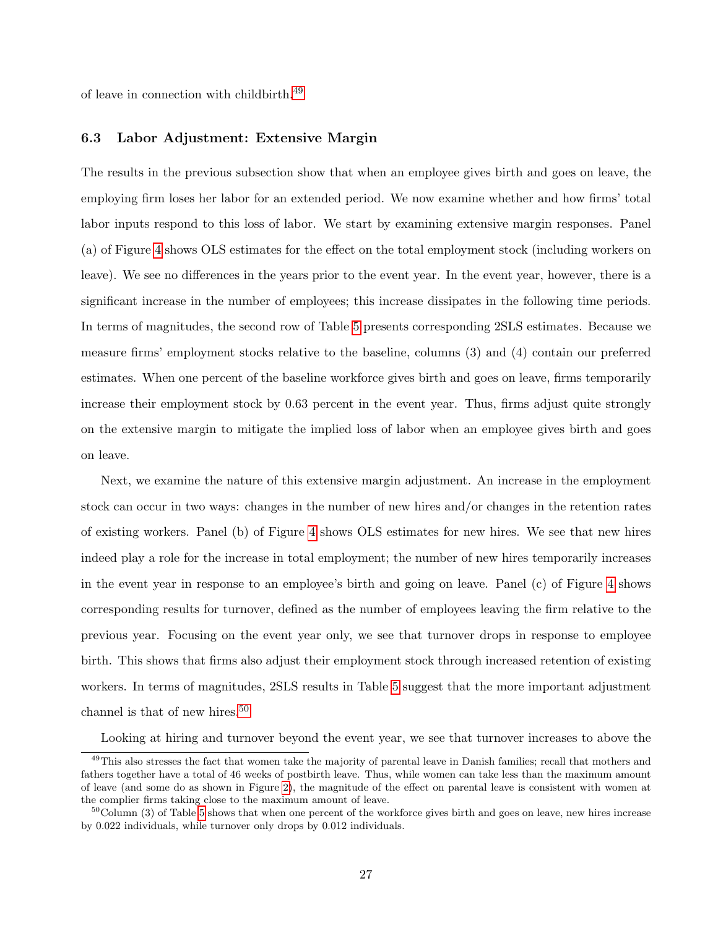of leave in connection with childbirth.[49](#page-0-0)

### 6.3 Labor Adjustment: Extensive Margin

The results in the previous subsection show that when an employee gives birth and goes on leave, the employing firm loses her labor for an extended period. We now examine whether and how firms' total labor inputs respond to this loss of labor. We start by examining extensive margin responses. Panel (a) of Figure [4](#page-45-0) shows OLS estimates for the effect on the total employment stock (including workers on leave). We see no differences in the years prior to the event year. In the event year, however, there is a significant increase in the number of employees; this increase dissipates in the following time periods. In terms of magnitudes, the second row of Table [5](#page-53-0) presents corresponding 2SLS estimates. Because we measure firms' employment stocks relative to the baseline, columns (3) and (4) contain our preferred estimates. When one percent of the baseline workforce gives birth and goes on leave, firms temporarily increase their employment stock by 0.63 percent in the event year. Thus, firms adjust quite strongly on the extensive margin to mitigate the implied loss of labor when an employee gives birth and goes on leave.

Next, we examine the nature of this extensive margin adjustment. An increase in the employment stock can occur in two ways: changes in the number of new hires and/or changes in the retention rates of existing workers. Panel (b) of Figure [4](#page-45-0) shows OLS estimates for new hires. We see that new hires indeed play a role for the increase in total employment; the number of new hires temporarily increases in the event year in response to an employee's birth and going on leave. Panel (c) of Figure [4](#page-45-0) shows corresponding results for turnover, defined as the number of employees leaving the firm relative to the previous year. Focusing on the event year only, we see that turnover drops in response to employee birth. This shows that firms also adjust their employment stock through increased retention of existing workers. In terms of magnitudes, 2SLS results in Table [5](#page-53-0) suggest that the more important adjustment channel is that of new hires.<sup>[50](#page-0-0)</sup>

Looking at hiring and turnover beyond the event year, we see that turnover increases to above the

<sup>&</sup>lt;sup>49</sup>This also stresses the fact that women take the majority of parental leave in Danish families; recall that mothers and fathers together have a total of 46 weeks of postbirth leave. Thus, while women can take less than the maximum amount of leave (and some do as shown in Figure [2\)](#page-43-1), the magnitude of the effect on parental leave is consistent with women at the complier firms taking close to the maximum amount of leave.

 $50$ Column (3) of Table [5](#page-53-0) shows that when one percent of the workforce gives birth and goes on leave, new hires increase by 0.022 individuals, while turnover only drops by 0.012 individuals.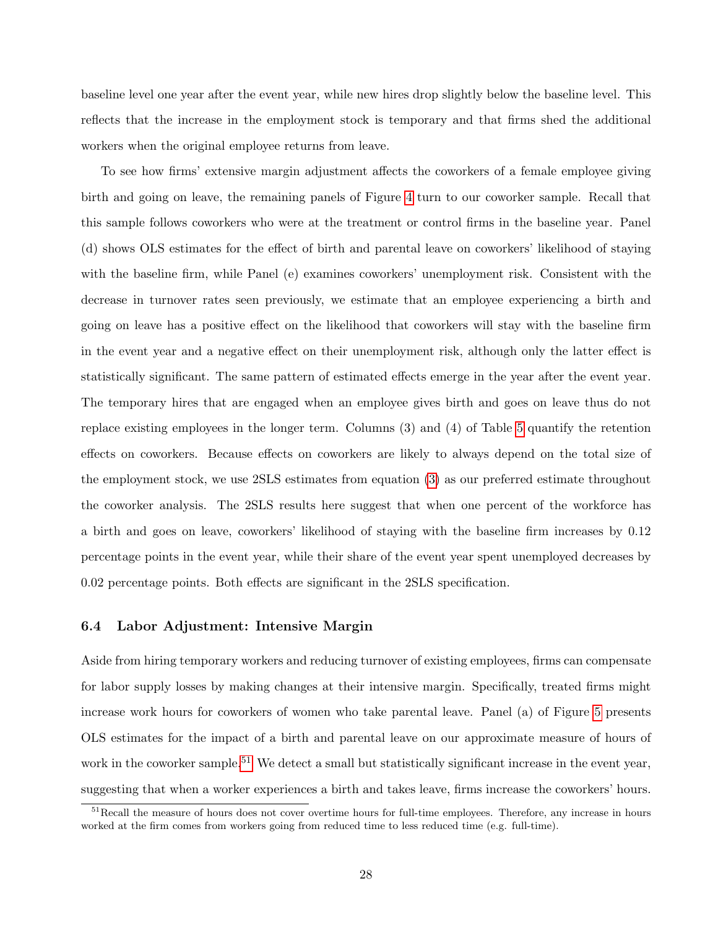baseline level one year after the event year, while new hires drop slightly below the baseline level. This reflects that the increase in the employment stock is temporary and that firms shed the additional workers when the original employee returns from leave.

To see how firms' extensive margin adjustment affects the coworkers of a female employee giving birth and going on leave, the remaining panels of Figure [4](#page-45-0) turn to our coworker sample. Recall that this sample follows coworkers who were at the treatment or control firms in the baseline year. Panel (d) shows OLS estimates for the effect of birth and parental leave on coworkers' likelihood of staying with the baseline firm, while Panel (e) examines coworkers' unemployment risk. Consistent with the decrease in turnover rates seen previously, we estimate that an employee experiencing a birth and going on leave has a positive effect on the likelihood that coworkers will stay with the baseline firm in the event year and a negative effect on their unemployment risk, although only the latter effect is statistically significant. The same pattern of estimated effects emerge in the year after the event year. The temporary hires that are engaged when an employee gives birth and goes on leave thus do not replace existing employees in the longer term. Columns (3) and (4) of Table [5](#page-53-0) quantify the retention effects on coworkers. Because effects on coworkers are likely to always depend on the total size of the employment stock, we use 2SLS estimates from equation [\(3\)](#page-20-1) as our preferred estimate throughout the coworker analysis. The 2SLS results here suggest that when one percent of the workforce has a birth and goes on leave, coworkers' likelihood of staying with the baseline firm increases by 0.12 percentage points in the event year, while their share of the event year spent unemployed decreases by 0.02 percentage points. Both effects are significant in the 2SLS specification.

### 6.4 Labor Adjustment: Intensive Margin

Aside from hiring temporary workers and reducing turnover of existing employees, firms can compensate for labor supply losses by making changes at their intensive margin. Specifically, treated firms might increase work hours for coworkers of women who take parental leave. Panel (a) of Figure [5](#page-46-0) presents OLS estimates for the impact of a birth and parental leave on our approximate measure of hours of work in the coworker sample.<sup>[51](#page-0-0)</sup> We detect a small but statistically significant increase in the event year, suggesting that when a worker experiences a birth and takes leave, firms increase the coworkers' hours.

<sup>&</sup>lt;sup>51</sup>Recall the measure of hours does not cover overtime hours for full-time employees. Therefore, any increase in hours worked at the firm comes from workers going from reduced time to less reduced time (e.g. full-time).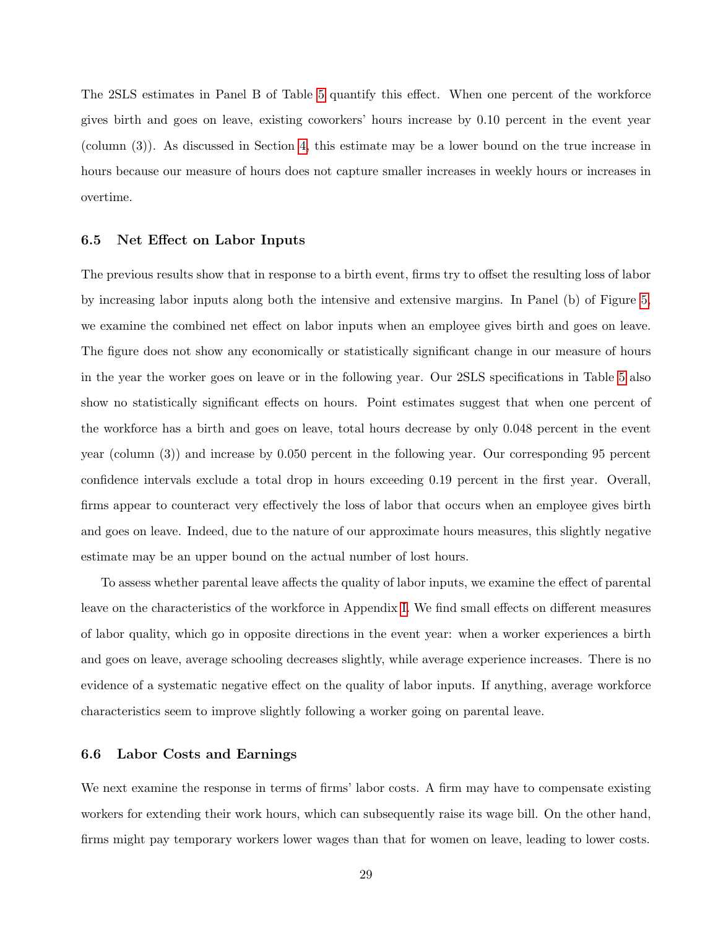The 2SLS estimates in Panel B of Table [5](#page-53-0) quantify this effect. When one percent of the workforce gives birth and goes on leave, existing coworkers' hours increase by 0.10 percent in the event year (column (3)). As discussed in Section [4,](#page-11-0) this estimate may be a lower bound on the true increase in hours because our measure of hours does not capture smaller increases in weekly hours or increases in overtime.

### 6.5 Net Effect on Labor Inputs

The previous results show that in response to a birth event, firms try to offset the resulting loss of labor by increasing labor inputs along both the intensive and extensive margins. In Panel (b) of Figure [5,](#page-46-0) we examine the combined net effect on labor inputs when an employee gives birth and goes on leave. The figure does not show any economically or statistically significant change in our measure of hours in the year the worker goes on leave or in the following year. Our 2SLS specifications in Table [5](#page-53-0) also show no statistically significant effects on hours. Point estimates suggest that when one percent of the workforce has a birth and goes on leave, total hours decrease by only 0.048 percent in the event year (column (3)) and increase by 0.050 percent in the following year. Our corresponding 95 percent confidence intervals exclude a total drop in hours exceeding 0.19 percent in the first year. Overall, firms appear to counteract very effectively the loss of labor that occurs when an employee gives birth and goes on leave. Indeed, due to the nature of our approximate hours measures, this slightly negative estimate may be an upper bound on the actual number of lost hours.

To assess whether parental leave affects the quality of labor inputs, we examine the effect of parental leave on the characteristics of the workforce in Appendix [I.](#page-93-0) We find small effects on different measures of labor quality, which go in opposite directions in the event year: when a worker experiences a birth and goes on leave, average schooling decreases slightly, while average experience increases. There is no evidence of a systematic negative effect on the quality of labor inputs. If anything, average workforce characteristics seem to improve slightly following a worker going on parental leave.

### 6.6 Labor Costs and Earnings

We next examine the response in terms of firms' labor costs. A firm may have to compensate existing workers for extending their work hours, which can subsequently raise its wage bill. On the other hand, firms might pay temporary workers lower wages than that for women on leave, leading to lower costs.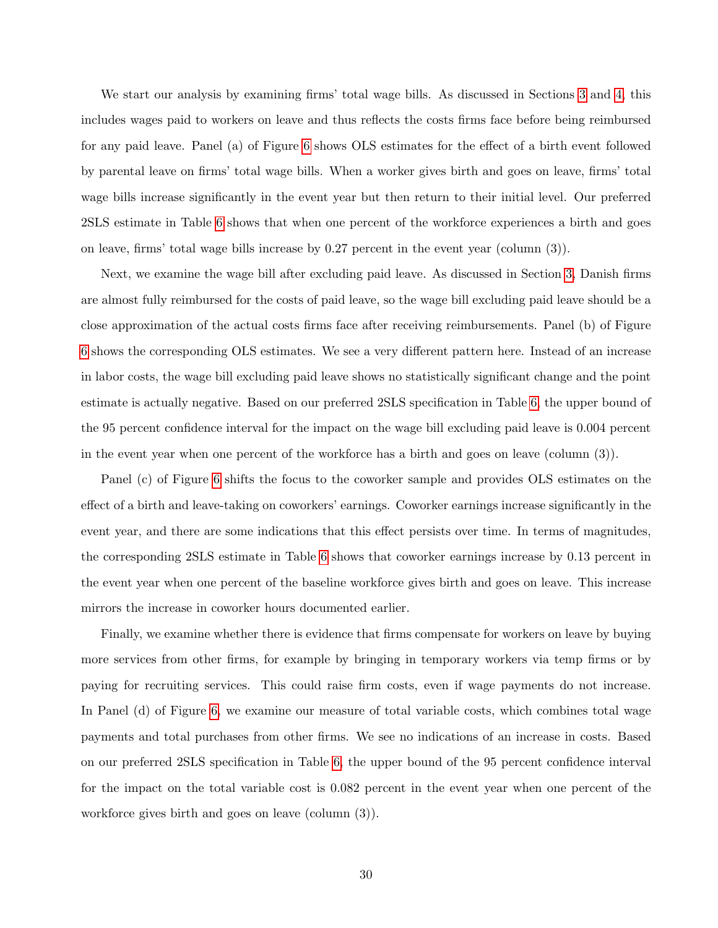We start our analysis by examining firms' total wage bills. As discussed in Sections [3](#page-8-0) and [4,](#page-11-0) this includes wages paid to workers on leave and thus reflects the costs firms face before being reimbursed for any paid leave. Panel (a) of Figure [6](#page-47-0) shows OLS estimates for the effect of a birth event followed by parental leave on firms' total wage bills. When a worker gives birth and goes on leave, firms' total wage bills increase significantly in the event year but then return to their initial level. Our preferred 2SLS estimate in Table [6](#page-54-0) shows that when one percent of the workforce experiences a birth and goes on leave, firms' total wage bills increase by 0.27 percent in the event year (column (3)).

Next, we examine the wage bill after excluding paid leave. As discussed in Section [3,](#page-8-0) Danish firms are almost fully reimbursed for the costs of paid leave, so the wage bill excluding paid leave should be a close approximation of the actual costs firms face after receiving reimbursements. Panel (b) of Figure [6](#page-47-0) shows the corresponding OLS estimates. We see a very different pattern here. Instead of an increase in labor costs, the wage bill excluding paid leave shows no statistically significant change and the point estimate is actually negative. Based on our preferred 2SLS specification in Table [6,](#page-54-0) the upper bound of the 95 percent confidence interval for the impact on the wage bill excluding paid leave is 0.004 percent in the event year when one percent of the workforce has a birth and goes on leave (column (3)).

Panel (c) of Figure [6](#page-47-0) shifts the focus to the coworker sample and provides OLS estimates on the effect of a birth and leave-taking on coworkers' earnings. Coworker earnings increase significantly in the event year, and there are some indications that this effect persists over time. In terms of magnitudes, the corresponding 2SLS estimate in Table [6](#page-54-0) shows that coworker earnings increase by 0.13 percent in the event year when one percent of the baseline workforce gives birth and goes on leave. This increase mirrors the increase in coworker hours documented earlier.

Finally, we examine whether there is evidence that firms compensate for workers on leave by buying more services from other firms, for example by bringing in temporary workers via temp firms or by paying for recruiting services. This could raise firm costs, even if wage payments do not increase. In Panel (d) of Figure [6,](#page-47-0) we examine our measure of total variable costs, which combines total wage payments and total purchases from other firms. We see no indications of an increase in costs. Based on our preferred 2SLS specification in Table [6,](#page-54-0) the upper bound of the 95 percent confidence interval for the impact on the total variable cost is 0.082 percent in the event year when one percent of the workforce gives birth and goes on leave (column (3)).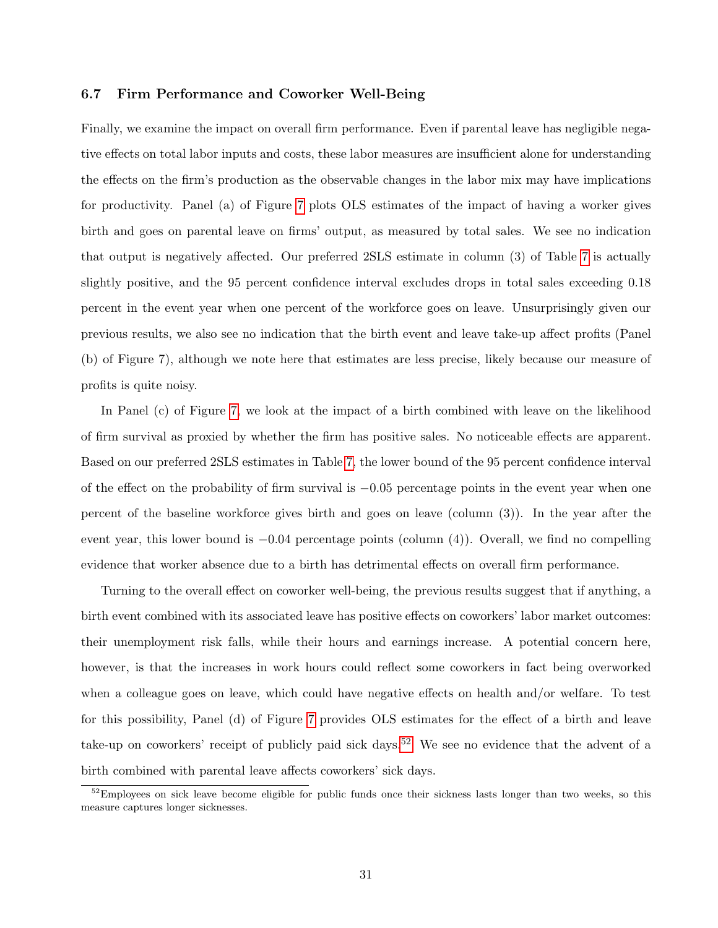### 6.7 Firm Performance and Coworker Well-Being

Finally, we examine the impact on overall firm performance. Even if parental leave has negligible negative effects on total labor inputs and costs, these labor measures are insufficient alone for understanding the effects on the firm's production as the observable changes in the labor mix may have implications for productivity. Panel (a) of Figure [7](#page-48-0) plots OLS estimates of the impact of having a worker gives birth and goes on parental leave on firms' output, as measured by total sales. We see no indication that output is negatively affected. Our preferred 2SLS estimate in column (3) of Table [7](#page-55-0) is actually slightly positive, and the 95 percent confidence interval excludes drops in total sales exceeding 0.18 percent in the event year when one percent of the workforce goes on leave. Unsurprisingly given our previous results, we also see no indication that the birth event and leave take-up affect profits (Panel (b) of Figure 7), although we note here that estimates are less precise, likely because our measure of profits is quite noisy.

In Panel (c) of Figure [7,](#page-48-0) we look at the impact of a birth combined with leave on the likelihood of firm survival as proxied by whether the firm has positive sales. No noticeable effects are apparent. Based on our preferred 2SLS estimates in Table [7,](#page-55-0) the lower bound of the 95 percent confidence interval of the effect on the probability of firm survival is −0.05 percentage points in the event year when one percent of the baseline workforce gives birth and goes on leave (column (3)). In the year after the event year, this lower bound is  $-0.04$  percentage points (column (4)). Overall, we find no compelling evidence that worker absence due to a birth has detrimental effects on overall firm performance.

Turning to the overall effect on coworker well-being, the previous results suggest that if anything, a birth event combined with its associated leave has positive effects on coworkers' labor market outcomes: their unemployment risk falls, while their hours and earnings increase. A potential concern here, however, is that the increases in work hours could reflect some coworkers in fact being overworked when a colleague goes on leave, which could have negative effects on health and/or welfare. To test for this possibility, Panel (d) of Figure [7](#page-48-0) provides OLS estimates for the effect of a birth and leave take-up on coworkers' receipt of publicly paid sick days.<sup>[52](#page-0-0)</sup> We see no evidence that the advent of a birth combined with parental leave affects coworkers' sick days.

 $52$ Employees on sick leave become eligible for public funds once their sickness lasts longer than two weeks, so this measure captures longer sicknesses.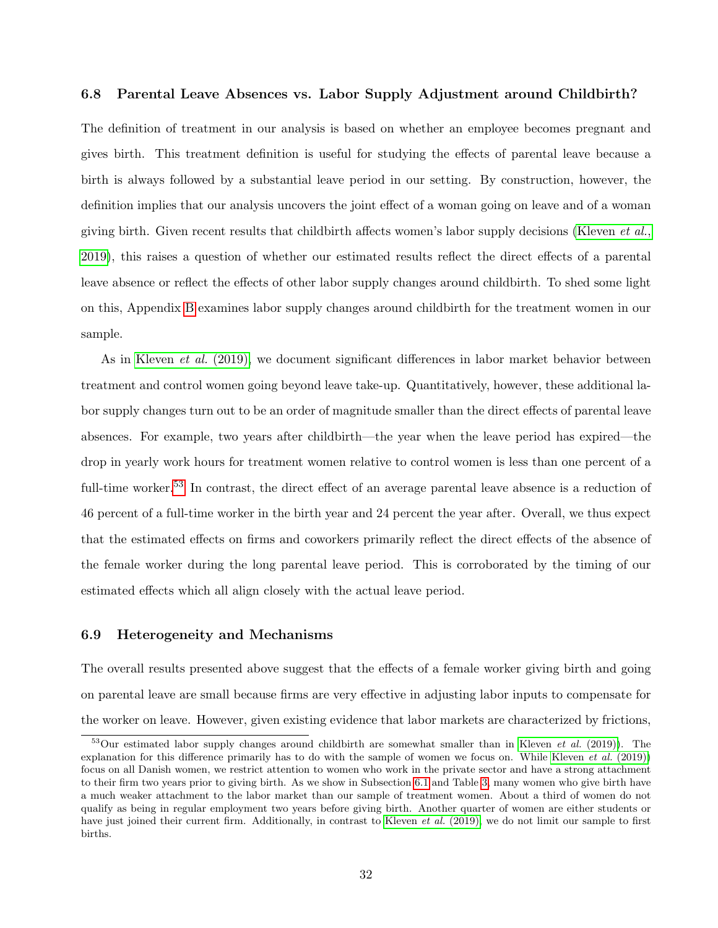### 6.8 Parental Leave Absences vs. Labor Supply Adjustment around Childbirth?

The definition of treatment in our analysis is based on whether an employee becomes pregnant and gives birth. This treatment definition is useful for studying the effects of parental leave because a birth is always followed by a substantial leave period in our setting. By construction, however, the definition implies that our analysis uncovers the joint effect of a woman going on leave and of a woman giving birth. Given recent results that childbirth affects women's labor supply decisions [\(Kleven](#page-41-1)  $et al.,$ [2019\)](#page-41-1), this raises a question of whether our estimated results reflect the direct effects of a parental leave absence or reflect the effects of other labor supply changes around childbirth. To shed some light on this, Appendix [B](#page-64-0) examines labor supply changes around childbirth for the treatment women in our sample.

As in [Kleven](#page-41-1) *et al.* (2019), we document significant differences in labor market behavior between treatment and control women going beyond leave take-up. Quantitatively, however, these additional labor supply changes turn out to be an order of magnitude smaller than the direct effects of parental leave absences. For example, two years after childbirth—the year when the leave period has expired—the drop in yearly work hours for treatment women relative to control women is less than one percent of a full-time worker.<sup>[53](#page-0-0)</sup> In contrast, the direct effect of an average parental leave absence is a reduction of 46 percent of a full-time worker in the birth year and 24 percent the year after. Overall, we thus expect that the estimated effects on firms and coworkers primarily reflect the direct effects of the absence of the female worker during the long parental leave period. This is corroborated by the timing of our estimated effects which all align closely with the actual leave period.

### 6.9 Heterogeneity and Mechanisms

The overall results presented above suggest that the effects of a female worker giving birth and going on parental leave are small because firms are very effective in adjusting labor inputs to compensate for the worker on leave. However, given existing evidence that labor markets are characterized by frictions,

 $53$ Our estimated labor supply changes around childbirth are somewhat smaller than in [Kleven](#page-41-1) *et al.* (2019)). The explanation for this difference primarily has to do with the sample of women we focus on. While [Kleven](#page-41-1) *et al.* (2019)) focus on all Danish women, we restrict attention to women who work in the private sector and have a strong attachment to their firm two years prior to giving birth. As we show in Subsection [6.1](#page-22-0) and Table [3,](#page-51-0) many women who give birth have a much weaker attachment to the labor market than our sample of treatment women. About a third of women do not qualify as being in regular employment two years before giving birth. Another quarter of women are either students or have just joined their current firm. Additionally, in contrast to [Kleven](#page-41-1) et al. (2019), we do not limit our sample to first births.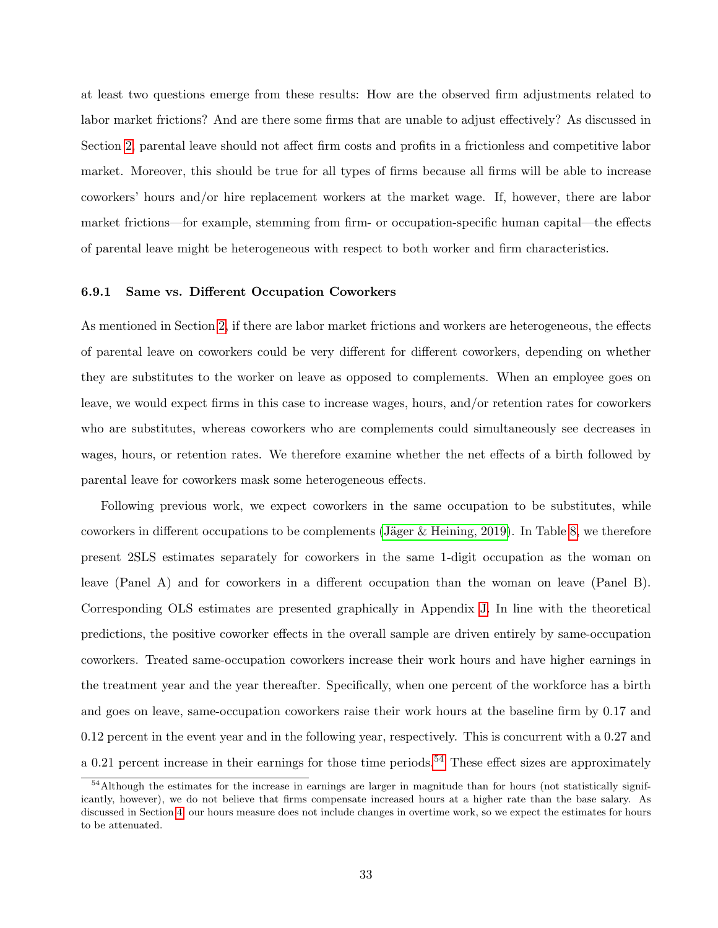at least two questions emerge from these results: How are the observed firm adjustments related to labor market frictions? And are there some firms that are unable to adjust effectively? As discussed in Section [2,](#page-6-0) parental leave should not affect firm costs and profits in a frictionless and competitive labor market. Moreover, this should be true for all types of firms because all firms will be able to increase coworkers' hours and/or hire replacement workers at the market wage. If, however, there are labor market frictions—for example, stemming from firm- or occupation-specific human capital—the effects of parental leave might be heterogeneous with respect to both worker and firm characteristics.

### 6.9.1 Same vs. Different Occupation Coworkers

As mentioned in Section [2,](#page-6-0) if there are labor market frictions and workers are heterogeneous, the effects of parental leave on coworkers could be very different for different coworkers, depending on whether they are substitutes to the worker on leave as opposed to complements. When an employee goes on leave, we would expect firms in this case to increase wages, hours, and/or retention rates for coworkers who are substitutes, whereas coworkers who are complements could simultaneously see decreases in wages, hours, or retention rates. We therefore examine whether the net effects of a birth followed by parental leave for coworkers mask some heterogeneous effects.

Following previous work, we expect coworkers in the same occupation to be substitutes, while coworkers in different occupations to be complements (Jäger  $&$  Heining, 2019). In Table [8,](#page-56-0) we therefore present 2SLS estimates separately for coworkers in the same 1-digit occupation as the woman on leave (Panel A) and for coworkers in a different occupation than the woman on leave (Panel B). Corresponding OLS estimates are presented graphically in Appendix [J.](#page-96-0) In line with the theoretical predictions, the positive coworker effects in the overall sample are driven entirely by same-occupation coworkers. Treated same-occupation coworkers increase their work hours and have higher earnings in the treatment year and the year thereafter. Specifically, when one percent of the workforce has a birth and goes on leave, same-occupation coworkers raise their work hours at the baseline firm by 0.17 and 0.12 percent in the event year and in the following year, respectively. This is concurrent with a 0.27 and a 0.21 percent increase in their earnings for those time periods.<sup>[54](#page-0-0)</sup> These effect sizes are approximately

<sup>&</sup>lt;sup>54</sup>Although the estimates for the increase in earnings are larger in magnitude than for hours (not statistically significantly, however), we do not believe that firms compensate increased hours at a higher rate than the base salary. As discussed in Section [4,](#page-11-0) our hours measure does not include changes in overtime work, so we expect the estimates for hours to be attenuated.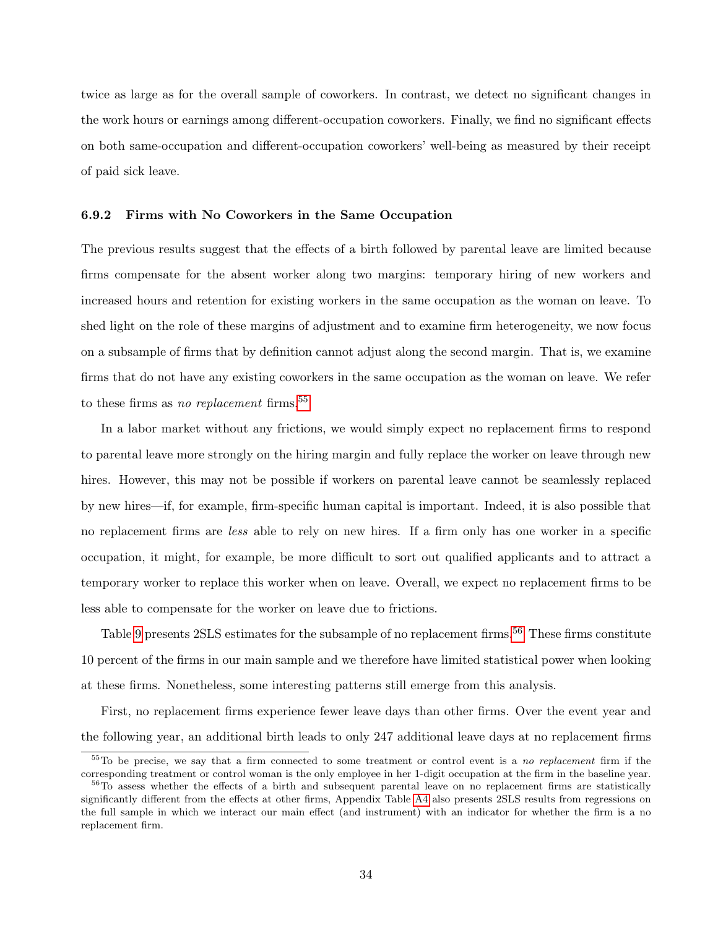twice as large as for the overall sample of coworkers. In contrast, we detect no significant changes in the work hours or earnings among different-occupation coworkers. Finally, we find no significant effects on both same-occupation and different-occupation coworkers' well-being as measured by their receipt of paid sick leave.

### 6.9.2 Firms with No Coworkers in the Same Occupation

The previous results suggest that the effects of a birth followed by parental leave are limited because firms compensate for the absent worker along two margins: temporary hiring of new workers and increased hours and retention for existing workers in the same occupation as the woman on leave. To shed light on the role of these margins of adjustment and to examine firm heterogeneity, we now focus on a subsample of firms that by definition cannot adjust along the second margin. That is, we examine firms that do not have any existing coworkers in the same occupation as the woman on leave. We refer to these firms as no replacement firms.<sup>[55](#page-0-0)</sup>

In a labor market without any frictions, we would simply expect no replacement firms to respond to parental leave more strongly on the hiring margin and fully replace the worker on leave through new hires. However, this may not be possible if workers on parental leave cannot be seamlessly replaced by new hires—if, for example, firm-specific human capital is important. Indeed, it is also possible that no replacement firms are less able to rely on new hires. If a firm only has one worker in a specific occupation, it might, for example, be more difficult to sort out qualified applicants and to attract a temporary worker to replace this worker when on leave. Overall, we expect no replacement firms to be less able to compensate for the worker on leave due to frictions.

Table [9](#page-57-0) presents 2SLS estimates for the subsample of no replacement firms.<sup>[56](#page-0-0)</sup> These firms constitute 10 percent of the firms in our main sample and we therefore have limited statistical power when looking at these firms. Nonetheless, some interesting patterns still emerge from this analysis.

First, no replacement firms experience fewer leave days than other firms. Over the event year and the following year, an additional birth leads to only 247 additional leave days at no replacement firms

 $55T$ o be precise, we say that a firm connected to some treatment or control event is a no replacement firm if the corresponding treatment or control woman is the only employee in her 1-digit occupation at the firm in the baseline year.

<sup>&</sup>lt;sup>56</sup>To assess whether the effects of a birth and subsequent parental leave on no replacement firms are statistically significantly different from the effects at other firms, Appendix Table [A4](#page-62-0) also presents 2SLS results from regressions on the full sample in which we interact our main effect (and instrument) with an indicator for whether the firm is a no replacement firm.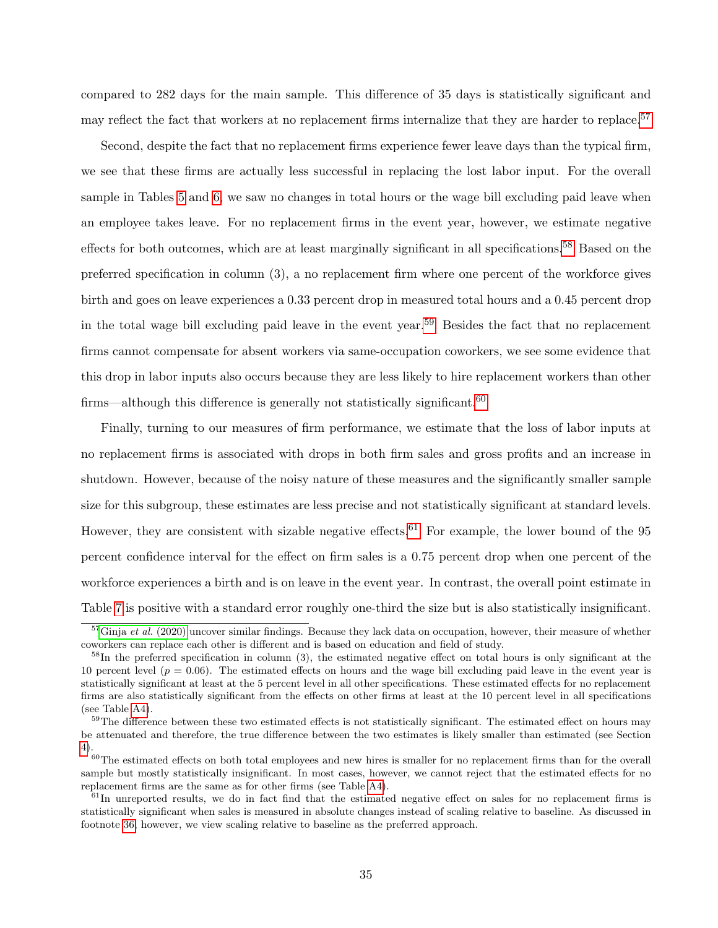compared to 282 days for the main sample. This difference of 35 days is statistically significant and may reflect the fact that workers at no replacement firms internalize that they are harder to replace.<sup>[57](#page-0-0)</sup>

Second, despite the fact that no replacement firms experience fewer leave days than the typical firm, we see that these firms are actually less successful in replacing the lost labor input. For the overall sample in Tables [5](#page-53-0) and [6,](#page-54-0) we saw no changes in total hours or the wage bill excluding paid leave when an employee takes leave. For no replacement firms in the event year, however, we estimate negative effects for both outcomes, which are at least marginally significant in all specifications.<sup>[58](#page-0-0)</sup> Based on the preferred specification in column (3), a no replacement firm where one percent of the workforce gives birth and goes on leave experiences a 0.33 percent drop in measured total hours and a 0.45 percent drop in the total wage bill excluding paid leave in the event year.[59](#page-0-0) Besides the fact that no replacement firms cannot compensate for absent workers via same-occupation coworkers, we see some evidence that this drop in labor inputs also occurs because they are less likely to hire replacement workers than other firms—although this difference is generally not statistically significant.<sup>[60](#page-0-0)</sup>

Finally, turning to our measures of firm performance, we estimate that the loss of labor inputs at no replacement firms is associated with drops in both firm sales and gross profits and an increase in shutdown. However, because of the noisy nature of these measures and the significantly smaller sample size for this subgroup, these estimates are less precise and not statistically significant at standard levels. However, they are consistent with sizable negative effects.<sup>[61](#page-0-0)</sup> For example, the lower bound of the 95 percent confidence interval for the effect on firm sales is a 0.75 percent drop when one percent of the workforce experiences a birth and is on leave in the event year. In contrast, the overall point estimate in Table [7](#page-55-0) is positive with a standard error roughly one-third the size but is also statistically insignificant.

 $\frac{57}{3}$ Ginja et al. [\(2020\)](#page-40-2) uncover similar findings. Because they lack data on occupation, however, their measure of whether coworkers can replace each other is different and is based on education and field of study.

 $58$ In the preferred specification in column (3), the estimated negative effect on total hours is only significant at the 10 percent level  $(p = 0.06)$ . The estimated effects on hours and the wage bill excluding paid leave in the event year is statistically significant at least at the 5 percent level in all other specifications. These estimated effects for no replacement firms are also statistically significant from the effects on other firms at least at the 10 percent level in all specifications (see Table [A4\)](#page-62-0).

 $59$ The difference between these two estimated effects is not statistically significant. The estimated effect on hours may be attenuated and therefore, the true difference between the two estimates is likely smaller than estimated (see Section [4\)](#page-11-0).

 $60$ The estimated effects on both total employees and new hires is smaller for no replacement firms than for the overall sample but mostly statistically insignificant. In most cases, however, we cannot reject that the estimated effects for no replacement firms are the same as for other firms (see Table [A4\)](#page-62-0).

 $61$ In unreported results, we do in fact find that the estimated negative effect on sales for no replacement firms is statistically significant when sales is measured in absolute changes instead of scaling relative to baseline. As discussed in footnote [36,](#page-17-0) however, we view scaling relative to baseline as the preferred approach.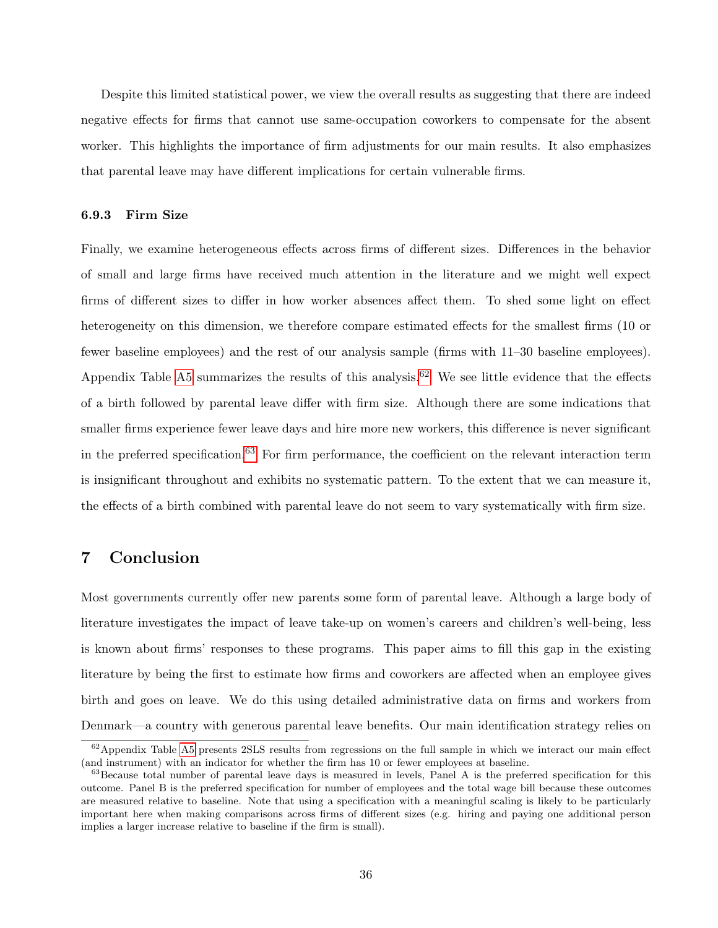Despite this limited statistical power, we view the overall results as suggesting that there are indeed negative effects for firms that cannot use same-occupation coworkers to compensate for the absent worker. This highlights the importance of firm adjustments for our main results. It also emphasizes that parental leave may have different implications for certain vulnerable firms.

## 6.9.3 Firm Size

Finally, we examine heterogeneous effects across firms of different sizes. Differences in the behavior of small and large firms have received much attention in the literature and we might well expect firms of different sizes to differ in how worker absences affect them. To shed some light on effect heterogeneity on this dimension, we therefore compare estimated effects for the smallest firms (10 or fewer baseline employees) and the rest of our analysis sample (firms with 11–30 baseline employees). Appendix Table [A5](#page-63-0) summarizes the results of this analysis.<sup>[62](#page-0-0)</sup> We see little evidence that the effects of a birth followed by parental leave differ with firm size. Although there are some indications that smaller firms experience fewer leave days and hire more new workers, this difference is never significant in the preferred specification.<sup>[63](#page-0-0)</sup> For firm performance, the coefficient on the relevant interaction term is insignificant throughout and exhibits no systematic pattern. To the extent that we can measure it, the effects of a birth combined with parental leave do not seem to vary systematically with firm size.

## 7 Conclusion

Most governments currently offer new parents some form of parental leave. Although a large body of literature investigates the impact of leave take-up on women's careers and children's well-being, less is known about firms' responses to these programs. This paper aims to fill this gap in the existing literature by being the first to estimate how firms and coworkers are affected when an employee gives birth and goes on leave. We do this using detailed administrative data on firms and workers from Denmark—a country with generous parental leave benefits. Our main identification strategy relies on

 $62$ Appendix Table [A5](#page-63-0) presents 2SLS results from regressions on the full sample in which we interact our main effect (and instrument) with an indicator for whether the firm has 10 or fewer employees at baseline.

 $63$ Because total number of parental leave days is measured in levels, Panel A is the preferred specification for this outcome. Panel B is the preferred specification for number of employees and the total wage bill because these outcomes are measured relative to baseline. Note that using a specification with a meaningful scaling is likely to be particularly important here when making comparisons across firms of different sizes (e.g. hiring and paying one additional person implies a larger increase relative to baseline if the firm is small).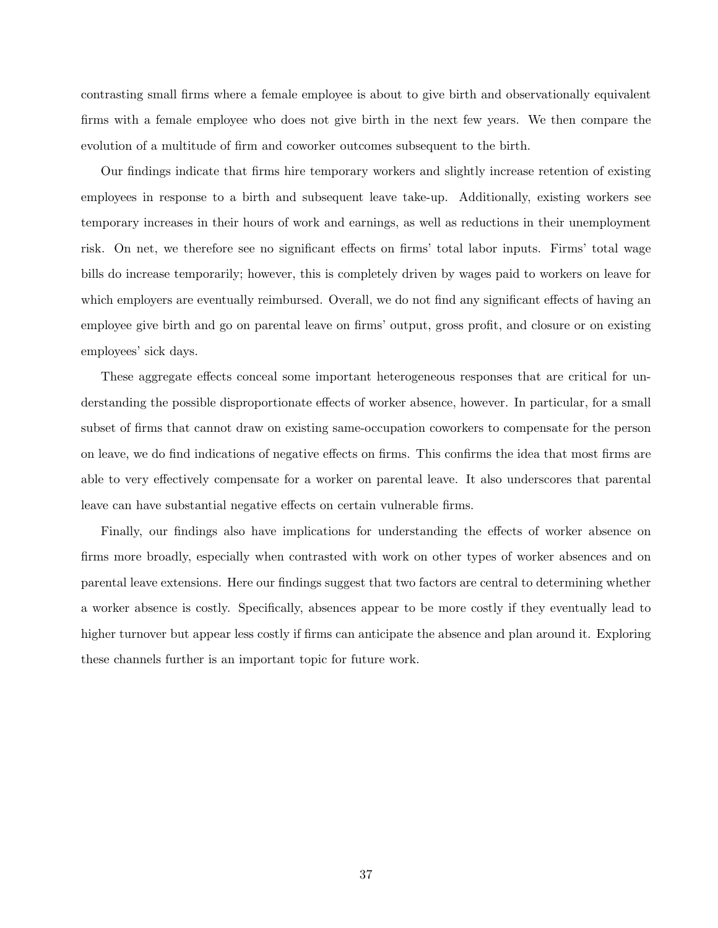contrasting small firms where a female employee is about to give birth and observationally equivalent firms with a female employee who does not give birth in the next few years. We then compare the evolution of a multitude of firm and coworker outcomes subsequent to the birth.

Our findings indicate that firms hire temporary workers and slightly increase retention of existing employees in response to a birth and subsequent leave take-up. Additionally, existing workers see temporary increases in their hours of work and earnings, as well as reductions in their unemployment risk. On net, we therefore see no significant effects on firms' total labor inputs. Firms' total wage bills do increase temporarily; however, this is completely driven by wages paid to workers on leave for which employers are eventually reimbursed. Overall, we do not find any significant effects of having an employee give birth and go on parental leave on firms' output, gross profit, and closure or on existing employees' sick days.

These aggregate effects conceal some important heterogeneous responses that are critical for understanding the possible disproportionate effects of worker absence, however. In particular, for a small subset of firms that cannot draw on existing same-occupation coworkers to compensate for the person on leave, we do find indications of negative effects on firms. This confirms the idea that most firms are able to very effectively compensate for a worker on parental leave. It also underscores that parental leave can have substantial negative effects on certain vulnerable firms.

Finally, our findings also have implications for understanding the effects of worker absence on firms more broadly, especially when contrasted with work on other types of worker absences and on parental leave extensions. Here our findings suggest that two factors are central to determining whether a worker absence is costly. Specifically, absences appear to be more costly if they eventually lead to higher turnover but appear less costly if firms can anticipate the absence and plan around it. Exploring these channels further is an important topic for future work.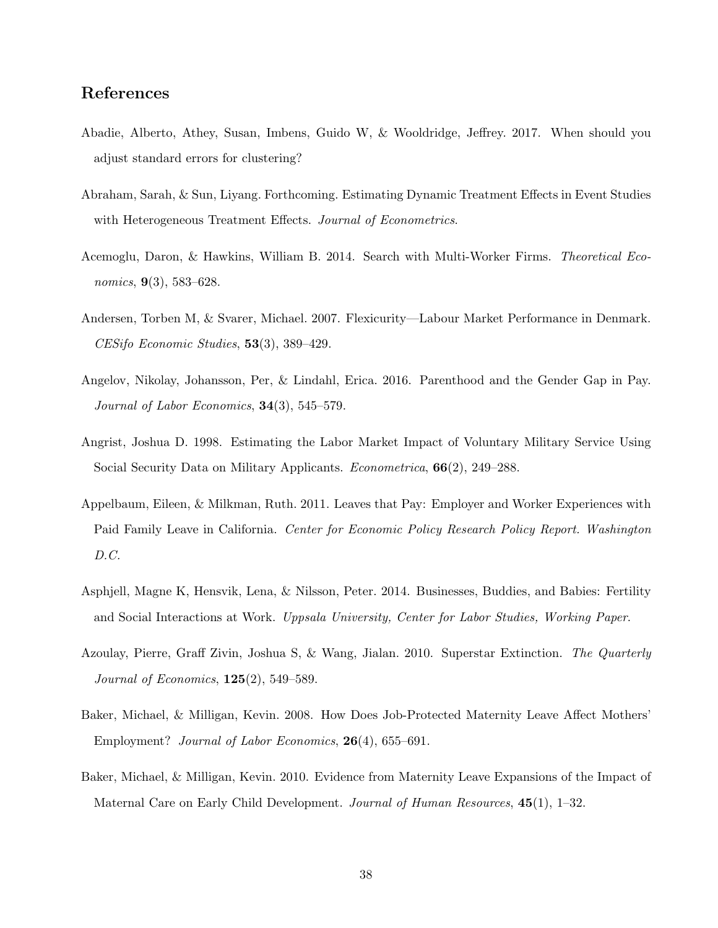# References

- Abadie, Alberto, Athey, Susan, Imbens, Guido W, & Wooldridge, Jeffrey. 2017. When should you adjust standard errors for clustering?
- Abraham, Sarah, & Sun, Liyang. Forthcoming. Estimating Dynamic Treatment Effects in Event Studies with Heterogeneous Treatment Effects. Journal of Econometrics.
- Acemoglu, Daron, & Hawkins, William B. 2014. Search with Multi-Worker Firms. Theoretical Economics, 9(3), 583–628.
- Andersen, Torben M, & Svarer, Michael. 2007. Flexicurity—Labour Market Performance in Denmark. CESifo Economic Studies, 53(3), 389–429.
- Angelov, Nikolay, Johansson, Per, & Lindahl, Erica. 2016. Parenthood and the Gender Gap in Pay. Journal of Labor Economics,  $34(3)$ ,  $545-579$ .
- <span id="page-37-1"></span>Angrist, Joshua D. 1998. Estimating the Labor Market Impact of Voluntary Military Service Using Social Security Data on Military Applicants. Econometrica, 66(2), 249–288.
- Appelbaum, Eileen, & Milkman, Ruth. 2011. Leaves that Pay: Employer and Worker Experiences with Paid Family Leave in California. Center for Economic Policy Research Policy Report. Washington D.C.
- <span id="page-37-0"></span>Asphjell, Magne K, Hensvik, Lena, & Nilsson, Peter. 2014. Businesses, Buddies, and Babies: Fertility and Social Interactions at Work. Uppsala University, Center for Labor Studies, Working Paper.
- Azoulay, Pierre, Graff Zivin, Joshua S, & Wang, Jialan. 2010. Superstar Extinction. The Quarterly Journal of Economics, 125(2), 549–589.
- Baker, Michael, & Milligan, Kevin. 2008. How Does Job-Protected Maternity Leave Affect Mothers' Employment? Journal of Labor Economics, 26(4), 655–691.
- Baker, Michael, & Milligan, Kevin. 2010. Evidence from Maternity Leave Expansions of the Impact of Maternal Care on Early Child Development. Journal of Human Resources,  $45(1)$ , 1–32.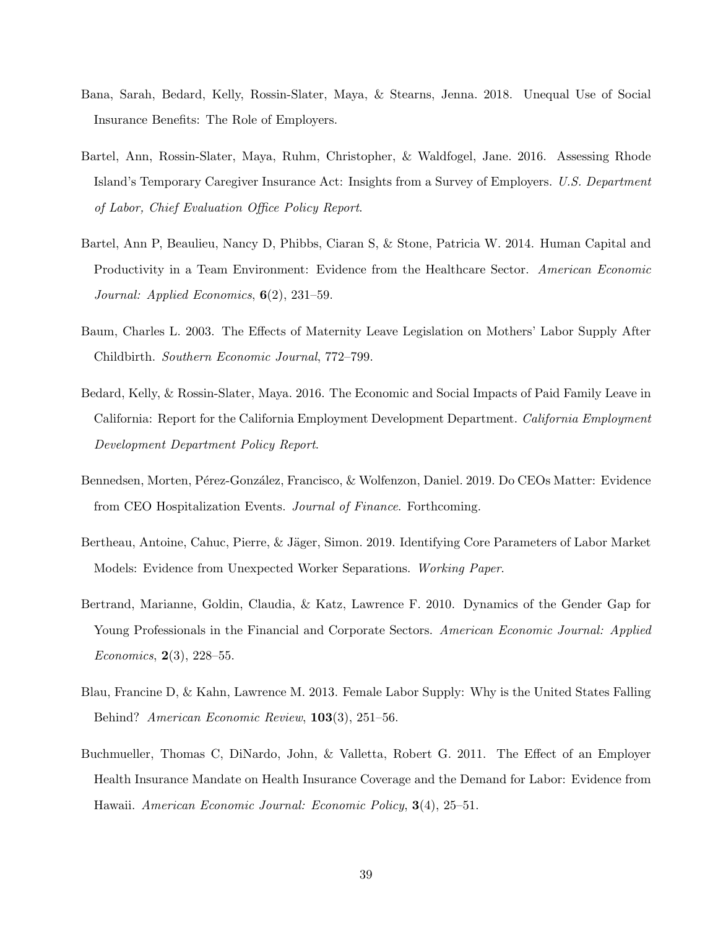- Bana, Sarah, Bedard, Kelly, Rossin-Slater, Maya, & Stearns, Jenna. 2018. Unequal Use of Social Insurance Benefits: The Role of Employers.
- Bartel, Ann, Rossin-Slater, Maya, Ruhm, Christopher, & Waldfogel, Jane. 2016. Assessing Rhode Island's Temporary Caregiver Insurance Act: Insights from a Survey of Employers. U.S. Department of Labor, Chief Evaluation Office Policy Report.
- Bartel, Ann P, Beaulieu, Nancy D, Phibbs, Ciaran S, & Stone, Patricia W. 2014. Human Capital and Productivity in a Team Environment: Evidence from the Healthcare Sector. American Economic Journal: Applied Economics,  $6(2)$ , 231–59.
- Baum, Charles L. 2003. The Effects of Maternity Leave Legislation on Mothers' Labor Supply After Childbirth. Southern Economic Journal, 772–799.
- Bedard, Kelly, & Rossin-Slater, Maya. 2016. The Economic and Social Impacts of Paid Family Leave in California: Report for the California Employment Development Department. California Employment Development Department Policy Report.
- Bennedsen, Morten, Pérez-González, Francisco, & Wolfenzon, Daniel. 2019. Do CEOs Matter: Evidence from CEO Hospitalization Events. Journal of Finance. Forthcoming.
- Bertheau, Antoine, Cahuc, Pierre, & Jäger, Simon. 2019. Identifying Core Parameters of Labor Market Models: Evidence from Unexpected Worker Separations. Working Paper.
- Bertrand, Marianne, Goldin, Claudia, & Katz, Lawrence F. 2010. Dynamics of the Gender Gap for Young Professionals in the Financial and Corporate Sectors. American Economic Journal: Applied *Economics*,  $2(3)$ ,  $228-55$ .
- Blau, Francine D, & Kahn, Lawrence M. 2013. Female Labor Supply: Why is the United States Falling Behind? American Economic Review, 103(3), 251–56.
- Buchmueller, Thomas C, DiNardo, John, & Valletta, Robert G. 2011. The Effect of an Employer Health Insurance Mandate on Health Insurance Coverage and the Demand for Labor: Evidence from Hawaii. American Economic Journal: Economic Policy, 3(4), 25–51.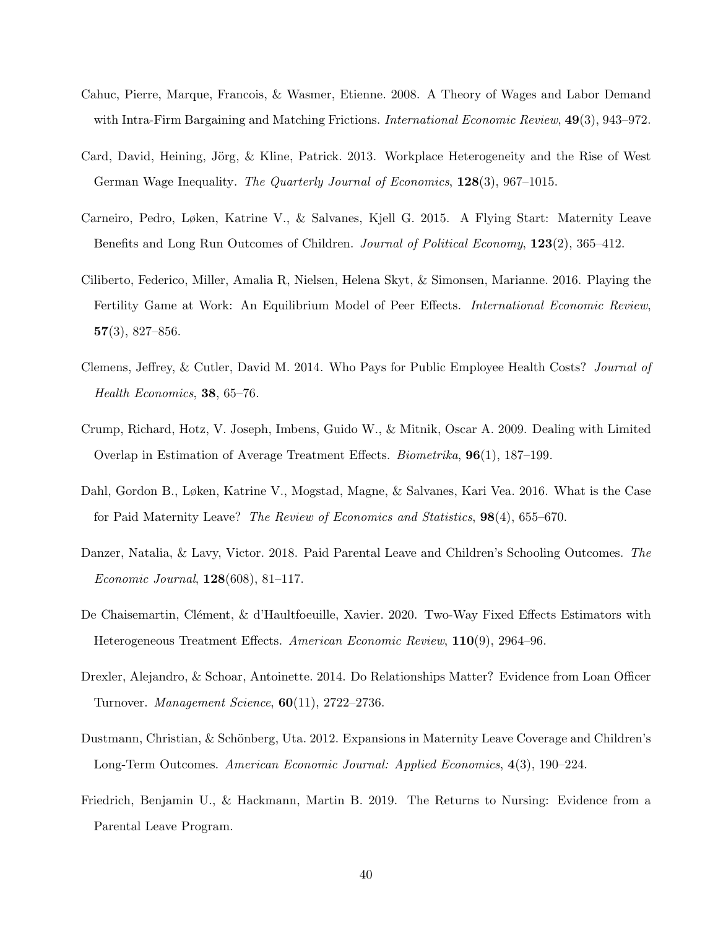- Cahuc, Pierre, Marque, Francois, & Wasmer, Etienne. 2008. A Theory of Wages and Labor Demand with Intra-Firm Bargaining and Matching Frictions. *International Economic Review*, 49(3), 943–972.
- Card, David, Heining, Jörg, & Kline, Patrick. 2013. Workplace Heterogeneity and the Rise of West German Wage Inequality. The Quarterly Journal of Economics, 128(3), 967–1015.
- Carneiro, Pedro, Løken, Katrine V., & Salvanes, Kjell G. 2015. A Flying Start: Maternity Leave Benefits and Long Run Outcomes of Children. Journal of Political Economy, 123(2), 365–412.
- <span id="page-39-0"></span>Ciliberto, Federico, Miller, Amalia R, Nielsen, Helena Skyt, & Simonsen, Marianne. 2016. Playing the Fertility Game at Work: An Equilibrium Model of Peer Effects. *International Economic Review*,  $57(3), 827-856.$
- Clemens, Jeffrey, & Cutler, David M. 2014. Who Pays for Public Employee Health Costs? Journal of Health Economics, 38, 65–76.
- Crump, Richard, Hotz, V. Joseph, Imbens, Guido W., & Mitnik, Oscar A. 2009. Dealing with Limited Overlap in Estimation of Average Treatment Effects. Biometrika, 96(1), 187–199.
- Dahl, Gordon B., Løken, Katrine V., Mogstad, Magne, & Salvanes, Kari Vea. 2016. What is the Case for Paid Maternity Leave? The Review of Economics and Statistics, 98(4), 655–670.
- Danzer, Natalia, & Lavy, Victor. 2018. Paid Parental Leave and Children's Schooling Outcomes. The Economic Journal, 128(608), 81–117.
- De Chaisemartin, Clément, & d'Haultfoeuille, Xavier. 2020. Two-Way Fixed Effects Estimators with Heterogeneous Treatment Effects. American Economic Review, 110(9), 2964–96.
- Drexler, Alejandro, & Schoar, Antoinette. 2014. Do Relationships Matter? Evidence from Loan Officer Turnover. Management Science, 60(11), 2722–2736.
- Dustmann, Christian, & Schönberg, Uta. 2012. Expansions in Maternity Leave Coverage and Children's Long-Term Outcomes. American Economic Journal: Applied Economics, 4(3), 190–224.
- Friedrich, Benjamin U., & Hackmann, Martin B. 2019. The Returns to Nursing: Evidence from a Parental Leave Program.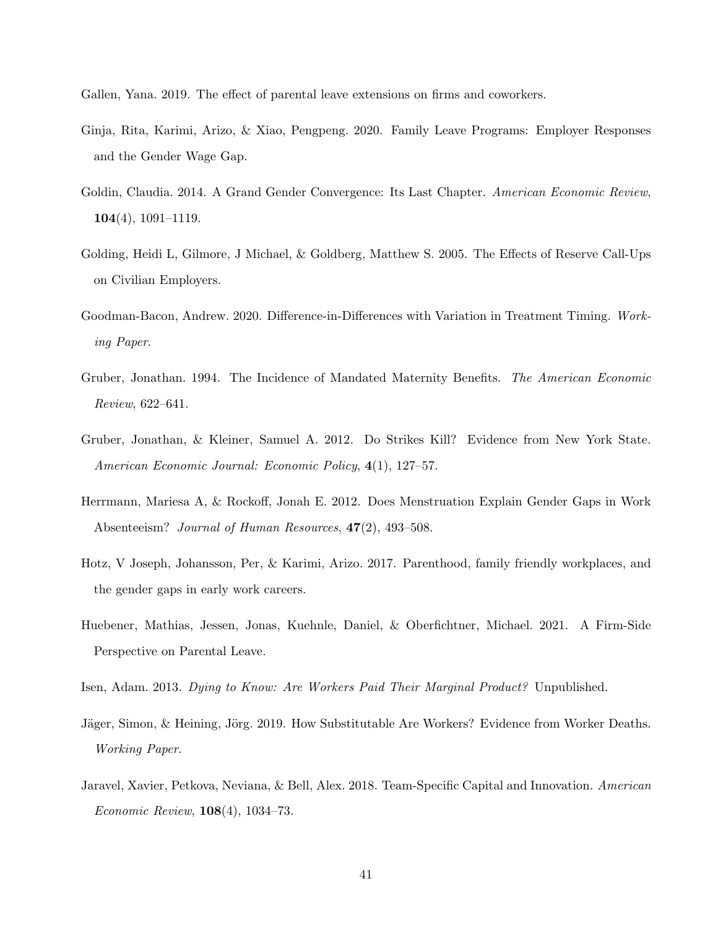Gallen, Yana. 2019. The effect of parental leave extensions on firms and coworkers.

- Ginja, Rita, Karimi, Arizo, & Xiao, Pengpeng. 2020. Family Leave Programs: Employer Responses and the Gender Wage Gap.
- Goldin, Claudia. 2014. A Grand Gender Convergence: Its Last Chapter. American Economic Review,  $104(4)$ , 1091–1119.
- Golding, Heidi L, Gilmore, J Michael, & Goldberg, Matthew S. 2005. The Effects of Reserve Call-Ups on Civilian Employers.
- Goodman-Bacon, Andrew. 2020. Difference-in-Differences with Variation in Treatment Timing. Working Paper.
- Gruber, Jonathan. 1994. The Incidence of Mandated Maternity Benefits. The American Economic Review, 622–641.
- Gruber, Jonathan, & Kleiner, Samuel A. 2012. Do Strikes Kill? Evidence from New York State. American Economic Journal: Economic Policy, 4(1), 127–57.
- Herrmann, Mariesa A, & Rockoff, Jonah E. 2012. Does Menstruation Explain Gender Gaps in Work Absenteeism? Journal of Human Resources,  $47(2)$ , 493-508.
- Hotz, V Joseph, Johansson, Per, & Karimi, Arizo. 2017. Parenthood, family friendly workplaces, and the gender gaps in early work careers.
- Huebener, Mathias, Jessen, Jonas, Kuehnle, Daniel, & Oberfichtner, Michael. 2021. A Firm-Side Perspective on Parental Leave.
- Isen, Adam. 2013. Dying to Know: Are Workers Paid Their Marginal Product? Unpublished.
- Jäger, Simon, & Heining, Jörg. 2019. How Substitutable Are Workers? Evidence from Worker Deaths. Working Paper.
- Jaravel, Xavier, Petkova, Neviana, & Bell, Alex. 2018. Team-Specific Capital and Innovation. American Economic Review, 108(4), 1034–73.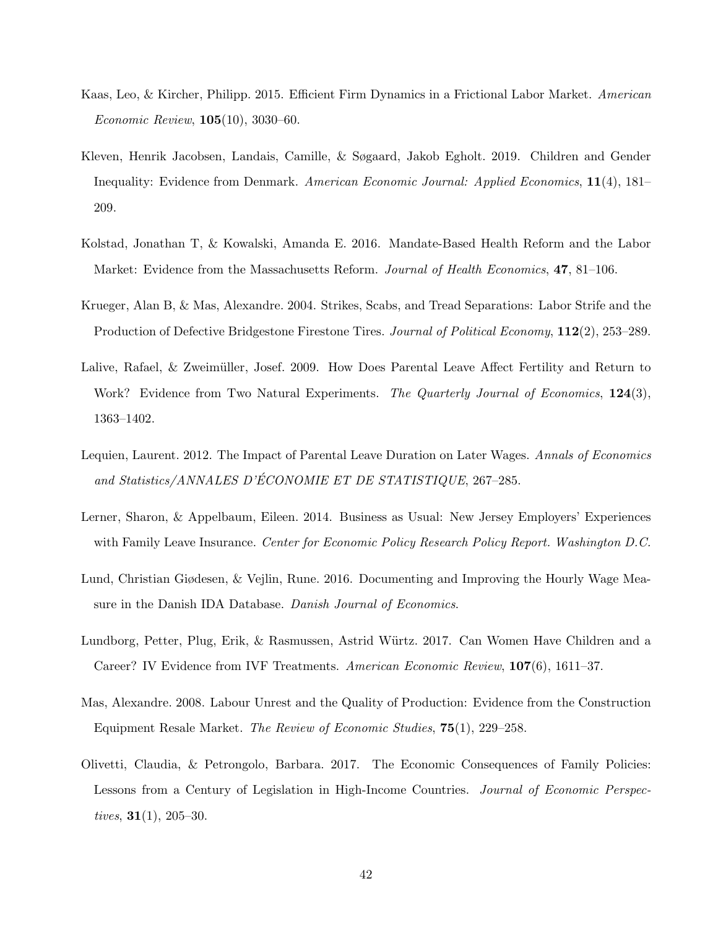- Kaas, Leo, & Kircher, Philipp. 2015. Efficient Firm Dynamics in a Frictional Labor Market. American Economic Review, 105(10), 3030–60.
- <span id="page-41-0"></span>Kleven, Henrik Jacobsen, Landais, Camille, & Søgaard, Jakob Egholt. 2019. Children and Gender Inequality: Evidence from Denmark. American Economic Journal: Applied Economics, 11(4), 181– 209.
- Kolstad, Jonathan T, & Kowalski, Amanda E. 2016. Mandate-Based Health Reform and the Labor Market: Evidence from the Massachusetts Reform. Journal of Health Economics, 47, 81-106.
- Krueger, Alan B, & Mas, Alexandre. 2004. Strikes, Scabs, and Tread Separations: Labor Strife and the Production of Defective Bridgestone Firestone Tires. Journal of Political Economy, 112(2), 253–289.
- Lalive, Rafael, & Zweimüller, Josef. 2009. How Does Parental Leave Affect Fertility and Return to Work? Evidence from Two Natural Experiments. The Quarterly Journal of Economics, 124(3), 1363–1402.
- Lequien, Laurent. 2012. The Impact of Parental Leave Duration on Later Wages. Annals of Economics and Statistics/ANNALES D'ÉCONOMIE ET DE STATISTIQUE, 267-285.
- Lerner, Sharon, & Appelbaum, Eileen. 2014. Business as Usual: New Jersey Employers' Experiences with Family Leave Insurance. Center for Economic Policy Research Policy Report. Washington D.C.
- Lund, Christian Giødesen, & Vejlin, Rune. 2016. Documenting and Improving the Hourly Wage Measure in the Danish IDA Database. Danish Journal of Economics.
- Lundborg, Petter, Plug, Erik, & Rasmussen, Astrid W¨urtz. 2017. Can Women Have Children and a Career? IV Evidence from IVF Treatments. American Economic Review, 107(6), 1611–37.
- Mas, Alexandre. 2008. Labour Unrest and the Quality of Production: Evidence from the Construction Equipment Resale Market. The Review of Economic Studies, 75(1), 229–258.
- Olivetti, Claudia, & Petrongolo, Barbara. 2017. The Economic Consequences of Family Policies: Lessons from a Century of Legislation in High-Income Countries. Journal of Economic Perspectives,  $31(1)$ ,  $205-30$ .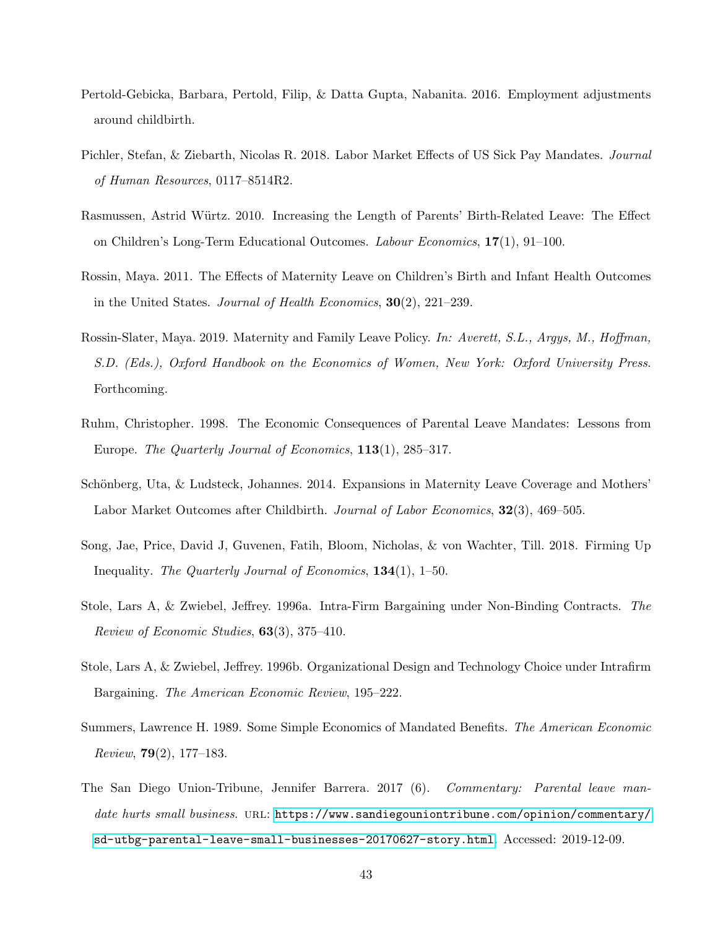- Pertold-Gebicka, Barbara, Pertold, Filip, & Datta Gupta, Nabanita. 2016. Employment adjustments around childbirth.
- Pichler, Stefan, & Ziebarth, Nicolas R. 2018. Labor Market Effects of US Sick Pay Mandates. Journal of Human Resources, 0117–8514R2.
- Rasmussen, Astrid Würtz. 2010. Increasing the Length of Parents' Birth-Related Leave: The Effect on Children's Long-Term Educational Outcomes. Labour Economics, 17(1), 91–100.
- Rossin, Maya. 2011. The Effects of Maternity Leave on Children's Birth and Infant Health Outcomes in the United States. Journal of Health Economics, 30(2), 221–239.
- Rossin-Slater, Maya. 2019. Maternity and Family Leave Policy. In: Averett, S.L., Argys, M., Hoffman, S.D. (Eds.), Oxford Handbook on the Economics of Women, New York: Oxford University Press. Forthcoming.
- Ruhm, Christopher. 1998. The Economic Consequences of Parental Leave Mandates: Lessons from Europe. The Quarterly Journal of Economics, 113(1), 285–317.
- Schönberg, Uta,  $&$  Ludsteck, Johannes. 2014. Expansions in Maternity Leave Coverage and Mothers' Labor Market Outcomes after Childbirth. Journal of Labor Economics, 32(3), 469–505.
- Song, Jae, Price, David J, Guvenen, Fatih, Bloom, Nicholas, & von Wachter, Till. 2018. Firming Up Inequality. The Quarterly Journal of Economics, 134(1), 1–50.
- Stole, Lars A, & Zwiebel, Jeffrey. 1996a. Intra-Firm Bargaining under Non-Binding Contracts. The Review of Economic Studies, 63(3), 375–410.
- Stole, Lars A, & Zwiebel, Jeffrey. 1996b. Organizational Design and Technology Choice under Intrafirm Bargaining. The American Economic Review, 195–222.
- Summers, Lawrence H. 1989. Some Simple Economics of Mandated Benefits. The American Economic Review,  $79(2)$ , 177-183.
- The San Diego Union-Tribune, Jennifer Barrera. 2017 (6). Commentary: Parental leave mandate hurts small business. URL: [https://www.sandiegouniontribune.com/opinion/commentary/](https://www.sandiegouniontribune.com/opinion/commentary/sd-utbg-parental-leave-small-businesses-20170627-story.html) [sd-utbg-parental-leave-small-businesses-20170627-story.html](https://www.sandiegouniontribune.com/opinion/commentary/sd-utbg-parental-leave-small-businesses-20170627-story.html). Accessed: 2019-12-09.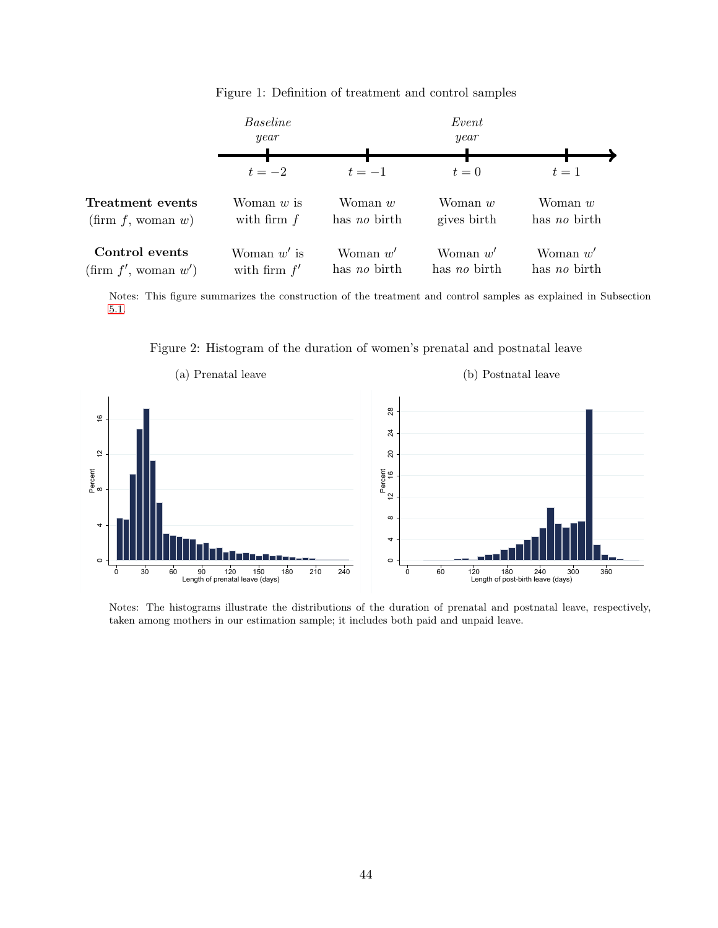Baseline Event year year 4  $t = -2$   $t = -1$   $t = 0$   $t = 1$ Treatment events Woman w is Woman w Woman w Woman w with firm  $f$ has no birth gives birth has no birth  $(firm f, woman w)$ Control events Woman  $w'$  is Woman  $w'$ Woman  $w'$ Woman  $w'$  $(\text{firm } f', \text{ woman } w')$ with firm  $f'$ has no birth has no birth has no birth

Figure 1: Definition of treatment and control samples

Notes: This figure summarizes the construction of the treatment and control samples as explained in Subsection [5.1.](#page-15-0)

Figure 2: Histogram of the duration of women's prenatal and postnatal leave



Notes: The histograms illustrate the distributions of the duration of prenatal and postnatal leave, respectively, taken among mothers in our estimation sample; it includes both paid and unpaid leave.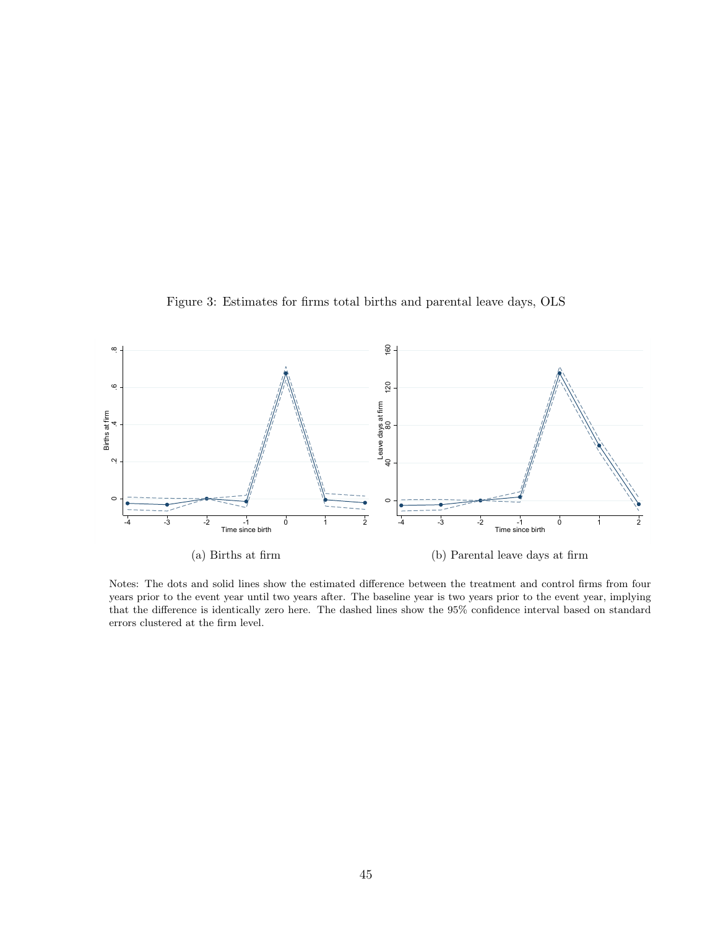



Notes: The dots and solid lines show the estimated difference between the treatment and control firms from four years prior to the event year until two years after. The baseline year is two years prior to the event year, implying that the difference is identically zero here. The dashed lines show the 95% confidence interval based on standard errors clustered at the firm level.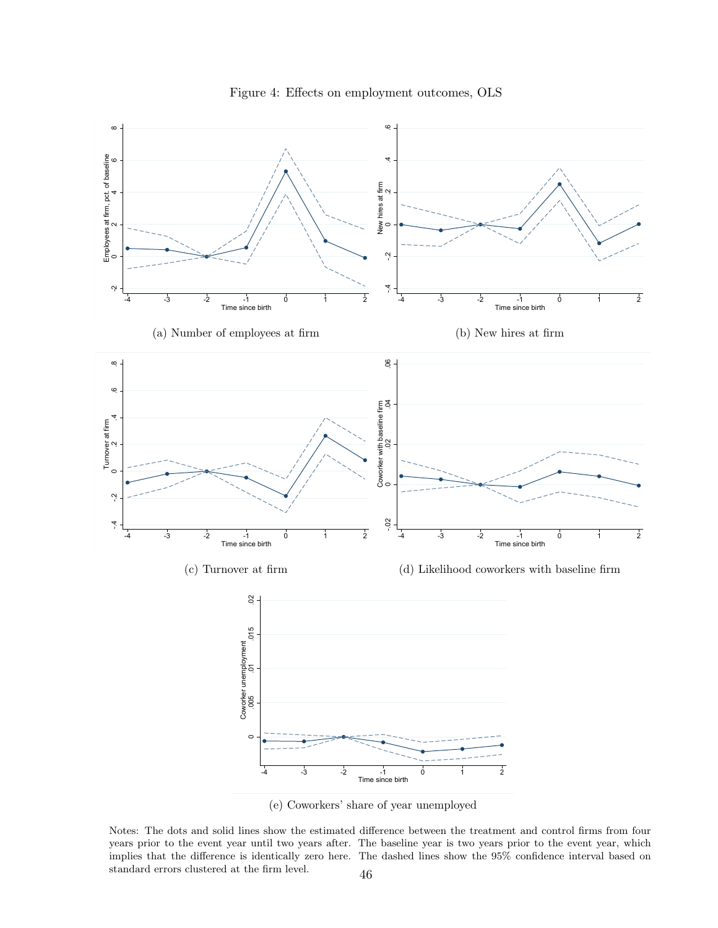

Figure 4: Effects on employment outcomes, OLS

(e) Coworkers' share of year unemployed

Notes: The dots and solid lines show the estimated difference between the treatment and control firms from four years prior to the event year until two years after. The baseline year is two years prior to the event year, which implies that the difference is identically zero here. The dashed lines show the 95% confidence interval based on standard errors clustered at the firm level.  $\quad \quad \, 46$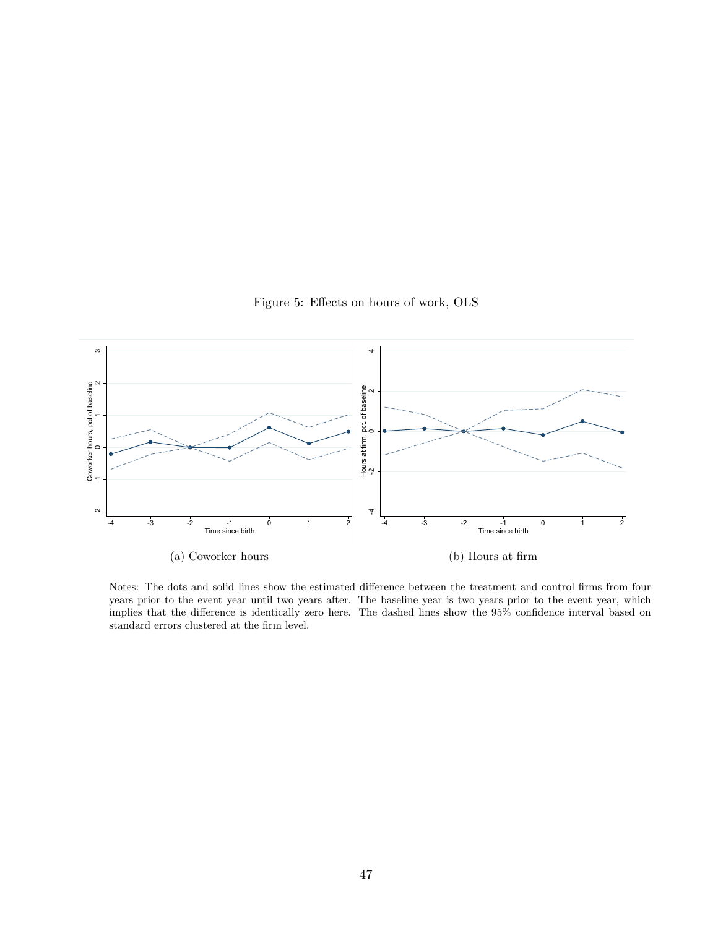Figure 5: Effects on hours of work, OLS



Notes: The dots and solid lines show the estimated difference between the treatment and control firms from four years prior to the event year until two years after. The baseline year is two years prior to the event year, which implies that the difference is identically zero here. The dashed lines show the 95% confidence interval based on standard errors clustered at the firm level.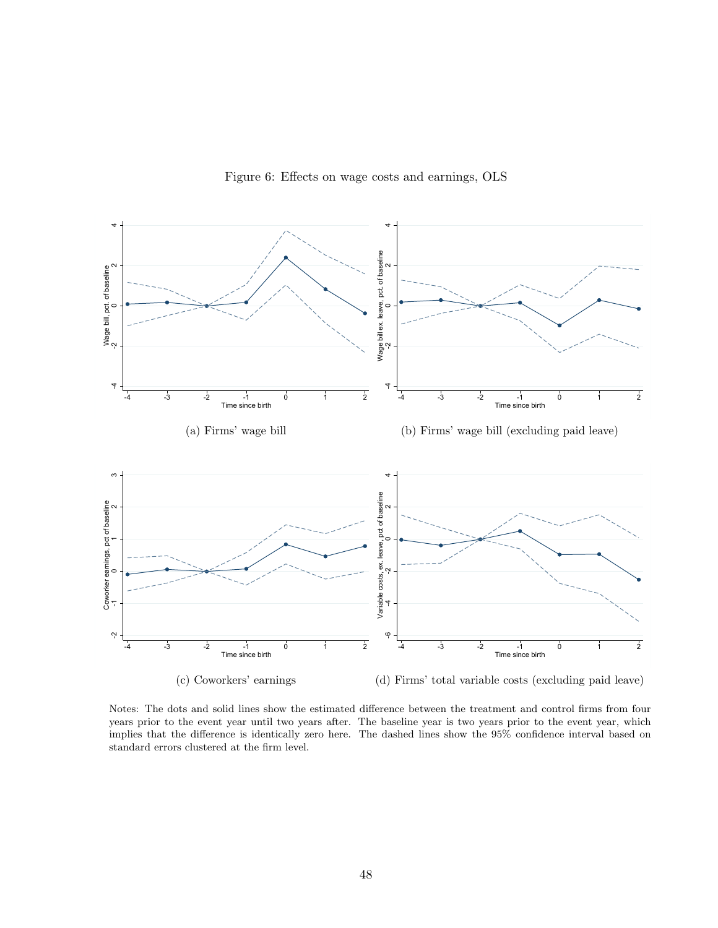

Figure 6: Effects on wage costs and earnings, OLS

Notes: The dots and solid lines show the estimated difference between the treatment and control firms from four years prior to the event year until two years after. The baseline year is two years prior to the event year, which implies that the difference is identically zero here. The dashed lines show the 95% confidence interval based on standard errors clustered at the firm level.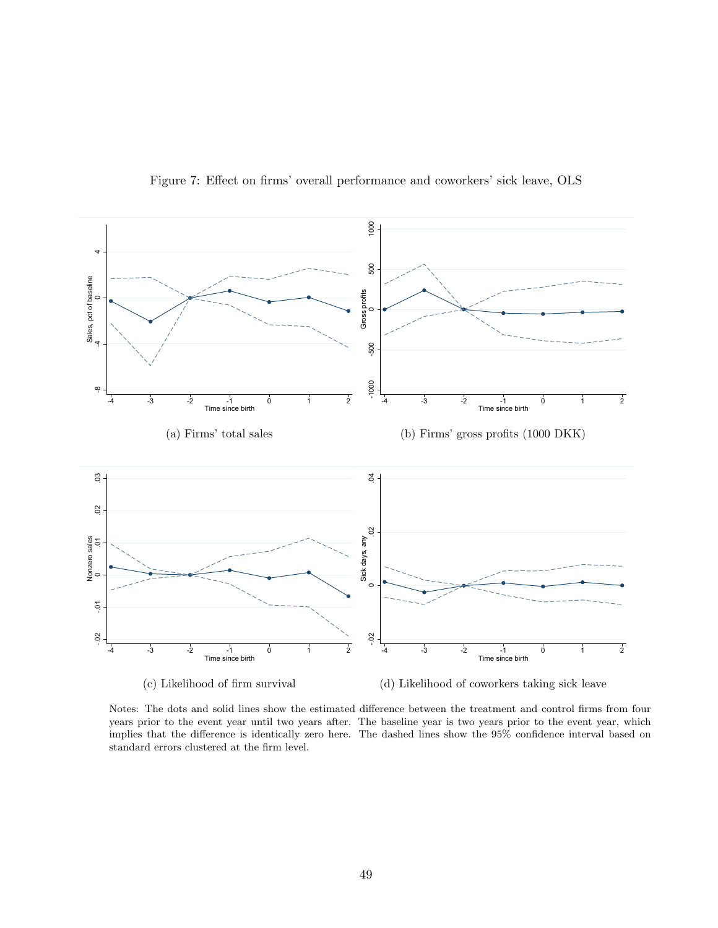

Figure 7: Effect on firms' overall performance and coworkers' sick leave, OLS

Notes: The dots and solid lines show the estimated difference between the treatment and control firms from four years prior to the event year until two years after. The baseline year is two years prior to the event year, which implies that the difference is identically zero here. The dashed lines show the 95% confidence interval based on standard errors clustered at the firm level.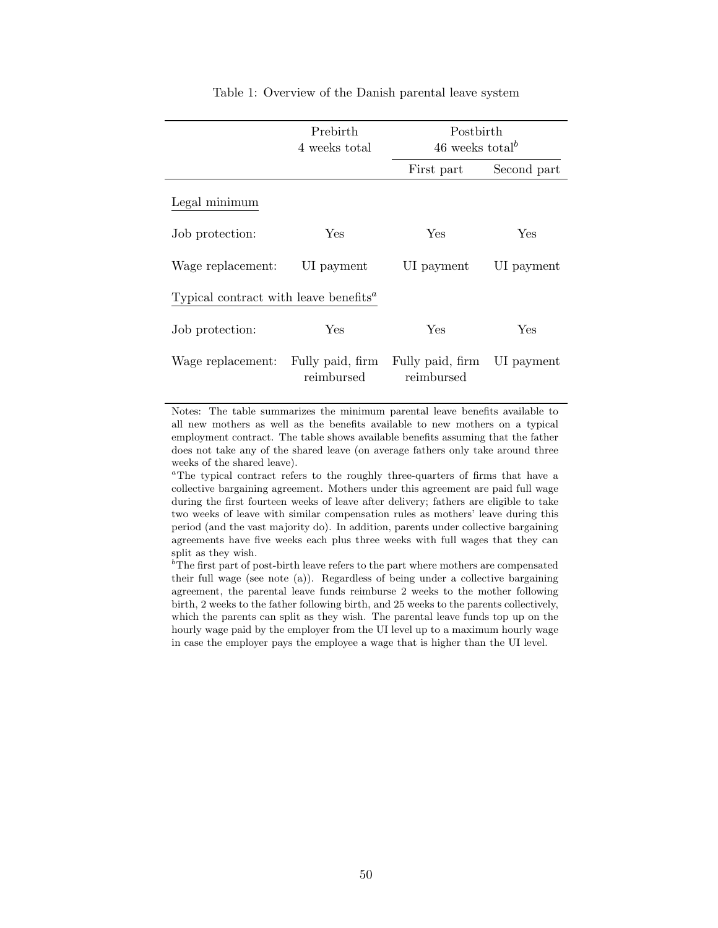|                                                                | Prebirth<br>4 weeks total      | Postbirth<br>46 weeks total <sup>b</sup> |             |
|----------------------------------------------------------------|--------------------------------|------------------------------------------|-------------|
|                                                                |                                | First part                               | Second part |
| Legal minimum                                                  |                                |                                          |             |
| Job protection:                                                | Yes                            | Yes                                      | Yes         |
| Wage replacement:                                              | UI payment                     | UI payment                               | UI payment  |
| Typical contract with leave benefits <sup><math>a</math></sup> |                                |                                          |             |
| Job protection:                                                | Yes                            | Yes                                      | Yes         |
| Wage replacement:                                              | Fully paid, firm<br>reimbursed | Fully paid, firm<br>reimbursed           | UI payment  |

Table 1: Overview of the Danish parental leave system

Notes: The table summarizes the minimum parental leave benefits available to all new mothers as well as the benefits available to new mothers on a typical employment contract. The table shows available benefits assuming that the father does not take any of the shared leave (on average fathers only take around three weeks of the shared leave).

<sup> $a$ </sup>The typical contract refers to the roughly three-quarters of firms that have a collective bargaining agreement. Mothers under this agreement are paid full wage during the first fourteen weeks of leave after delivery; fathers are eligible to take two weeks of leave with similar compensation rules as mothers' leave during this period (and the vast majority do). In addition, parents under collective bargaining agreements have five weeks each plus three weeks with full wages that they can split as they wish.

 $b<sup>b</sup>$ The first part of post-birth leave refers to the part where mothers are compensated their full wage (see note (a)). Regardless of being under a collective bargaining agreement, the parental leave funds reimburse 2 weeks to the mother following birth, 2 weeks to the father following birth, and 25 weeks to the parents collectively, which the parents can split as they wish. The parental leave funds top up on the hourly wage paid by the employer from the UI level up to a maximum hourly wage in case the employer pays the employee a wage that is higher than the UI level.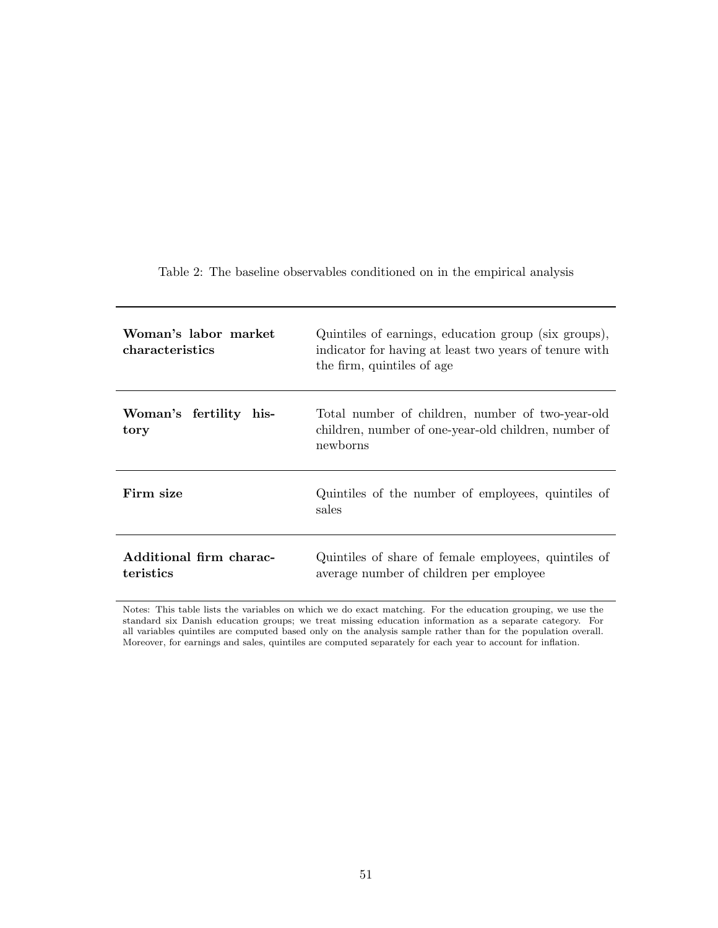Table 2: The baseline observables conditioned on in the empirical analysis

| Woman's labor market<br>characteristics | Quintiles of earnings, education group (six groups),<br>indicator for having at least two years of tenure with<br>the firm, quintiles of age |
|-----------------------------------------|----------------------------------------------------------------------------------------------------------------------------------------------|
| Woman's fertility his-<br>tory          | Total number of children, number of two-year-old<br>children, number of one-year-old children, number of<br>newborns                         |
| Firm size                               | Quintiles of the number of employees, quintiles of<br>sales                                                                                  |
| Additional firm charac-<br>teristics    | Quintiles of share of female employees, quintiles of<br>average number of children per employee                                              |

Notes: This table lists the variables on which we do exact matching. For the education grouping, we use the standard six Danish education groups; we treat missing education information as a separate category. For all variables quintiles are computed based only on the analysis sample rather than for the population overall. Moreover, for earnings and sales, quintiles are computed separately for each year to account for inflation.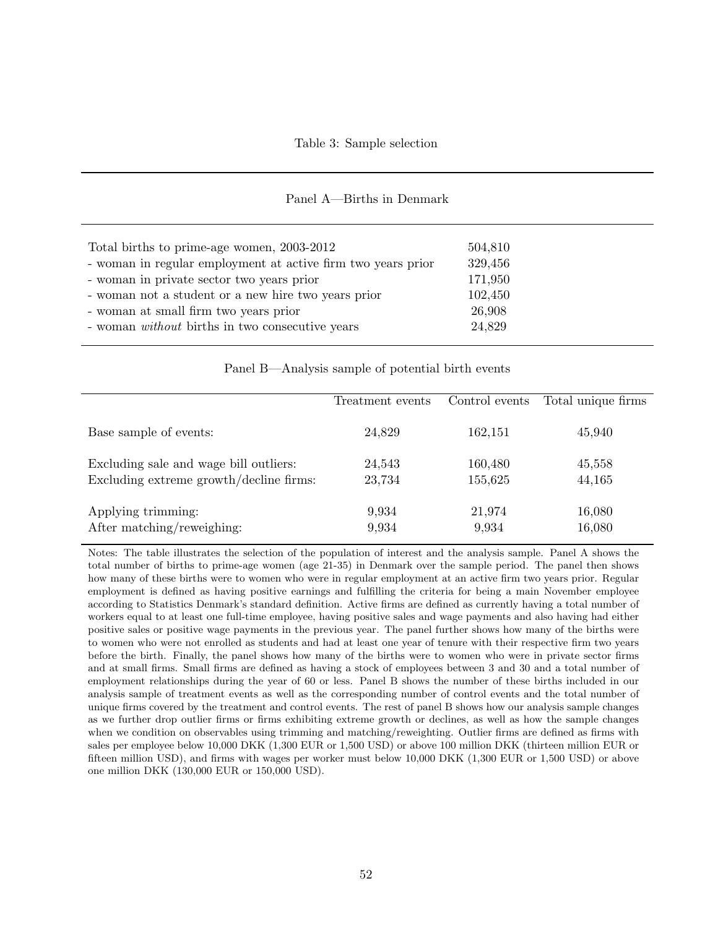| Panel A-Births in Denmark |  |
|---------------------------|--|
|---------------------------|--|

| Total births to prime-age women, 2003-2012                   | 504,810 |
|--------------------------------------------------------------|---------|
| - woman in regular employment at active firm two years prior | 329,456 |
| - woman in private sector two years prior                    | 171,950 |
| - woman not a student or a new hire two years prior          | 102,450 |
| - woman at small firm two years prior                        | 26,908  |
| - woman <i>without</i> births in two consecutive years       | 24,829  |
|                                                              |         |

Panel B—Analysis sample of potential birth events

|                                         | Treatment events | Control events | Total unique firms |
|-----------------------------------------|------------------|----------------|--------------------|
| Base sample of events:                  | 24,829           | 162,151        | 45,940             |
| Excluding sale and wage bill outliers:  | 24,543           | 160,480        | 45,558             |
| Excluding extreme growth/decline firms: | 23,734           | 155,625        | 44,165             |
| Applying trimming:                      | 9,934            | 21,974         | 16,080             |
| After matching/reweighing:              | 9,934            | 9,934          | 16,080             |

Notes: The table illustrates the selection of the population of interest and the analysis sample. Panel A shows the total number of births to prime-age women (age 21-35) in Denmark over the sample period. The panel then shows how many of these births were to women who were in regular employment at an active firm two years prior. Regular employment is defined as having positive earnings and fulfilling the criteria for being a main November employee according to Statistics Denmark's standard definition. Active firms are defined as currently having a total number of workers equal to at least one full-time employee, having positive sales and wage payments and also having had either positive sales or positive wage payments in the previous year. The panel further shows how many of the births were to women who were not enrolled as students and had at least one year of tenure with their respective firm two years before the birth. Finally, the panel shows how many of the births were to women who were in private sector firms and at small firms. Small firms are defined as having a stock of employees between 3 and 30 and a total number of employment relationships during the year of 60 or less. Panel B shows the number of these births included in our analysis sample of treatment events as well as the corresponding number of control events and the total number of unique firms covered by the treatment and control events. The rest of panel B shows how our analysis sample changes as we further drop outlier firms or firms exhibiting extreme growth or declines, as well as how the sample changes when we condition on observables using trimming and matching/reweighting. Outlier firms are defined as firms with sales per employee below 10,000 DKK (1,300 EUR or 1,500 USD) or above 100 million DKK (thirteen million EUR or fifteen million USD), and firms with wages per worker must below 10,000 DKK (1,300 EUR or 1,500 USD) or above one million DKK (130,000 EUR or 150,000 USD).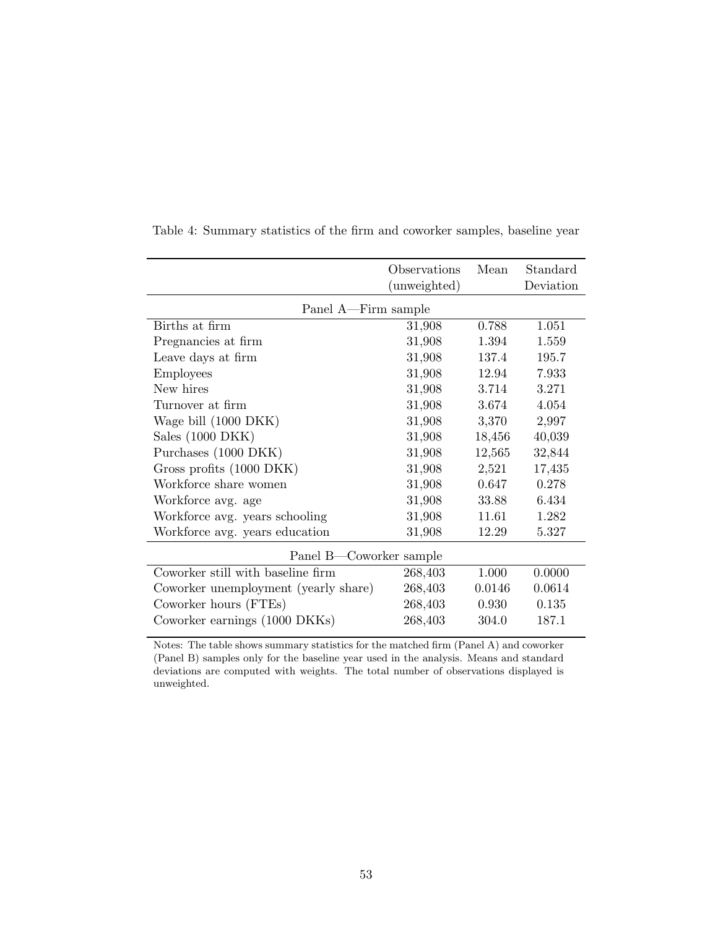|                                      | Observations<br>(unweighted) | Mean   | Standard<br>Deviation |  |  |
|--------------------------------------|------------------------------|--------|-----------------------|--|--|
| Panel A—Firm sample                  |                              |        |                       |  |  |
| Births at firm                       | 31,908                       | 0.788  | 1.051                 |  |  |
| Pregnancies at firm                  | 31,908                       | 1.394  | 1.559                 |  |  |
| Leave days at firm                   | 31,908                       | 137.4  | 195.7                 |  |  |
| <b>Employees</b>                     | 31,908                       | 12.94  | 7.933                 |  |  |
| New hires                            | 31,908                       | 3.714  | 3.271                 |  |  |
| Turnover at firm                     | 31,908                       | 3.674  | 4.054                 |  |  |
| Wage bill (1000 DKK)                 | 31,908                       | 3,370  | 2,997                 |  |  |
| Sales $(1000 \text{ DKK})$           | 31,908                       | 18,456 | 40,039                |  |  |
| Purchases (1000 DKK)                 | 31,908                       | 12,565 | 32,844                |  |  |
| Gross profits (1000 DKK)             | 31,908                       | 2,521  | 17,435                |  |  |
| Workforce share women                | 31,908                       | 0.647  | 0.278                 |  |  |
| Workforce avg. age                   | 31,908                       | 33.88  | 6.434                 |  |  |
| Workforce avg. years schooling       | 31,908                       | 11.61  | 1.282                 |  |  |
| Workforce avg. years education       | 31,908                       | 12.29  | 5.327                 |  |  |
| Panel B-Coworker sample              |                              |        |                       |  |  |
| Coworker still with baseline firm    | 268,403                      | 1.000  | 0.0000                |  |  |
| Coworker unemployment (yearly share) | 268,403                      | 0.0146 | 0.0614                |  |  |
| Coworker hours (FTEs)                | 268,403                      | 0.930  | 0.135                 |  |  |
| Coworker earnings (1000 DKKs)        | 268,403                      | 304.0  | 187.1                 |  |  |

Table 4: Summary statistics of the firm and coworker samples, baseline year

Notes: The table shows summary statistics for the matched firm (Panel A) and coworker (Panel B) samples only for the baseline year used in the analysis. Means and standard deviations are computed with weights. The total number of observations displayed is unweighted.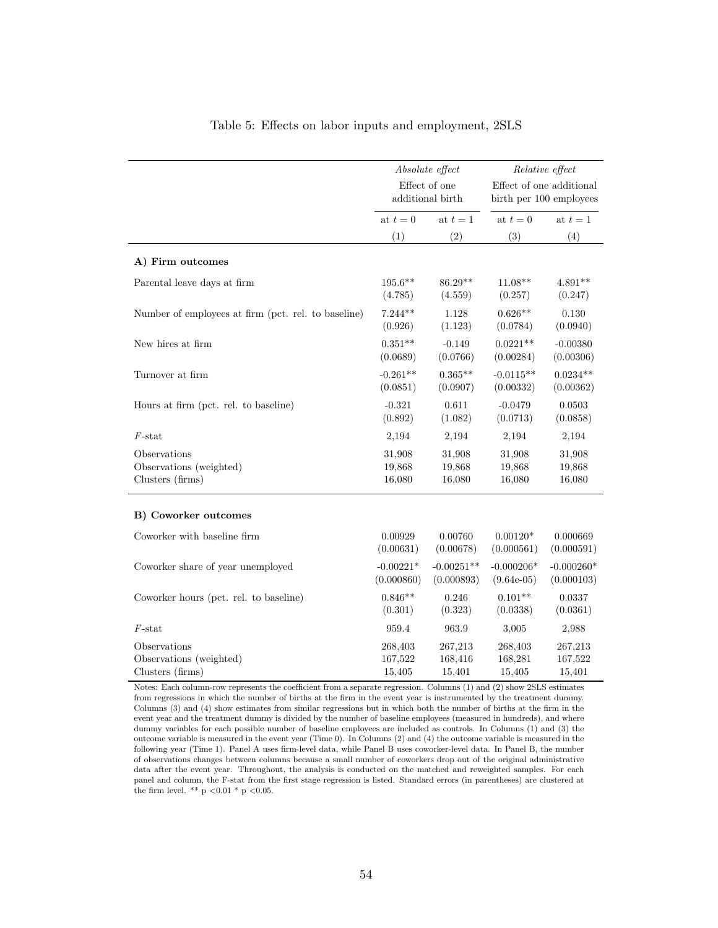|                                                     | Absolute effect<br>Effect of one<br>additional birth |                            | Relative effect<br>Effect of one additional<br>birth per 100 employees |                            |
|-----------------------------------------------------|------------------------------------------------------|----------------------------|------------------------------------------------------------------------|----------------------------|
|                                                     | at $t=0$                                             | at $t=1$                   | at $t=0$                                                               | at $t=1$                   |
|                                                     | (1)                                                  | (2)                        | (3)                                                                    | (4)                        |
| A) Firm outcomes                                    |                                                      |                            |                                                                        |                            |
| Parental leave days at firm                         | $195.6**$<br>(4.785)                                 | 86.29**<br>(4.559)         | $11.08**$<br>(0.257)                                                   | $4.891**$<br>(0.247)       |
| Number of employees at firm (pct. rel. to baseline) | $7.244**$<br>(0.926)                                 | 1.128<br>(1.123)           | $0.626**$<br>(0.0784)                                                  | 0.130<br>(0.0940)          |
| New hires at firm                                   | $0.351**$<br>(0.0689)                                | $-0.149$<br>(0.0766)       | $0.0221**$<br>(0.00284)                                                | $-0.00380$<br>(0.00306)    |
| Turnover at firm                                    | $-0.261**$<br>(0.0851)                               | $0.365**$<br>(0.0907)      | $-0.0115**$<br>(0.00332)                                               | $0.0234**$<br>(0.00362)    |
| Hours at firm (pct. rel. to baseline)               | $-0.321$<br>(0.892)                                  | 0.611<br>(1.082)           | $-0.0479$<br>(0.0713)                                                  | 0.0503<br>(0.0858)         |
| $F$ -stat                                           | 2,194                                                | 2,194                      | 2,194                                                                  | 2,194                      |
| Observations                                        | 31,908                                               | 31,908                     | 31,908                                                                 | 31,908                     |
| Observations (weighted)                             | 19,868                                               | 19,868                     | 19,868                                                                 | 19,868                     |
| Clusters (firms)                                    | 16,080                                               | 16,080                     | 16,080                                                                 | 16,080                     |
| B) Coworker outcomes                                |                                                      |                            |                                                                        |                            |
| Coworker with baseline firm                         | 0.00929<br>(0.00631)                                 | 0.00760<br>(0.00678)       | $0.00120*$<br>(0.000561)                                               | 0.000669<br>(0.000591)     |
| Coworker share of year unemployed                   | $-0.00221*$<br>(0.000860)                            | $-0.00251**$<br>(0.000893) | $-0.000206*$<br>$(9.64e-05)$                                           | $-0.000260*$<br>(0.000103) |
| Coworker hours (pct. rel. to baseline)              | $0.846**$<br>(0.301)                                 | 0.246<br>(0.323)           | $0.101**$<br>(0.0338)                                                  | 0.0337<br>(0.0361)         |
| $F$ -stat                                           | 959.4                                                | 963.9                      | 3,005                                                                  | 2,988                      |
| Observations                                        | 268,403                                              | 267,213                    | 268,403                                                                | 267,213                    |
| Observations (weighted)                             | 167,522                                              | 168,416                    | 168,281                                                                | 167,522                    |
| Clusters (firms)                                    | 15,405                                               | 15,401                     | 15,405                                                                 | 15,401                     |

### Table 5: Effects on labor inputs and employment, 2SLS

Notes: Each column-row represents the coefficient from a separate regression. Columns (1) and (2) show 2SLS estimates from regressions in which the number of births at the firm in the event year is instrumented by the treatment dummy. Columns (3) and (4) show estimates from similar regressions but in which both the number of births at the firm in the event year and the treatment dummy is divided by the number of baseline employees (measured in hundreds), and where dummy variables for each possible number of baseline employees are included as controls. In Columns (1) and (3) the outcome variable is measured in the event year (Time 0). In Columns (2) and (4) the outcome variable is measured in the following year (Time 1). Panel A uses firm-level data, while Panel B uses coworker-level data. In Panel B, the number of observations changes between columns because a small number of coworkers drop out of the original administrative data after the event year. Throughout, the analysis is conducted on the matched and reweighted samples. For each panel and column, the F-stat from the first stage regression is listed. Standard errors (in parentheses) are clustered at the firm level. \*\* p <0.01 \* p <0.05.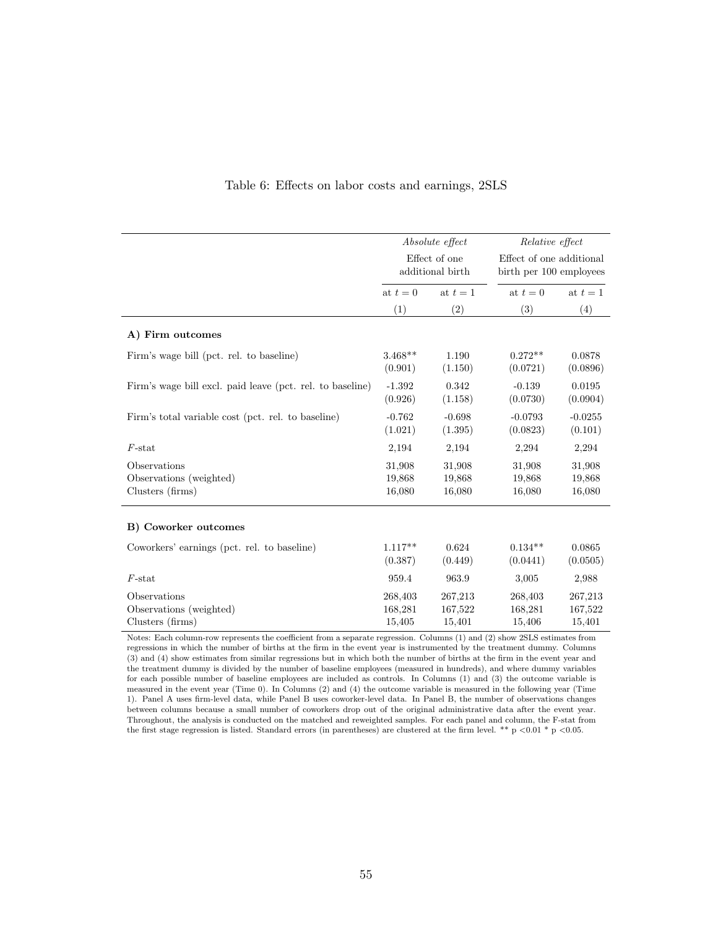|                                                             | Absolute effect<br>Effect of one<br>additional birth |                              | Relative effect                                     |                              |  |
|-------------------------------------------------------------|------------------------------------------------------|------------------------------|-----------------------------------------------------|------------------------------|--|
|                                                             |                                                      |                              | Effect of one additional<br>birth per 100 employees |                              |  |
|                                                             | at $t=0$                                             | at $t=1$                     | at $t=0$                                            | at $t=1$                     |  |
|                                                             | (1)                                                  | (2)                          | (3)                                                 | (4)                          |  |
| A) Firm outcomes                                            |                                                      |                              |                                                     |                              |  |
| Firm's wage bill (pct. rel. to baseline)                    | $3.468**$<br>(0.901)                                 | 1.190<br>(1.150)             | $0.272**$<br>(0.0721)                               | 0.0878<br>(0.0896)           |  |
| Firm's wage bill excl. paid leave (pct. rel. to baseline)   | $-1.392$<br>(0.926)                                  | 0.342<br>(1.158)             | $-0.139$<br>(0.0730)                                | 0.0195<br>(0.0904)           |  |
| Firm's total variable cost (pct. rel. to baseline)          | $-0.762$<br>(1.021)                                  | $-0.698$<br>(1.395)          | $-0.0793$<br>(0.0823)                               | $-0.0255$<br>(0.101)         |  |
| $F$ -stat                                                   | 2,194                                                | 2,194                        | 2,294                                               | 2,294                        |  |
| Observations<br>Observations (weighted)<br>Clusters (firms) | 31,908<br>19,868<br>16,080                           | 31,908<br>19,868<br>16,080   | 31,908<br>19,868<br>16,080                          | 31,908<br>19,868<br>16,080   |  |
| B) Coworker outcomes                                        |                                                      |                              |                                                     |                              |  |
| Coworkers' earnings (pct. rel. to baseline)                 | $1.117**$<br>(0.387)                                 | 0.624<br>(0.449)             | $0.134**$<br>(0.0441)                               | 0.0865<br>(0.0505)           |  |
| $F$ -stat                                                   | 959.4                                                | 963.9                        | 3,005                                               | 2,988                        |  |
| Observations<br>Observations (weighted)<br>Clusters (firms) | 268,403<br>168,281<br>15,405                         | 267,213<br>167,522<br>15,401 | 268,403<br>168,281<br>15,406                        | 267,213<br>167,522<br>15,401 |  |

### Table 6: Effects on labor costs and earnings, 2SLS

Notes: Each column-row represents the coefficient from a separate regression. Columns (1) and (2) show 2SLS estimates from regressions in which the number of births at the firm in the event year is instrumented by the treatment dummy. Columns (3) and (4) show estimates from similar regressions but in which both the number of births at the firm in the event year and the treatment dummy is divided by the number of baseline employees (measured in hundreds), and where dummy variables for each possible number of baseline employees are included as controls. In Columns (1) and (3) the outcome variable is measured in the event year (Time 0). In Columns (2) and (4) the outcome variable is measured in the following year (Time 1). Panel A uses firm-level data, while Panel B uses coworker-level data. In Panel B, the number of observations changes between columns because a small number of coworkers drop out of the original administrative data after the event year. Throughout, the analysis is conducted on the matched and reweighted samples. For each panel and column, the F-stat from the first stage regression is listed. Standard errors (in parentheses) are clustered at the firm level. \*\* p <0.01 \* p <0.05.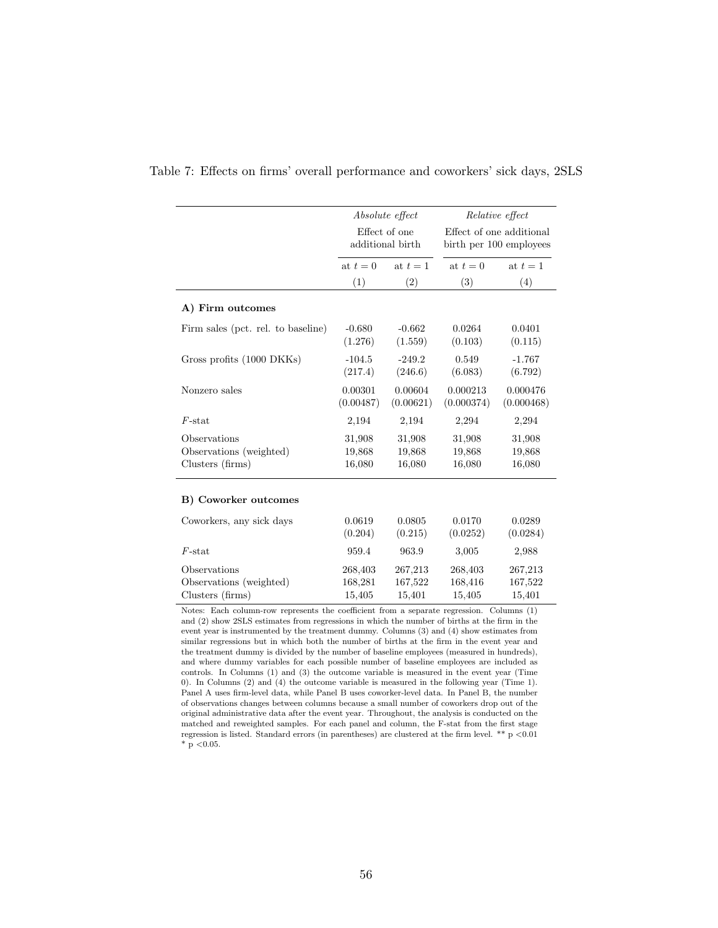|                                    |                      | Absolute effect<br>Effect of one<br>additional birth |                        | Relative effect                                     |  |  |  |
|------------------------------------|----------------------|------------------------------------------------------|------------------------|-----------------------------------------------------|--|--|--|
|                                    |                      |                                                      |                        | Effect of one additional<br>birth per 100 employees |  |  |  |
|                                    | at $t=0$             | at $t=1$                                             |                        | at $t=1$                                            |  |  |  |
|                                    | (1)                  | (2)                                                  | (3)                    | (4)                                                 |  |  |  |
| A) Firm outcomes                   |                      |                                                      |                        |                                                     |  |  |  |
| Firm sales (pct. rel. to baseline) | $-0.680$<br>(1.276)  | $-0.662$<br>(1.559)                                  | 0.0264<br>(0.103)      | 0.0401<br>(0.115)                                   |  |  |  |
| Gross profits (1000 DKKs)          | $-104.5$<br>(217.4)  | $-249.2$<br>(246.6)                                  | 0.549<br>(6.083)       | $-1.767$<br>(6.792)                                 |  |  |  |
| Nonzero sales                      | 0.00301<br>(0.00487) | 0.00604<br>(0.00621)                                 | 0.000213<br>(0.000374) | 0.000476<br>(0.000468)                              |  |  |  |
| $F$ -stat                          | 2,194                | 2,194                                                | 2,294                  | 2,294                                               |  |  |  |
| Observations                       | 31,908               | 31,908                                               | 31,908                 | 31,908                                              |  |  |  |
| Observations (weighted)            | 19,868               | 19,868                                               | 19,868                 | 19,868                                              |  |  |  |
| Clusters (firms)                   | 16,080               | 16,080                                               | 16,080                 | 16,080                                              |  |  |  |
| B) Coworker outcomes               |                      |                                                      |                        |                                                     |  |  |  |
| Coworkers, any sick days           | 0.0619<br>(0.204)    | 0.0805<br>(0.215)                                    | 0.0170<br>(0.0252)     | 0.0289<br>(0.0284)                                  |  |  |  |
| $F$ -stat                          | 959.4                | 963.9                                                | 3,005                  | 2,988                                               |  |  |  |
| Observations                       | 268,403              | 267,213                                              | 268,403                | 267,213                                             |  |  |  |
| Observations (weighted)            | 168,281              | 167,522                                              | 168,416                | 167,522                                             |  |  |  |
| Clusters (firms)                   | 15,405               | 15,401                                               | 15,405                 | 15,401                                              |  |  |  |

Table 7: Effects on firms' overall performance and coworkers' sick days, 2SLS

Notes: Each column-row represents the coefficient from a separate regression. Columns (1) and (2) show 2SLS estimates from regressions in which the number of births at the firm in the event year is instrumented by the treatment dummy. Columns (3) and (4) show estimates from similar regressions but in which both the number of births at the firm in the event year and the treatment dummy is divided by the number of baseline employees (measured in hundreds), and where dummy variables for each possible number of baseline employees are included as controls. In Columns (1) and (3) the outcome variable is measured in the event year (Time 0). In Columns (2) and (4) the outcome variable is measured in the following year (Time 1). Panel A uses firm-level data, while Panel B uses coworker-level data. In Panel B, the number of observations changes between columns because a small number of coworkers drop out of the original administrative data after the event year. Throughout, the analysis is conducted on the matched and reweighted samples. For each panel and column, the F-stat from the first stage regression is listed. Standard errors (in parentheses) are clustered at the firm level. \*\* p <0.01  $*$  p < 0.05.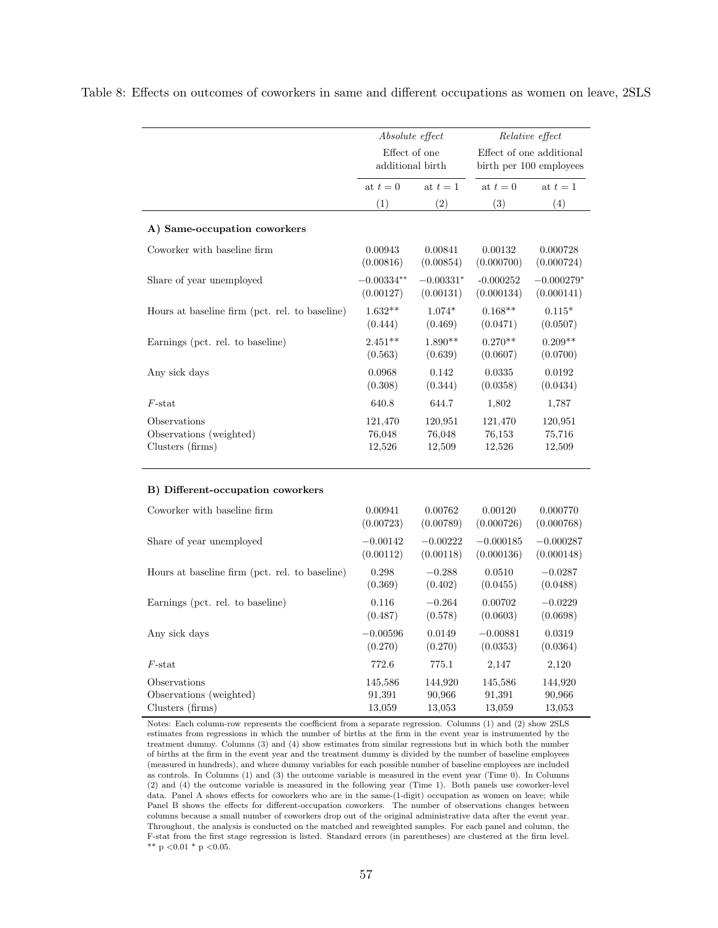|                                                             | Absolute effect             |                             |                             | Relative effect             |
|-------------------------------------------------------------|-----------------------------|-----------------------------|-----------------------------|-----------------------------|
|                                                             | Effect of one               |                             | Effect of one additional    |                             |
|                                                             |                             | additional birth            |                             | birth per 100 employees     |
|                                                             | at $t=0$                    | at $t=1$                    |                             | at $t=1$                    |
|                                                             | (1)                         | (2)                         | (3)                         | (4)                         |
| A) Same-occupation coworkers                                |                             |                             |                             |                             |
| Coworker with baseline firm                                 | 0.00943<br>(0.00816)        | 0.00841<br>(0.00854)        | 0.00132<br>(0.000700)       | 0.000728<br>(0.000724)      |
| Share of year unemployed                                    | $-0.00334**$<br>(0.00127)   | $-0.00331*$<br>(0.00131)    | $-0.000252$<br>(0.000134)   | $-0.000279*$<br>(0.000141)  |
| Hours at baseline firm (pct. rel. to baseline)              | $1.632**$<br>(0.444)        | $1.074*$<br>(0.469)         | $0.168**$<br>(0.0471)       | $0.115*$<br>(0.0507)        |
| Earnings (pct. rel. to baseline)                            | $2.451**$<br>(0.563)        | $1.890**$<br>(0.639)        | $0.270**$<br>(0.0607)       | $0.209**$<br>(0.0700)       |
| Any sick days                                               | 0.0968<br>(0.308)           | 0.142<br>(0.344)            | 0.0335<br>(0.0358)          | 0.0192<br>(0.0434)          |
| $F$ -stat                                                   | 640.8                       | 644.7                       | 1,802                       | 1,787                       |
| Observations<br>Observations (weighted)<br>Clusters (firms) | 121,470<br>76,048<br>12,526 | 120,951<br>76,048<br>12,509 | 121,470<br>76,153<br>12,526 | 120,951<br>75,716<br>12,509 |

Table 8: Effects on outcomes of coworkers in same and different occupations as women on leave, 2SLS

#### B) Different-occupation coworkers

| Coworker with baseline firm                    | 0.00941    | 0.00762    | 0.00120     | 0.000770    |
|------------------------------------------------|------------|------------|-------------|-------------|
|                                                | (0.00723)  | (0.00789)  | (0.000726)  | (0.000768)  |
| Share of year unemployed                       | $-0.00142$ | $-0.00222$ | $-0.000185$ | $-0.000287$ |
|                                                | (0.00112)  | (0.00118)  | (0.000136)  | (0.000148)  |
| Hours at baseline firm (pct. rel. to baseline) | 0.298      | $-0.288$   | 0.0510      | $-0.0287$   |
|                                                | (0.369)    | (0.402)    | (0.0455)    | (0.0488)    |
| Earnings (pct. rel. to baseline)               | 0.116      | $-0.264$   | 0.00702     | $-0.0229$   |
|                                                | (0.487)    | (0.578)    | (0.0603)    | (0.0698)    |
| Any sick days                                  | $-0.00596$ | 0.0149     | $-0.00881$  | 0.0319      |
|                                                | (0.270)    | (0.270)    | (0.0353)    | (0.0364)    |
| $F$ -stat                                      | 772.6      | 775.1      | 2,147       | 2,120       |
| Observations                                   | 145,586    | 144,920    | 145,586     | 144,920     |
| Observations (weighted)                        | 91,391     | 90,966     | 91.391      | 90,966      |
| Clusters (firms)                               | 13,059     | 13,053     | 13,059      | 13,053      |

Notes: Each column-row represents the coefficient from a separate regression. Columns (1) and (2) show 2SLS estimates from regressions in which the number of births at the firm in the event year is instrumented by the treatment dummy. Columns (3) and (4) show estimates from similar regressions but in which both the number of births at the firm in the event year and the treatment dummy is divided by the number of baseline employees (measured in hundreds), and where dummy variables for each possible number of baseline employees are included as controls. In Columns (1) and (3) the outcome variable is measured in the event year (Time 0). In Columns (2) and (4) the outcome variable is measured in the following year (Time 1). Both panels use coworker-level data. Panel A shows effects for coworkers who are in the same-(1-digit) occupation as women on leave; while Panel B shows the effects for different-occupation coworkers. The number of observations changes between columns because a small number of coworkers drop out of the original administrative data after the event year. Throughout, the analysis is conducted on the matched and reweighted samples. For each panel and column, the F-stat from the first stage regression is listed. Standard errors (in parentheses) are clustered at the firm level. \*\* p < 0.01 \* p < 0.05.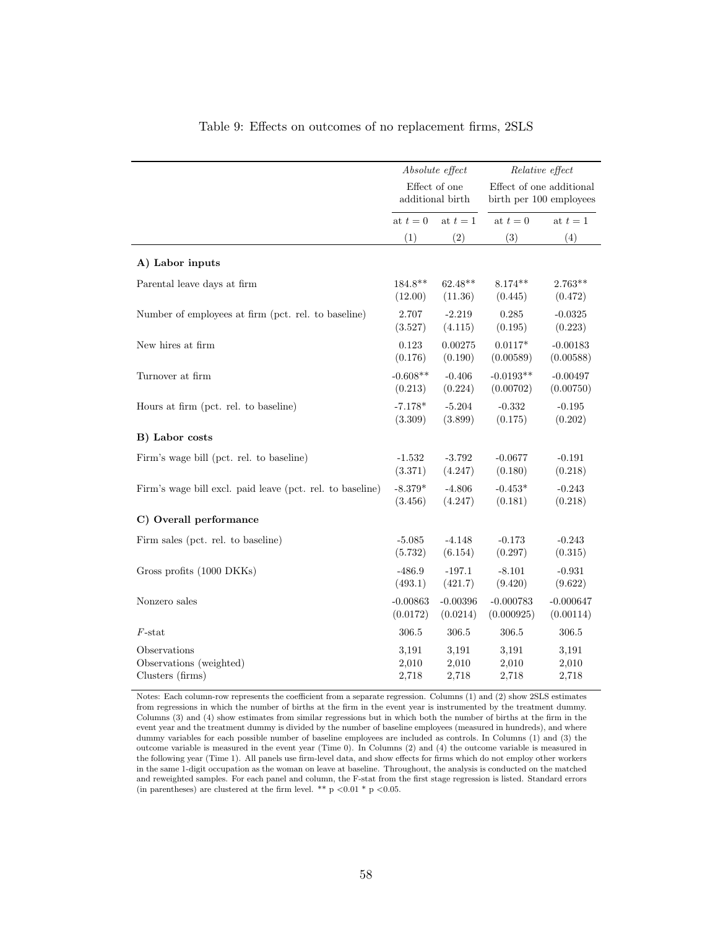|                                                           | Absolute effect<br>Effect of one<br>additional birth |            | Relative effect                                     |             |
|-----------------------------------------------------------|------------------------------------------------------|------------|-----------------------------------------------------|-------------|
|                                                           |                                                      |            | Effect of one additional<br>birth per 100 employees |             |
|                                                           | at $t=0$<br>at $t=1$                                 |            | at $t=0$                                            | at $t=1$    |
|                                                           | (1)                                                  | (2)        | (3)                                                 | (4)         |
| A) Labor inputs                                           |                                                      |            |                                                     |             |
| Parental leave days at firm                               | 184.8**                                              | $62.48**$  | $8.174**$                                           | $2.763**$   |
|                                                           | (12.00)                                              | (11.36)    | (0.445)                                             | (0.472)     |
| Number of employees at firm (pct. rel. to baseline)       | 2.707                                                | $-2.219$   | 0.285                                               | $-0.0325$   |
|                                                           | (3.527)                                              | (4.115)    | (0.195)                                             | (0.223)     |
| New hires at firm                                         | 0.123                                                | 0.00275    | $0.0117*$                                           | $-0.00183$  |
|                                                           | (0.176)                                              | (0.190)    | (0.00589)                                           | (0.00588)   |
| Turnover at firm                                          | $-0.608**$                                           | $-0.406$   | $-0.0193**$                                         | $-0.00497$  |
|                                                           | (0.213)                                              | (0.224)    | (0.00702)                                           | (0.00750)   |
| Hours at firm (pct. rel. to baseline)                     | $-7.178*$                                            | $-5.204$   | $-0.332$                                            | $-0.195$    |
|                                                           | (3.309)                                              | (3.899)    | (0.175)                                             | (0.202)     |
| B) Labor costs                                            |                                                      |            |                                                     |             |
| Firm's wage bill (pct. rel. to baseline)                  | $-1.532$                                             | $-3.792$   | $-0.0677$                                           | $-0.191$    |
|                                                           | (3.371)                                              | (4.247)    | (0.180)                                             | (0.218)     |
| Firm's wage bill excl. paid leave (pct. rel. to baseline) | $-8.379*$                                            | $-4.806$   | $-0.453*$                                           | $-0.243$    |
|                                                           | (3.456)                                              | (4.247)    | (0.181)                                             | (0.218)     |
| C) Overall performance                                    |                                                      |            |                                                     |             |
| Firm sales (pct. rel. to baseline)                        | $-5.085$                                             | $-4.148$   | $-0.173$                                            | $-0.243$    |
|                                                           | (5.732)                                              | (6.154)    | (0.297)                                             | (0.315)     |
| Gross profits (1000 DKKs)                                 | $-486.9$                                             | $-197.1$   | $-8.101$                                            | $-0.931$    |
|                                                           | (493.1)                                              | (421.7)    | (9.420)                                             | (9.622)     |
| Nonzero sales                                             | $-0.00863$                                           | $-0.00396$ | $-0.000783$                                         | $-0.000647$ |
|                                                           | (0.0172)                                             | (0.0214)   | (0.000925)                                          | (0.00114)   |
| $F$ -stat                                                 | 306.5                                                | 306.5      | 306.5                                               | 306.5       |
| Observations                                              | 3,191                                                | 3,191      | 3,191                                               | 3,191       |
| Observations (weighted)                                   | 2,010                                                | 2,010      | 2,010                                               | 2,010       |
| Clusters (firms)                                          | 2,718                                                | 2,718      | 2,718                                               | 2,718       |

### Table 9: Effects on outcomes of no replacement firms, 2SLS

Notes: Each column-row represents the coefficient from a separate regression. Columns (1) and (2) show 2SLS estimates from regressions in which the number of births at the firm in the event year is instrumented by the treatment dummy. Columns (3) and (4) show estimates from similar regressions but in which both the number of births at the firm in the event year and the treatment dummy is divided by the number of baseline employees (measured in hundreds), and where dummy variables for each possible number of baseline employees are included as controls. In Columns (1) and (3) the outcome variable is measured in the event year (Time 0). In Columns (2) and (4) the outcome variable is measured in the following year (Time 1). All panels use firm-level data, and show effects for firms which do not employ other workers in the same 1-digit occupation as the woman on leave at baseline. Throughout, the analysis is conducted on the matched and reweighted samples. For each panel and column, the F-stat from the first stage regression is listed. Standard errors (in parentheses) are clustered at the firm level. \*\* p  $\lt 0.01$  \* p  $\lt 0.05$ .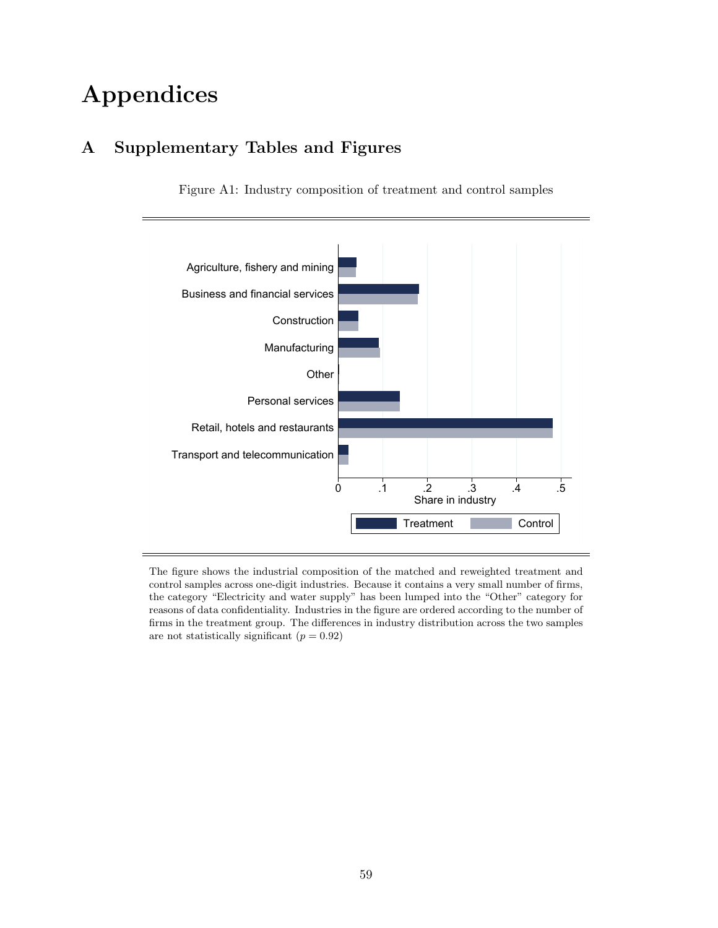# Appendices

# A Supplementary Tables and Figures

Figure A1: Industry composition of treatment and control samples



The figure shows the industrial composition of the matched and reweighted treatment and control samples across one-digit industries. Because it contains a very small number of firms, the category "Electricity and water supply" has been lumped into the "Other" category for reasons of data confidentiality. Industries in the figure are ordered according to the number of firms in the treatment group. The differences in industry distribution across the two samples are not statistically significant  $(p = 0.92)$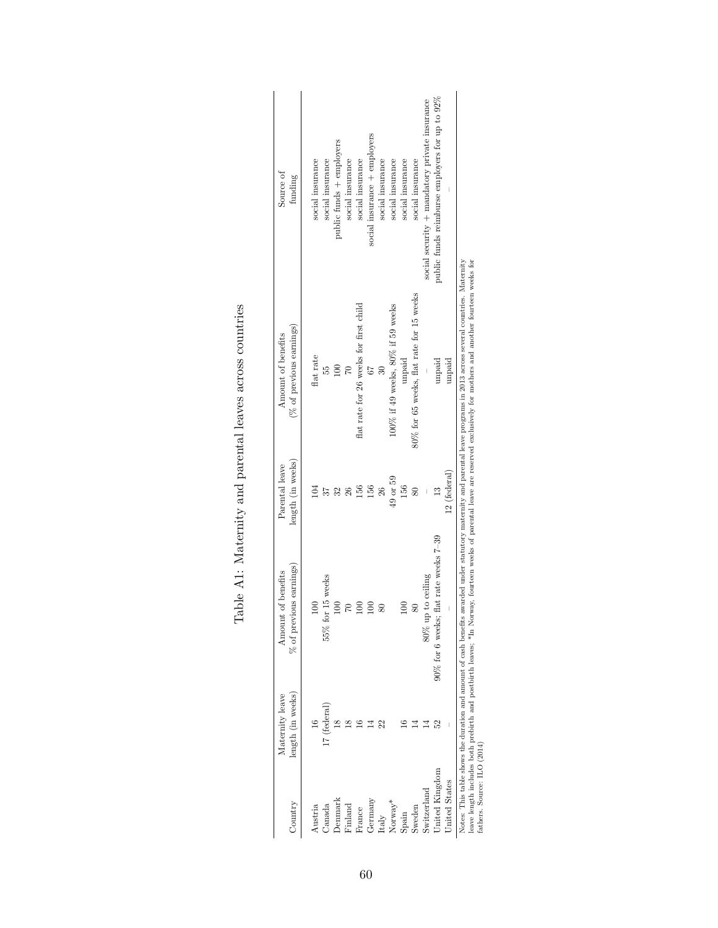| Country         | length (in weeks)<br>Maternity leave                                                                 | $%$ of previous earnings)<br>of benefits<br>Amount | length (in weeks)<br>Parental leave | (% of previous earnings)<br>Amount of benefits                                                                                                                                                        | Source of<br>funding                           |
|-----------------|------------------------------------------------------------------------------------------------------|----------------------------------------------------|-------------------------------------|-------------------------------------------------------------------------------------------------------------------------------------------------------------------------------------------------------|------------------------------------------------|
| Austria         |                                                                                                      | ξ                                                  |                                     | flat rate                                                                                                                                                                                             | social insurance                               |
| Canada          | 17 (federal)                                                                                         | $55%$ for $15$ weeks                               |                                     | 55                                                                                                                                                                                                    | social insurance                               |
| Denmark         |                                                                                                      | $\infty$                                           |                                     | $\frac{1}{2}$                                                                                                                                                                                         | public funds + employers                       |
| Finland         | $\infty$                                                                                             | 2                                                  |                                     |                                                                                                                                                                                                       | social insurance                               |
| France          |                                                                                                      | $\epsilon$                                         | 36                                  | flat rate for 26 weeks for first child                                                                                                                                                                | social insurance                               |
| ${\rm Germany}$ |                                                                                                      | $\epsilon$                                         | 56                                  |                                                                                                                                                                                                       | social insurance + employers                   |
| Italy           |                                                                                                      | $\mathbf{S}$                                       | $^{26}$                             |                                                                                                                                                                                                       | social insurance                               |
| $Normay^*$      |                                                                                                      |                                                    | 49 or 59                            | 100% if 49 weeks, 80% if 59 weeks                                                                                                                                                                     | social insurance                               |
| Spain           |                                                                                                      | 8                                                  | 156                                 | unpaid                                                                                                                                                                                                | social insurance                               |
| Sweden          |                                                                                                      | 80                                                 | æ                                   | 80% for 65 weeks, flat rate for 15 weeks                                                                                                                                                              | social insurance                               |
| Switzerland     |                                                                                                      | 80% up to ceiling                                  |                                     |                                                                                                                                                                                                       | social security + mandatory private insurance  |
| United Kingdom  |                                                                                                      | flat rate weeks 7-39<br>$90\%$ for 6 weeks:        |                                     | unpaid                                                                                                                                                                                                | public funds reimburse employers for up to 92% |
| United States   |                                                                                                      |                                                    | 12 (federal)                        | unpaid                                                                                                                                                                                                |                                                |
|                 | 1986年12月20日,1月21日,1月22日,1月22日,1月22日,1月22日,1月22日,1月22日,1月22日,1月22日,1月22日,1月22日,1月22日,1月22日,1月22日,1月22 |                                                    |                                     | Notes: This table shows the duration and amount of cash benefits awarded under statutory maternity and parental leave programs in 2013 across several countries. Maternity<br>医心脏 医心脏 医心脏 医阿尔伯氏病 医心脏病 |                                                |

| ׇ֘֝֬֡<br>I                                                                |
|---------------------------------------------------------------------------|
| $\frac{1}{2}$<br>)<br>)                                                   |
| )<br>.                                                                    |
| city and reading to interest and another control<br>;<br>;<br>;<br>;<br>Í |
| }<br>}                                                                    |
| ֠<br>ׇ֚֓֡                                                                 |
| :<br>j<br>Í                                                               |
| $\frac{1}{2}$<br>١<br>j<br>ĺ<br>ŗ                                         |

leave length includes both prediction and postbirth leaves, \*In Norway, fourteen weeks of parental leave are reserved exclusively for mothers and another fourteen weeks for fathers. Source: ILO (2014) and postbirth leaves, leave length includes both prebirth and postbirth leaves; \*In Norway, fourteen weeks of parental leave are reserved exclusively for mothers and another fourteen weeks for fathers. Source: ILO (2014)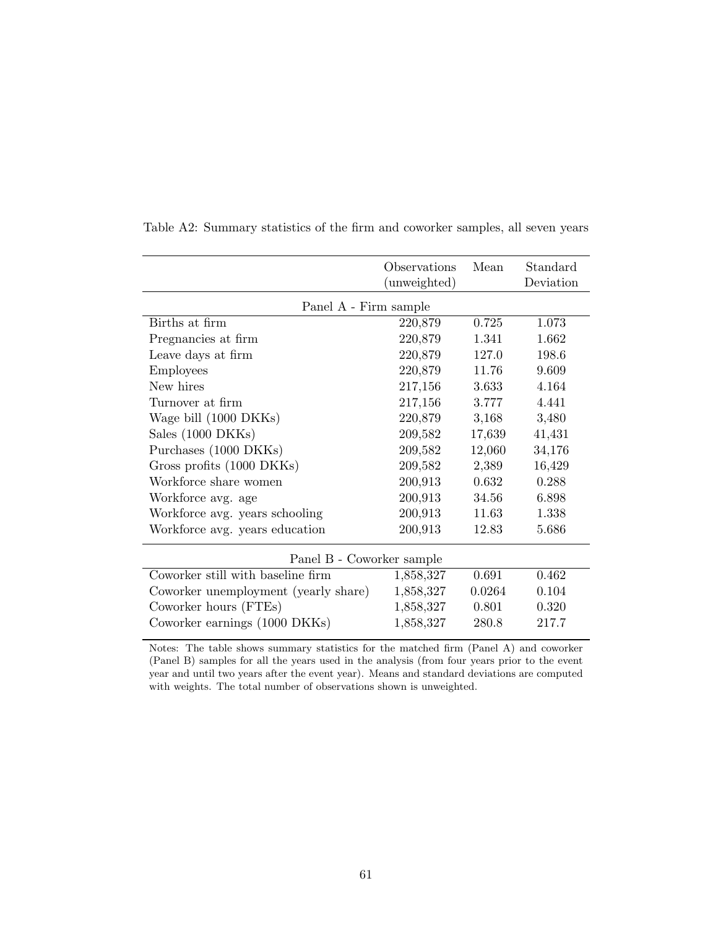|                                      | <i><b>Observations</b></i><br>(unweighted) | Mean   | Standard<br>Deviation |
|--------------------------------------|--------------------------------------------|--------|-----------------------|
| Panel A - Firm sample                |                                            |        |                       |
| Births at firm                       | 220,879                                    | 0.725  | 1.073                 |
| Pregnancies at firm                  | 220,879                                    | 1.341  | 1.662                 |
| Leave days at firm                   | 220,879                                    | 127.0  | 198.6                 |
| <b>Employees</b>                     | 220,879                                    | 11.76  | 9.609                 |
| New hires                            | 217,156                                    | 3.633  | 4.164                 |
| Turnover at firm                     | 217,156                                    | 3.777  | 4.441                 |
| Wage bill (1000 DKKs)                | 220,879                                    | 3,168  | 3,480                 |
| Sales (1000 DKKs)                    | 209,582                                    | 17,639 | 41,431                |
| Purchases (1000 DKKs)                | 209,582                                    | 12,060 | 34,176                |
| Gross profits (1000 DKKs)            | 209,582                                    | 2,389  | 16,429                |
| Workforce share women                | 200,913                                    | 0.632  | 0.288                 |
| Workforce avg. age                   | 200,913                                    | 34.56  | 6.898                 |
| Workforce avg. years schooling       | 200,913                                    | 11.63  | 1.338                 |
| Workforce avg. years education       | 200,913                                    | 12.83  | 5.686                 |
| Panel B - Coworker sample            |                                            |        |                       |
| Coworker still with baseline firm    | 1,858,327                                  | 0.691  | 0.462                 |
| Coworker unemployment (yearly share) | 1,858,327                                  | 0.0264 | 0.104                 |
| Coworker hours (FTEs)                | 1,858,327                                  | 0.801  | 0.320                 |
| Coworker earnings (1000 DKKs)        | 1,858,327                                  | 280.8  | 217.7                 |

Table A2: Summary statistics of the firm and coworker samples, all seven years

Notes: The table shows summary statistics for the matched firm (Panel A) and coworker (Panel B) samples for all the years used in the analysis (from four years prior to the event year and until two years after the event year). Means and standard deviations are computed with weights. The total number of observations shown is unweighted.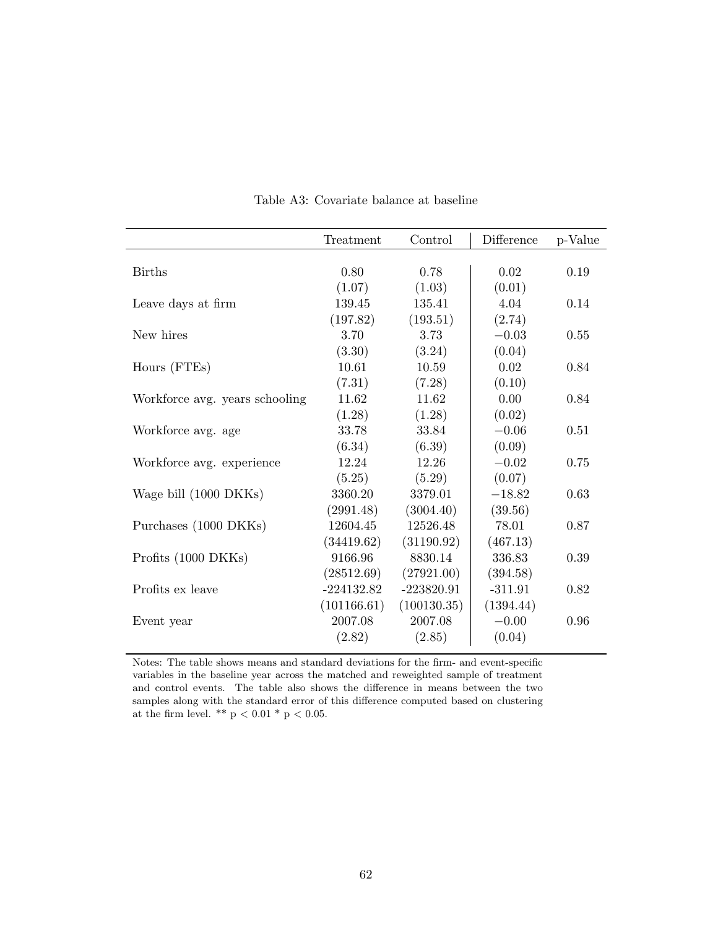|                                | Treatment    | Control      | Difference | p-Value |
|--------------------------------|--------------|--------------|------------|---------|
|                                |              |              |            |         |
| <b>Births</b>                  | 0.80         | 0.78         | 0.02       | 0.19    |
|                                | (1.07)       | (1.03)       | (0.01)     |         |
| Leave days at firm             | 139.45       | 135.41       | 4.04       | 0.14    |
|                                | (197.82)     | (193.51)     | (2.74)     |         |
| New hires                      | 3.70         | 3.73         | $-0.03$    | 0.55    |
|                                | (3.30)       | (3.24)       | (0.04)     |         |
| Hours (FTEs)                   | 10.61        | 10.59        | 0.02       | 0.84    |
|                                | (7.31)       | (7.28)       | (0.10)     |         |
| Workforce avg. years schooling | 11.62        | 11.62        | 0.00       | 0.84    |
|                                | (1.28)       | (1.28)       | (0.02)     |         |
| Workforce avg. age             | 33.78        | 33.84        | $-0.06$    | 0.51    |
|                                | (6.34)       | (6.39)       | (0.09)     |         |
| Workforce avg. experience      | 12.24        | 12.26        | $-0.02$    | 0.75    |
|                                | (5.25)       | (5.29)       | (0.07)     |         |
| Wage bill (1000 DKKs)          | 3360.20      | 3379.01      | $-18.82$   | 0.63    |
|                                | (2991.48)    | (3004.40)    | (39.56)    |         |
| Purchases (1000 DKKs)          | 12604.45     | 12526.48     | 78.01      | 0.87    |
|                                | (34419.62)   | (31190.92)   | (467.13)   |         |
| Profits (1000 DKKs)            | 9166.96      | 8830.14      | 336.83     | 0.39    |
|                                | (28512.69)   | (27921.00)   | (394.58)   |         |
| Profits ex leave               | $-224132.82$ | $-223820.91$ | $-311.91$  | 0.82    |
|                                | (101166.61)  | (100130.35)  | (1394.44)  |         |
| Event year                     | 2007.08      | 2007.08      | $-0.00$    | 0.96    |
|                                | (2.82)       | (2.85)       | (0.04)     |         |

Table A3: Covariate balance at baseline

Notes: The table shows means and standard deviations for the firm- and event-specific variables in the baseline year across the matched and reweighted sample of treatment and control events. The table also shows the difference in means between the two samples along with the standard error of this difference computed based on clustering at the firm level. \*\* p < 0.01 \* p < 0.05.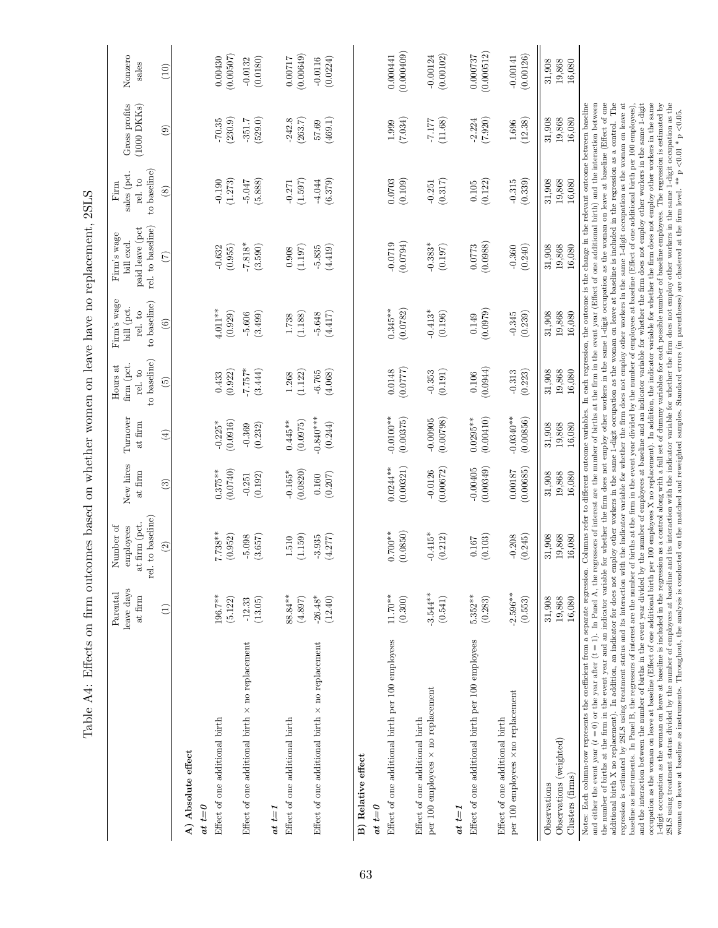| Table A4: Effects on firm outcomes based on whether women on leave have no replacement, 2SLS                                                                                                                                                                                                                                                                                                                                                                                                                                                                                                                                                                                                                                                                                                                                                                                                                                                                                                                                                                                                                                                                                                                                                                                                                                                                                                                           |                                   |                                                             |                         |                          |                                                   |                                                      |                                                                                                                                            |                                                                 |                                   |                         |
|------------------------------------------------------------------------------------------------------------------------------------------------------------------------------------------------------------------------------------------------------------------------------------------------------------------------------------------------------------------------------------------------------------------------------------------------------------------------------------------------------------------------------------------------------------------------------------------------------------------------------------------------------------------------------------------------------------------------------------------------------------------------------------------------------------------------------------------------------------------------------------------------------------------------------------------------------------------------------------------------------------------------------------------------------------------------------------------------------------------------------------------------------------------------------------------------------------------------------------------------------------------------------------------------------------------------------------------------------------------------------------------------------------------------|-----------------------------------|-------------------------------------------------------------|-------------------------|--------------------------|---------------------------------------------------|------------------------------------------------------|--------------------------------------------------------------------------------------------------------------------------------------------|-----------------------------------------------------------------|-----------------------------------|-------------------------|
|                                                                                                                                                                                                                                                                                                                                                                                                                                                                                                                                                                                                                                                                                                                                                                                                                                                                                                                                                                                                                                                                                                                                                                                                                                                                                                                                                                                                                        | leave days<br>Parental<br>at firm | rel. to baseline<br>at firm (pct.<br>Number of<br>employees | New hires<br>at firm    | Turnover<br>at firm      | to baseline)<br>firm (pct.<br>Hours at<br>rel. to | Firm's wage<br>to baseline)<br>bill (pct.<br>rel. to | rel. to baseline)<br>paid leave (pct<br>Firm's wage<br>bill excl.                                                                          | to baseline)<br>sales (pct.<br>rel. to<br>$\operatorname{Firm}$ | Gross profits<br>$(1000$ DKKs $)$ | Nonzero<br>sales        |
|                                                                                                                                                                                                                                                                                                                                                                                                                                                                                                                                                                                                                                                                                                                                                                                                                                                                                                                                                                                                                                                                                                                                                                                                                                                                                                                                                                                                                        | $\widehat{E}$                     | $\widehat{2}$                                               | $\widehat{\mathbf{e}}$  | $\left( \pm \right)$     | $\widehat{5}$                                     | $\widehat{6}$                                        | (7)                                                                                                                                        | $\circledast$                                                   | $\widehat{c}$                     | (10)                    |
| A) Absolute effect                                                                                                                                                                                                                                                                                                                                                                                                                                                                                                                                                                                                                                                                                                                                                                                                                                                                                                                                                                                                                                                                                                                                                                                                                                                                                                                                                                                                     |                                   |                                                             |                         |                          |                                                   |                                                      |                                                                                                                                            |                                                                 |                                   |                         |
| $at t = 0$                                                                                                                                                                                                                                                                                                                                                                                                                                                                                                                                                                                                                                                                                                                                                                                                                                                                                                                                                                                                                                                                                                                                                                                                                                                                                                                                                                                                             |                                   |                                                             |                         |                          |                                                   |                                                      |                                                                                                                                            |                                                                 |                                   |                         |
| Effect of one additional birth                                                                                                                                                                                                                                                                                                                                                                                                                                                                                                                                                                                                                                                                                                                                                                                                                                                                                                                                                                                                                                                                                                                                                                                                                                                                                                                                                                                         | $196.7***$<br>(5.122)             | $7.738**$<br>(0.952)                                        | (0.0740)<br>$0.375**$   | (0.0916)<br>$-0.225*$    | (0.922)<br>0.433                                  | $4.011***$<br>(0.929)                                | (0.955)<br>$-0.632$                                                                                                                        | (1.273)<br>$-0.190$                                             | (230.9)<br>$-70.35$               | (0.00507)<br>0.00430    |
| Effect of one additional birth $\times$ no replacement                                                                                                                                                                                                                                                                                                                                                                                                                                                                                                                                                                                                                                                                                                                                                                                                                                                                                                                                                                                                                                                                                                                                                                                                                                                                                                                                                                 | (13.05)<br>$-12.33$               | (3.657)<br>$-5.098$                                         | (0.192)<br>$-0.251$     | (0.232)<br>$-0.369$      | $*257.7-$<br>(3.444)                              | (3.499)<br>$-5.606$                                  | $-7.818*$<br>(3.590)                                                                                                                       | (5.888)<br>$-5.047$                                             | (529.0)<br>$-351.7$               | (0.0180)<br>$-0.0132$   |
| $a t t = I$                                                                                                                                                                                                                                                                                                                                                                                                                                                                                                                                                                                                                                                                                                                                                                                                                                                                                                                                                                                                                                                                                                                                                                                                                                                                                                                                                                                                            |                                   |                                                             |                         |                          |                                                   |                                                      |                                                                                                                                            |                                                                 |                                   |                         |
| Effect of one additional birth                                                                                                                                                                                                                                                                                                                                                                                                                                                                                                                                                                                                                                                                                                                                                                                                                                                                                                                                                                                                                                                                                                                                                                                                                                                                                                                                                                                         | $88.84***$<br>(4.897)             | (1.159)<br>1.510                                            | (0.0820)<br>$-0.165*$   | (0.0975)<br>$0.445**$    | (1.122)<br>1.268                                  | (1.188)<br>1.738                                     | (1.197)<br>0.908                                                                                                                           | (1.597)<br>$-0.271$                                             | (263.7)<br>$-242.8$               | (0.00649)<br>0.00717    |
| Effect of one additional birth $\times$ no replacement                                                                                                                                                                                                                                                                                                                                                                                                                                                                                                                                                                                                                                                                                                                                                                                                                                                                                                                                                                                                                                                                                                                                                                                                                                                                                                                                                                 | $-26.48*$<br>(12.40)              | (4.277)<br>$-3.935$                                         | (0.207)<br>0.160        | $0.840***$<br>(0.244)    | (4.068)<br>$-6.765$                               | (4.417)<br>$-5.648$                                  | (4.419)<br>$-5.835$                                                                                                                        | (6.379)<br>$-4.044$                                             | (469.1)<br>57.69                  | (0.0224)<br>$-0.0116$   |
| B) Relative effect                                                                                                                                                                                                                                                                                                                                                                                                                                                                                                                                                                                                                                                                                                                                                                                                                                                                                                                                                                                                                                                                                                                                                                                                                                                                                                                                                                                                     |                                   |                                                             |                         |                          |                                                   |                                                      |                                                                                                                                            |                                                                 |                                   |                         |
| $_{at~t=0}$                                                                                                                                                                                                                                                                                                                                                                                                                                                                                                                                                                                                                                                                                                                                                                                                                                                                                                                                                                                                                                                                                                                                                                                                                                                                                                                                                                                                            |                                   |                                                             |                         |                          |                                                   |                                                      |                                                                                                                                            |                                                                 |                                   |                         |
| Effect of one additional birth per 100 employees                                                                                                                                                                                                                                                                                                                                                                                                                                                                                                                                                                                                                                                                                                                                                                                                                                                                                                                                                                                                                                                                                                                                                                                                                                                                                                                                                                       | $11.70**$<br>(0.300)              | $0.700**$<br>(0.0850)                                       | (0.00321)<br>$0.0244**$ | $-0.0100**$<br>(0.00375) | 0.0148<br>(0.0777)                                | (0.0782)<br>$0.345**$                                | (670.0)<br>$-0.0719$                                                                                                                       | 0.0703<br>(0.109)                                               | (7.034)<br>1.999                  | (0.000409)<br>0.000441  |
| Effect of one additional birth                                                                                                                                                                                                                                                                                                                                                                                                                                                                                                                                                                                                                                                                                                                                                                                                                                                                                                                                                                                                                                                                                                                                                                                                                                                                                                                                                                                         |                                   |                                                             |                         |                          |                                                   |                                                      |                                                                                                                                            |                                                                 |                                   |                         |
| per 100 employees × no replacement                                                                                                                                                                                                                                                                                                                                                                                                                                                                                                                                                                                                                                                                                                                                                                                                                                                                                                                                                                                                                                                                                                                                                                                                                                                                                                                                                                                     | $-3.544***$<br>(0.541)            | $-0.415*$<br>(0.212)                                        | (0.00672)<br>$-0.0126$  | (0.00798)<br>$-0.00905$  | (0.191)<br>$-0.353$                               | $-0.413*$<br>(0.196)                                 | $-0.383*$<br>(0.197)                                                                                                                       | (0.317)<br>$-0.251$                                             | (11.68)<br>77.177                 | (0.00102)<br>$-0.00124$ |
| $at t=1$                                                                                                                                                                                                                                                                                                                                                                                                                                                                                                                                                                                                                                                                                                                                                                                                                                                                                                                                                                                                                                                                                                                                                                                                                                                                                                                                                                                                               |                                   |                                                             |                         |                          |                                                   |                                                      |                                                                                                                                            |                                                                 |                                   |                         |
| Effect of one additional birth per 100 employees                                                                                                                                                                                                                                                                                                                                                                                                                                                                                                                                                                                                                                                                                                                                                                                                                                                                                                                                                                                                                                                                                                                                                                                                                                                                                                                                                                       | $5.352**$<br>(0.283)              | (0.103)<br>0.167                                            | (0.00349)<br>$-0.00405$ | $0.0295**$<br>(0.00410)  | (0.0944)<br>0.106                                 | (0.0979)<br>0.149                                    | (0.0988)<br>0.0773                                                                                                                         | (0.122)<br>0.105                                                | (7.920)<br>$-2.224$               | (0.000512)<br>0.000737  |
| Effect of one additional birth                                                                                                                                                                                                                                                                                                                                                                                                                                                                                                                                                                                                                                                                                                                                                                                                                                                                                                                                                                                                                                                                                                                                                                                                                                                                                                                                                                                         |                                   |                                                             |                         |                          |                                                   |                                                      |                                                                                                                                            |                                                                 |                                   |                         |
| per 100 employees × no replacement                                                                                                                                                                                                                                                                                                                                                                                                                                                                                                                                                                                                                                                                                                                                                                                                                                                                                                                                                                                                                                                                                                                                                                                                                                                                                                                                                                                     | $-2.596**$<br>(0.553)             | (0.245)<br>$-0.208$                                         | (0.00685)<br>0.00187    | $-0.0340**$<br>(0.00856) | (0.223)<br>$-0.313$                               | (0.239)<br>$-0.345$                                  | (0.240)<br>$-0.360$                                                                                                                        | (0.339)<br>$-0.315$                                             | (12.38)<br>1.696                  | (0.00126)<br>$-0.00141$ |
| Observations                                                                                                                                                                                                                                                                                                                                                                                                                                                                                                                                                                                                                                                                                                                                                                                                                                                                                                                                                                                                                                                                                                                                                                                                                                                                                                                                                                                                           | 31,908                            | 31,908                                                      | 31,908                  | 31,908                   | 31,908                                            | 31,908                                               | 31,908                                                                                                                                     | 31,908                                                          | 31,908                            | 31,908                  |
| Observations (weighted)                                                                                                                                                                                                                                                                                                                                                                                                                                                                                                                                                                                                                                                                                                                                                                                                                                                                                                                                                                                                                                                                                                                                                                                                                                                                                                                                                                                                | 19,868                            | 19,868                                                      | 19,868                  | 19,868                   | 19,868                                            | 19,868                                               | 19,868                                                                                                                                     | 19,868                                                          | 19,868                            | 19,868                  |
| Clusters (firms)                                                                                                                                                                                                                                                                                                                                                                                                                                                                                                                                                                                                                                                                                                                                                                                                                                                                                                                                                                                                                                                                                                                                                                                                                                                                                                                                                                                                       | 16,080                            | 16,080                                                      | 16,080                  | 16,080                   | 16,080                                            | 16,080                                               | 16,080                                                                                                                                     | 16,080                                                          | 16,080                            | 16,080                  |
| the number of births at the firm in the event year and an indicator variable for whether the firm does not employ other workers in the same 1-digit occupation as the woman on leave at baseline (Effect of one<br>additional birth X no replacement). In addition, an indicator for does not employ other workers in the same 1-digit occupation as the woman on leave at baseline is included in the regression as a control. The<br>Notes: Each column-row represents the coefficient from a separate regression. Columns refer to different outcome variables. In each regression, the outcome is the change in the relevant outcome between baseline<br>and the interaction between the number of births in the event year divided by the number of employees at baseline and an indicator variable for whether the firm does not employ other workers in the same 1-digit<br>regression is estimated by 2SLS using treatment status and its interaction with the indicator variable for whether the firm does not employ other workers in the same 1-digit occupation as the woman on leave at<br>baseline as instruments. In Panel B, the regressors of interest are the number of births at the firm in the event year divided by the number of employees at baseline (Effect of one additional birth per 100 employese).<br>and either the event year $(t = 0)$ or the year after $(t = 1)$ . In Panel A, the |                                   |                                                             |                         |                          |                                                   |                                                      | regressors of interest are the number of births at the firm in the event year (Effect of one additional birth) and the interaction between |                                                                 |                                   |                         |
| occupation as the woman on leave at baseline (Effect of one additional birth per 100 employees X no replacement). In addition, the indicator variable for whether the firm does not employ other workers in the same<br>1-digit occupation as the woman on leave at baseline is included in the regression as a control along with a full set of dummy variables for each possible number of baseline employees. The regression is estimated by<br>2SLS using treatment status divided by the number of employees at baseline and its interaction with the indicator variable for whether the firm does not employ other workers in the same 1-digit occupation as the charge of                                                                                                                                                                                                                                                                                                                                                                                                                                                                                                                                                                                                                                                                                                                                       |                                   |                                                             |                         |                          |                                                   |                                                      |                                                                                                                                            |                                                                 |                                   |                         |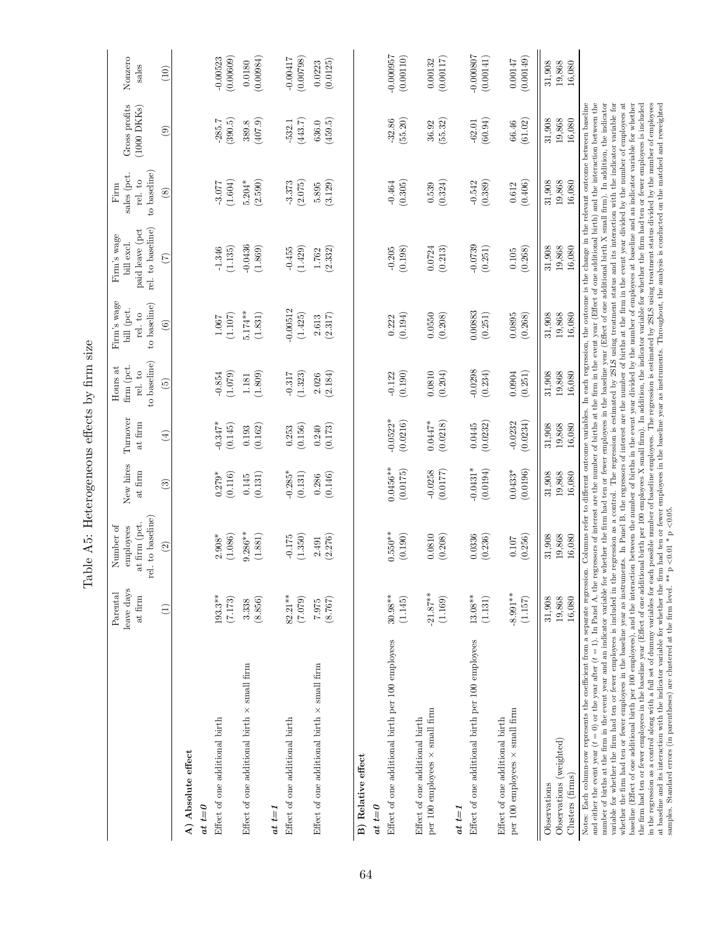|                                                                                                                                                                                                                                                                                                                                                                                                                                                                                                                                                                                                                                                                                                                                                                                                                                                                                                                                                                                                                                                                                                                                                                                                                                                                                                                                                                                                                                                                                                                                                                                                                                                                                                                                                                                                                                                                                                                                                                                                                                                                                                                     | Parental               | Number of                                       |                         |                        | Hours at                              | Firm's wage                           | Firm's wage                                        | Firm                                   |                                   |                          |
|---------------------------------------------------------------------------------------------------------------------------------------------------------------------------------------------------------------------------------------------------------------------------------------------------------------------------------------------------------------------------------------------------------------------------------------------------------------------------------------------------------------------------------------------------------------------------------------------------------------------------------------------------------------------------------------------------------------------------------------------------------------------------------------------------------------------------------------------------------------------------------------------------------------------------------------------------------------------------------------------------------------------------------------------------------------------------------------------------------------------------------------------------------------------------------------------------------------------------------------------------------------------------------------------------------------------------------------------------------------------------------------------------------------------------------------------------------------------------------------------------------------------------------------------------------------------------------------------------------------------------------------------------------------------------------------------------------------------------------------------------------------------------------------------------------------------------------------------------------------------------------------------------------------------------------------------------------------------------------------------------------------------------------------------------------------------------------------------------------------------|------------------------|-------------------------------------------------|-------------------------|------------------------|---------------------------------------|---------------------------------------|----------------------------------------------------|----------------------------------------|-----------------------------------|--------------------------|
|                                                                                                                                                                                                                                                                                                                                                                                                                                                                                                                                                                                                                                                                                                                                                                                                                                                                                                                                                                                                                                                                                                                                                                                                                                                                                                                                                                                                                                                                                                                                                                                                                                                                                                                                                                                                                                                                                                                                                                                                                                                                                                                     | leave days<br>at firm  | rel. to baseline)<br>at firm (pct.<br>employees | New hires<br>at firm    | Turnover<br>at firm    | to baseline)<br>firm (pct.<br>rel. to | to baseline)<br>bill (pct.<br>rel. to | rel. to baseline)<br>paid leave (pct<br>bill excl. | to baseline)<br>sales (pct.<br>rel. to | Gross profits<br>$(1000$ DKKs $)$ | Nonzero<br>sales         |
|                                                                                                                                                                                                                                                                                                                                                                                                                                                                                                                                                                                                                                                                                                                                                                                                                                                                                                                                                                                                                                                                                                                                                                                                                                                                                                                                                                                                                                                                                                                                                                                                                                                                                                                                                                                                                                                                                                                                                                                                                                                                                                                     | $\left(1\right)$       | $\odot$                                         | $\binom{3}{2}$          | $\widehat{E}$          | $\widetilde{5}$                       | $\odot$                               | $\widehat{(\mathcal{I})}$                          | $\circledast$                          | $\circledcirc$                    | (10)                     |
| A) Absolute effect                                                                                                                                                                                                                                                                                                                                                                                                                                                                                                                                                                                                                                                                                                                                                                                                                                                                                                                                                                                                                                                                                                                                                                                                                                                                                                                                                                                                                                                                                                                                                                                                                                                                                                                                                                                                                                                                                                                                                                                                                                                                                                  |                        |                                                 |                         |                        |                                       |                                       |                                                    |                                        |                                   |                          |
| $at t = 0$                                                                                                                                                                                                                                                                                                                                                                                                                                                                                                                                                                                                                                                                                                                                                                                                                                                                                                                                                                                                                                                                                                                                                                                                                                                                                                                                                                                                                                                                                                                                                                                                                                                                                                                                                                                                                                                                                                                                                                                                                                                                                                          |                        |                                                 |                         |                        |                                       |                                       |                                                    |                                        |                                   |                          |
| Effect of one additional birth                                                                                                                                                                                                                                                                                                                                                                                                                                                                                                                                                                                                                                                                                                                                                                                                                                                                                                                                                                                                                                                                                                                                                                                                                                                                                                                                                                                                                                                                                                                                                                                                                                                                                                                                                                                                                                                                                                                                                                                                                                                                                      | $193.3**$<br>(7.173)   | $2.908^*$<br>(1.086)                            | (0.116)<br>$0.279*$     | $-0.347*$<br>(0.145)   | (1.079)<br>$-0.854$                   | (1.107)<br>1.067                      | $-1.346$<br>(1.135)                                | (1.604)<br>$-3.077$                    | (390.5)<br>$-285.7$               | (0.00609)<br>$-0.00523$  |
| Effect of one additional birth $\times$ small firm                                                                                                                                                                                                                                                                                                                                                                                                                                                                                                                                                                                                                                                                                                                                                                                                                                                                                                                                                                                                                                                                                                                                                                                                                                                                                                                                                                                                                                                                                                                                                                                                                                                                                                                                                                                                                                                                                                                                                                                                                                                                  | 3.338                  | $9.286**$                                       | 0.145                   | 0.193                  | $1.181\,$                             | $5.174***$                            | $-0.0436$                                          | $5.204*$                               | 389.8                             | 0.0180                   |
|                                                                                                                                                                                                                                                                                                                                                                                                                                                                                                                                                                                                                                                                                                                                                                                                                                                                                                                                                                                                                                                                                                                                                                                                                                                                                                                                                                                                                                                                                                                                                                                                                                                                                                                                                                                                                                                                                                                                                                                                                                                                                                                     | (8.856)                | (1.881)                                         | (0.131)                 | (0.162)                | (1.809)                               | (1.831)                               | (1.869)                                            | (2.590)                                | (407.9)                           | (0.00984)                |
| $at t=1$                                                                                                                                                                                                                                                                                                                                                                                                                                                                                                                                                                                                                                                                                                                                                                                                                                                                                                                                                                                                                                                                                                                                                                                                                                                                                                                                                                                                                                                                                                                                                                                                                                                                                                                                                                                                                                                                                                                                                                                                                                                                                                            |                        |                                                 |                         |                        |                                       |                                       |                                                    |                                        |                                   |                          |
| Effect of one additional birth                                                                                                                                                                                                                                                                                                                                                                                                                                                                                                                                                                                                                                                                                                                                                                                                                                                                                                                                                                                                                                                                                                                                                                                                                                                                                                                                                                                                                                                                                                                                                                                                                                                                                                                                                                                                                                                                                                                                                                                                                                                                                      | $82.21**$<br>(7.079)   | (1.350)<br>$-0.175$                             | $-0.285*$<br>(0.131)    | (0.156)<br>0.253       | (1.323)<br>$-0.317$                   | $-0.00512$<br>(1.425)                 | (1.429)<br>$-0.455$                                | $-3.373$<br>(2.075)                    | (443.7)<br>$-532.1$               | (0.00798)<br>$-0.00417$  |
| Effect of one additional birth $\times$ small firm                                                                                                                                                                                                                                                                                                                                                                                                                                                                                                                                                                                                                                                                                                                                                                                                                                                                                                                                                                                                                                                                                                                                                                                                                                                                                                                                                                                                                                                                                                                                                                                                                                                                                                                                                                                                                                                                                                                                                                                                                                                                  | (8.767)<br>7.975       | (2.276)<br>2.491                                | (0.146)<br>0.286        | (0.173)<br>0.240       | (2.184)<br>2.026                      | (2.317)<br>2.613                      | (2.332)<br>1.762                                   | (3.129)<br>5.895                       | (459.5)<br>636.0                  | (0.0125)<br>0.0223       |
|                                                                                                                                                                                                                                                                                                                                                                                                                                                                                                                                                                                                                                                                                                                                                                                                                                                                                                                                                                                                                                                                                                                                                                                                                                                                                                                                                                                                                                                                                                                                                                                                                                                                                                                                                                                                                                                                                                                                                                                                                                                                                                                     |                        |                                                 |                         |                        |                                       |                                       |                                                    |                                        |                                   |                          |
| B) Relative effect<br>$at t = 0$                                                                                                                                                                                                                                                                                                                                                                                                                                                                                                                                                                                                                                                                                                                                                                                                                                                                                                                                                                                                                                                                                                                                                                                                                                                                                                                                                                                                                                                                                                                                                                                                                                                                                                                                                                                                                                                                                                                                                                                                                                                                                    |                        |                                                 |                         |                        |                                       |                                       |                                                    |                                        |                                   |                          |
| Effect of one additional birth per 100 employees                                                                                                                                                                                                                                                                                                                                                                                                                                                                                                                                                                                                                                                                                                                                                                                                                                                                                                                                                                                                                                                                                                                                                                                                                                                                                                                                                                                                                                                                                                                                                                                                                                                                                                                                                                                                                                                                                                                                                                                                                                                                    | $30.98**$<br>(1.145)   | $0.550**$<br>(0.190)                            | $0.0456***$<br>(0.0175) | $-0.0522*$<br>(0.0216) | (0.190)<br>$-0.122$                   | (0.194)<br>0.222                      | (0.198)<br>$-0.205$                                | (0.305)<br>$-0.464$                    | (55.20)<br>$-32.86$               | $-0.000057$<br>(0.00110) |
| Effect of one additional birth                                                                                                                                                                                                                                                                                                                                                                                                                                                                                                                                                                                                                                                                                                                                                                                                                                                                                                                                                                                                                                                                                                                                                                                                                                                                                                                                                                                                                                                                                                                                                                                                                                                                                                                                                                                                                                                                                                                                                                                                                                                                                      |                        |                                                 |                         |                        |                                       |                                       |                                                    |                                        |                                   |                          |
| per 100 employees × small firm                                                                                                                                                                                                                                                                                                                                                                                                                                                                                                                                                                                                                                                                                                                                                                                                                                                                                                                                                                                                                                                                                                                                                                                                                                                                                                                                                                                                                                                                                                                                                                                                                                                                                                                                                                                                                                                                                                                                                                                                                                                                                      | $-21.87***$<br>(1.169) | 0.0810<br>(0.208)                               | $-0.0258$<br>(0.0177)   | $0.0447*$<br>(0.0218)  | 0.0810<br>(0.204)                     | 0.0550<br>(0.208)                     | 0.0724<br>(0.213)                                  | (0.324)<br>0.539                       | (55.32)<br>36.92                  | (0.00117)<br>0.00132     |
| $at t=1$                                                                                                                                                                                                                                                                                                                                                                                                                                                                                                                                                                                                                                                                                                                                                                                                                                                                                                                                                                                                                                                                                                                                                                                                                                                                                                                                                                                                                                                                                                                                                                                                                                                                                                                                                                                                                                                                                                                                                                                                                                                                                                            |                        |                                                 |                         |                        |                                       |                                       |                                                    |                                        |                                   |                          |
| Effect of one additional birth per 100 employees                                                                                                                                                                                                                                                                                                                                                                                                                                                                                                                                                                                                                                                                                                                                                                                                                                                                                                                                                                                                                                                                                                                                                                                                                                                                                                                                                                                                                                                                                                                                                                                                                                                                                                                                                                                                                                                                                                                                                                                                                                                                    | $13.08***$<br>(1.131)  | 0.0336<br>(0.236)                               | $-0.0431*$<br>(0.0194)  | (0.0232)<br>0.0445     | $-0.0298$<br>(0.234)                  | 0.00883<br>(0.251)                    | $-0.0739$<br>(0.251)                               | (0.389)<br>$-0.542$                    | (60.94)<br>$-62.01$               | $-0.000807$<br>(0.00141) |
| Effect of one additional birth                                                                                                                                                                                                                                                                                                                                                                                                                                                                                                                                                                                                                                                                                                                                                                                                                                                                                                                                                                                                                                                                                                                                                                                                                                                                                                                                                                                                                                                                                                                                                                                                                                                                                                                                                                                                                                                                                                                                                                                                                                                                                      |                        |                                                 |                         |                        |                                       |                                       |                                                    |                                        |                                   |                          |
| per 100 employees $\times$ small firm                                                                                                                                                                                                                                                                                                                                                                                                                                                                                                                                                                                                                                                                                                                                                                                                                                                                                                                                                                                                                                                                                                                                                                                                                                                                                                                                                                                                                                                                                                                                                                                                                                                                                                                                                                                                                                                                                                                                                                                                                                                                               | $-8.991**$<br>(1.157)  | (0.256)<br>0.107                                | (0.0196)<br>$0.0433*$   | (0.0234)<br>$-0.0232$  | 0.0904<br>(0.251)                     | 0.0895<br>(0.268)                     | (0.268)<br>0.105                                   | (0.406)<br>0.612                       | (61.02)<br>66.46                  | (0.00149)<br>0.00147     |
| Observations                                                                                                                                                                                                                                                                                                                                                                                                                                                                                                                                                                                                                                                                                                                                                                                                                                                                                                                                                                                                                                                                                                                                                                                                                                                                                                                                                                                                                                                                                                                                                                                                                                                                                                                                                                                                                                                                                                                                                                                                                                                                                                        | 31,908                 | 31,908                                          | 31,908                  | 31,908                 | 31,908                                | 31,908                                | 31,908                                             | 31,908                                 | 31,908                            | 31,908                   |
| Observations (weighted)                                                                                                                                                                                                                                                                                                                                                                                                                                                                                                                                                                                                                                                                                                                                                                                                                                                                                                                                                                                                                                                                                                                                                                                                                                                                                                                                                                                                                                                                                                                                                                                                                                                                                                                                                                                                                                                                                                                                                                                                                                                                                             | 19,868                 | 19,868                                          | 19,868                  | 19,868                 | 19,868                                | 19,868                                | 19,868                                             | 19,868                                 | 19,868                            | 19,868                   |
| Clusters (firms)                                                                                                                                                                                                                                                                                                                                                                                                                                                                                                                                                                                                                                                                                                                                                                                                                                                                                                                                                                                                                                                                                                                                                                                                                                                                                                                                                                                                                                                                                                                                                                                                                                                                                                                                                                                                                                                                                                                                                                                                                                                                                                    | 16,080                 | 16,080                                          | 16,080                  | 16,080                 | 16,080                                | 16,080                                | 16,080                                             | 16,080                                 | 16,080                            | 16,080                   |
| and either the event year $(t=0)$ or the year after $(t=1)$ . In Panel A, the regressors of interest are the number of births at the firm in the event year (Effect of one additional birth) and the interaction between the<br>Notes: Each column-row represents the coefficient from a separate regression. Columns refer to different outcome variables. In each regression, the outcome is the change in the relevant outcome between baseline<br>number of births at the firm in the event year and an indicator variable for whether the firm had ten or fewer employees in the baseline year (Effect of one additional birth X small firm). In addition, the indicator<br>variable for whether the firm had ten or fewer employees is included in the regression as a control. The regression is estimated by 2SLS using treatment status and its interaction with the indicator variable for<br>whether the firm had ten or fewer employees in the baseline year as instruments. In Panel B, the regressors of interest are the mumber of births at the firm in the event year divided by the number of employees at<br>baseline (Effect of one additional birth per 100 employees), and the interaction between the number of births in the event year divided by the number of employees at baseline and an indicator variable for whether<br>in the regression as a control along with a full set of dummy variables for each possible number of baseline employees. The regression is estimated by 2SLS using treatment status divided by the number of employees<br>the firm had ten or fewer employees in the baseline year (Effect of one additional birth per 100 employees X small firm). In addition, the indicator variable for whether the firm had ten or fewer employees is included<br>at baseline and its interaction with the indicator variable for whether the firm had ten or fewer employees in the baseline year as instruments. Throughout, the analysis is conducted on the matched and reweighted<br>samples. Standard errors (in parentheses) are clustered at the firm level. ** |                        | $\rm p$ $<\!0.01$ * $\rm p$ $<\!0.05.$          |                         |                        |                                       |                                       |                                                    |                                        |                                   |                          |

Table A5: Heterogeneous effects by firm size Table A5: Heterogeneous effects by firm size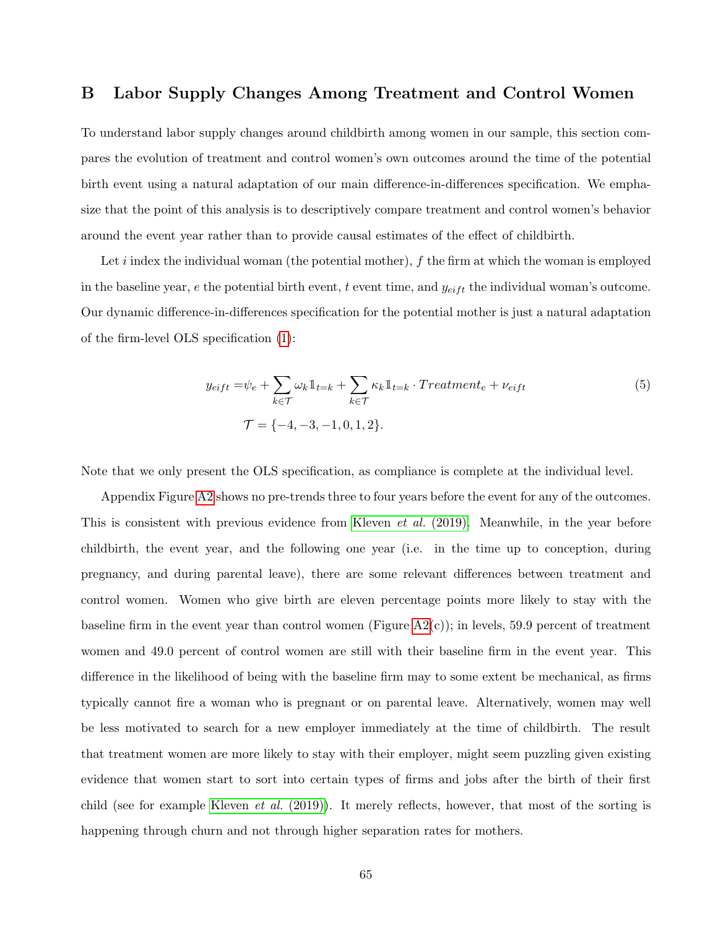# B Labor Supply Changes Among Treatment and Control Women

To understand labor supply changes around childbirth among women in our sample, this section compares the evolution of treatment and control women's own outcomes around the time of the potential birth event using a natural adaptation of our main difference-in-differences specification. We emphasize that the point of this analysis is to descriptively compare treatment and control women's behavior around the event year rather than to provide causal estimates of the effect of childbirth.

Let i index the individual woman (the potential mother),  $f$  the firm at which the woman is employed in the baseline year,  $e$  the potential birth event,  $t$  event time, and  $y_{eif}$  the individual woman's outcome. Our dynamic difference-in-differences specification for the potential mother is just a natural adaptation of the firm-level OLS specification [\(1\)](#page-17-0):

$$
y_{eift} = \psi_e + \sum_{k \in \mathcal{T}} \omega_k \mathbb{1}_{t=k} + \sum_{k \in \mathcal{T}} \kappa_k \mathbb{1}_{t=k} \cdot Treatment_e + \nu_{eift}
$$
  

$$
\mathcal{T} = \{-4, -3, -1, 0, 1, 2\}.
$$
 (5)

Note that we only present the OLS specification, as compliance is complete at the individual level.

Appendix Figure [A2](#page-65-0) shows no pre-trends three to four years before the event for any of the outcomes. This is consistent with previous evidence from [Kleven](#page-41-0) *et al.* (2019). Meanwhile, in the year before childbirth, the event year, and the following one year (i.e. in the time up to conception, during pregnancy, and during parental leave), there are some relevant differences between treatment and control women. Women who give birth are eleven percentage points more likely to stay with the baseline firm in the event year than control women (Figure  $A2(c)$ ); in levels, 59.9 percent of treatment women and 49.0 percent of control women are still with their baseline firm in the event year. This difference in the likelihood of being with the baseline firm may to some extent be mechanical, as firms typically cannot fire a woman who is pregnant or on parental leave. Alternatively, women may well be less motivated to search for a new employer immediately at the time of childbirth. The result that treatment women are more likely to stay with their employer, might seem puzzling given existing evidence that women start to sort into certain types of firms and jobs after the birth of their first child (see for example [Kleven](#page-41-0) *et al.* (2019)). It merely reflects, however, that most of the sorting is happening through churn and not through higher separation rates for mothers.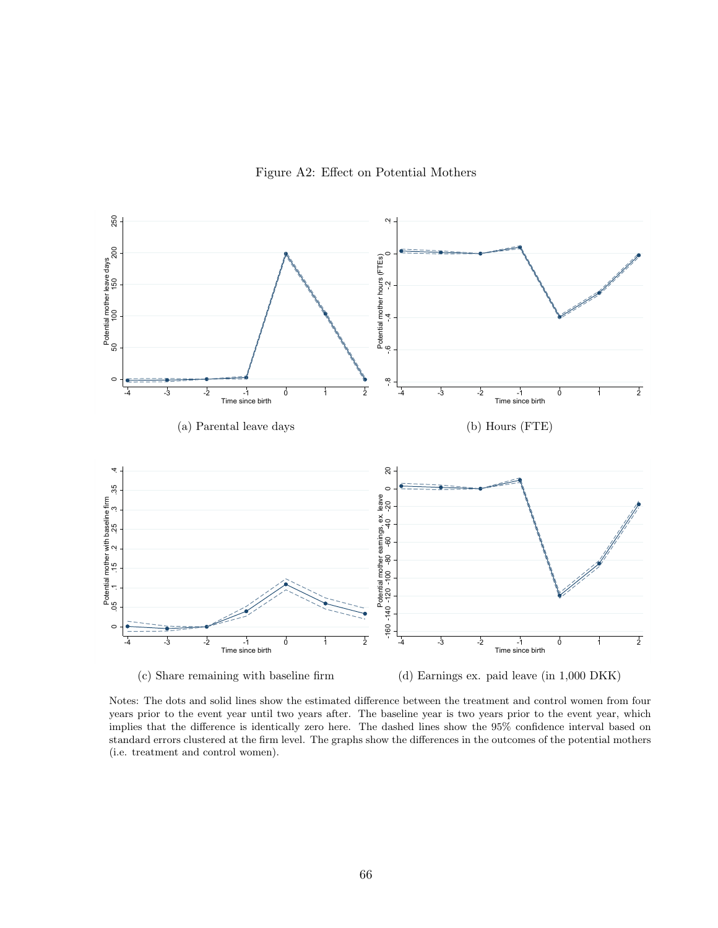

<span id="page-65-0"></span>

Notes: The dots and solid lines show the estimated difference between the treatment and control women from four years prior to the event year until two years after. The baseline year is two years prior to the event year, which implies that the difference is identically zero here. The dashed lines show the 95% confidence interval based on standard errors clustered at the firm level. The graphs show the differences in the outcomes of the potential mothers (i.e. treatment and control women).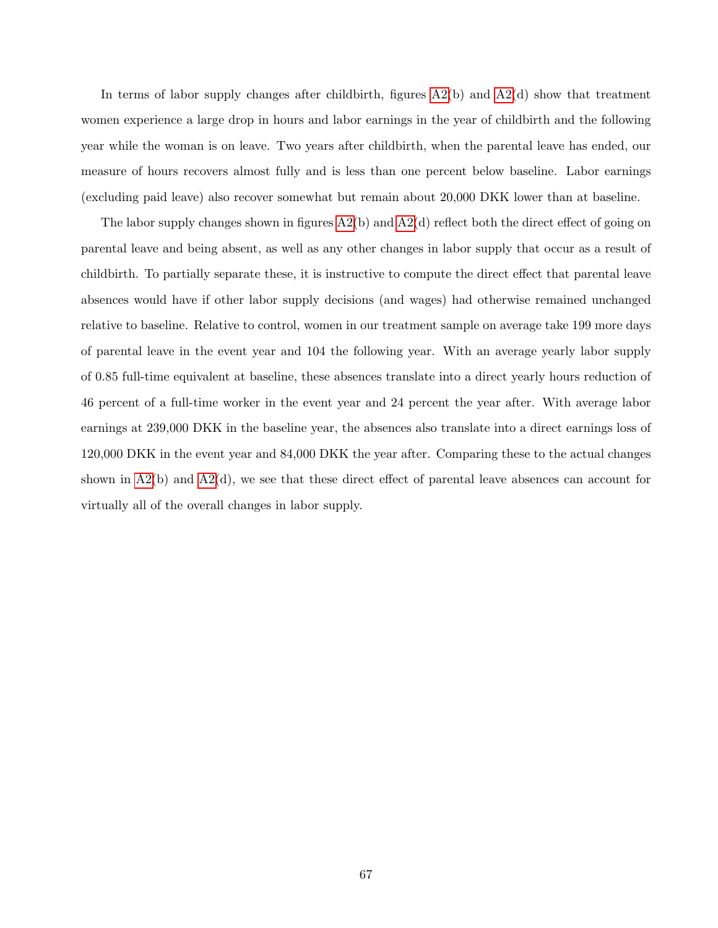In terms of labor supply changes after childbirth, figures  $A2(b)$  and  $A2(d)$  show that treatment women experience a large drop in hours and labor earnings in the year of childbirth and the following year while the woman is on leave. Two years after childbirth, when the parental leave has ended, our measure of hours recovers almost fully and is less than one percent below baseline. Labor earnings (excluding paid leave) also recover somewhat but remain about 20,000 DKK lower than at baseline.

The labor supply changes shown in figures [A2\(](#page-65-0)b) and [A2\(](#page-65-0)d) reflect both the direct effect of going on parental leave and being absent, as well as any other changes in labor supply that occur as a result of childbirth. To partially separate these, it is instructive to compute the direct effect that parental leave absences would have if other labor supply decisions (and wages) had otherwise remained unchanged relative to baseline. Relative to control, women in our treatment sample on average take 199 more days of parental leave in the event year and 104 the following year. With an average yearly labor supply of 0.85 full-time equivalent at baseline, these absences translate into a direct yearly hours reduction of 46 percent of a full-time worker in the event year and 24 percent the year after. With average labor earnings at 239,000 DKK in the baseline year, the absences also translate into a direct earnings loss of 120,000 DKK in the event year and 84,000 DKK the year after. Comparing these to the actual changes shown in  $A2(b)$  and  $A2(d)$ , we see that these direct effect of parental leave absences can account for virtually all of the overall changes in labor supply.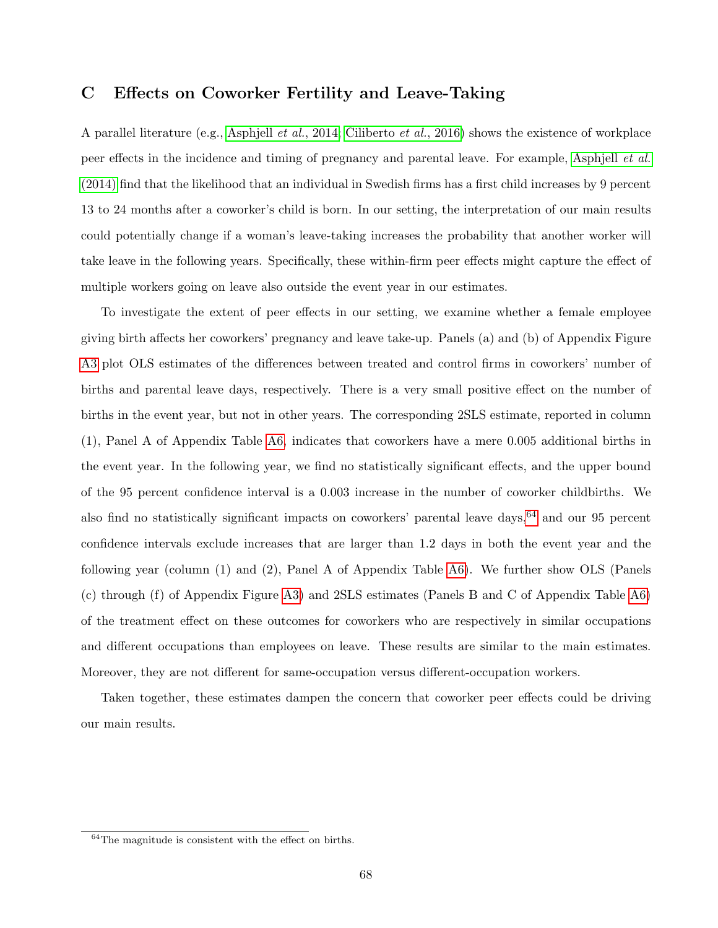### C Effects on Coworker Fertility and Leave-Taking

A parallel literature (e.g., [Asphjell](#page-37-0) et al., 2014; [Ciliberto](#page-39-0) et al., 2016) shows the existence of workplace peer effects in the incidence and timing of pregnancy and parental leave. For example, [Asphjell](#page-37-0) et al. [\(2014\)](#page-37-0) find that the likelihood that an individual in Swedish firms has a first child increases by 9 percent 13 to 24 months after a coworker's child is born. In our setting, the interpretation of our main results could potentially change if a woman's leave-taking increases the probability that another worker will take leave in the following years. Specifically, these within-firm peer effects might capture the effect of multiple workers going on leave also outside the event year in our estimates.

To investigate the extent of peer effects in our setting, we examine whether a female employee giving birth affects her coworkers' pregnancy and leave take-up. Panels (a) and (b) of Appendix Figure [A3](#page-68-0) plot OLS estimates of the differences between treated and control firms in coworkers' number of births and parental leave days, respectively. There is a very small positive effect on the number of births in the event year, but not in other years. The corresponding 2SLS estimate, reported in column (1), Panel A of Appendix Table [A6,](#page-69-0) indicates that coworkers have a mere 0.005 additional births in the event year. In the following year, we find no statistically significant effects, and the upper bound of the 95 percent confidence interval is a 0.003 increase in the number of coworker childbirths. We also find no statistically significant impacts on coworkers' parental leave days, <sup>[64](#page-0-0)</sup> and our 95 percent confidence intervals exclude increases that are larger than 1.2 days in both the event year and the following year (column (1) and (2), Panel A of Appendix Table [A6\)](#page-69-0). We further show OLS (Panels (c) through (f) of Appendix Figure [A3\)](#page-68-0) and 2SLS estimates (Panels B and C of Appendix Table [A6\)](#page-69-0) of the treatment effect on these outcomes for coworkers who are respectively in similar occupations and different occupations than employees on leave. These results are similar to the main estimates. Moreover, they are not different for same-occupation versus different-occupation workers.

Taken together, these estimates dampen the concern that coworker peer effects could be driving our main results.

<sup>64</sup>The magnitude is consistent with the effect on births.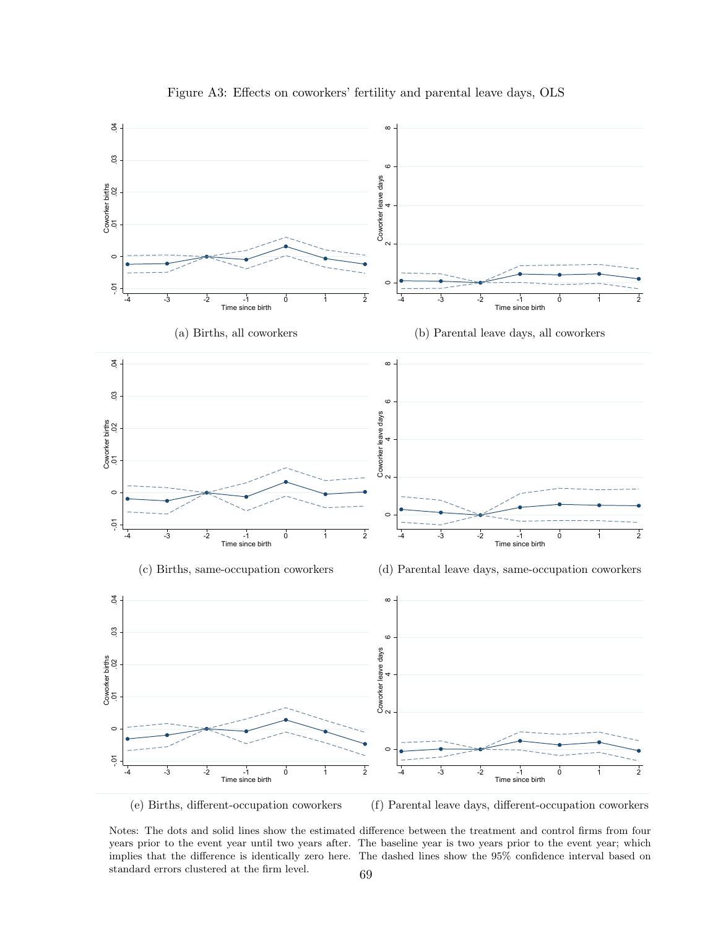<span id="page-68-0"></span>

Figure A3: Effects on coworkers' fertility and parental leave days, OLS

(e) Births, different-occupation coworkers

(f) Parental leave days, different-occupation coworkers

standard errors clustered at the firm level.  $\hspace{1.6cm}69$ 

Notes: The dots and solid lines show the estimated difference between the treatment and control firms from four years prior to the event year until two years after. The baseline year is two years prior to the event year; which implies that the difference is identically zero here. The dashed lines show the 95% confidence interval based on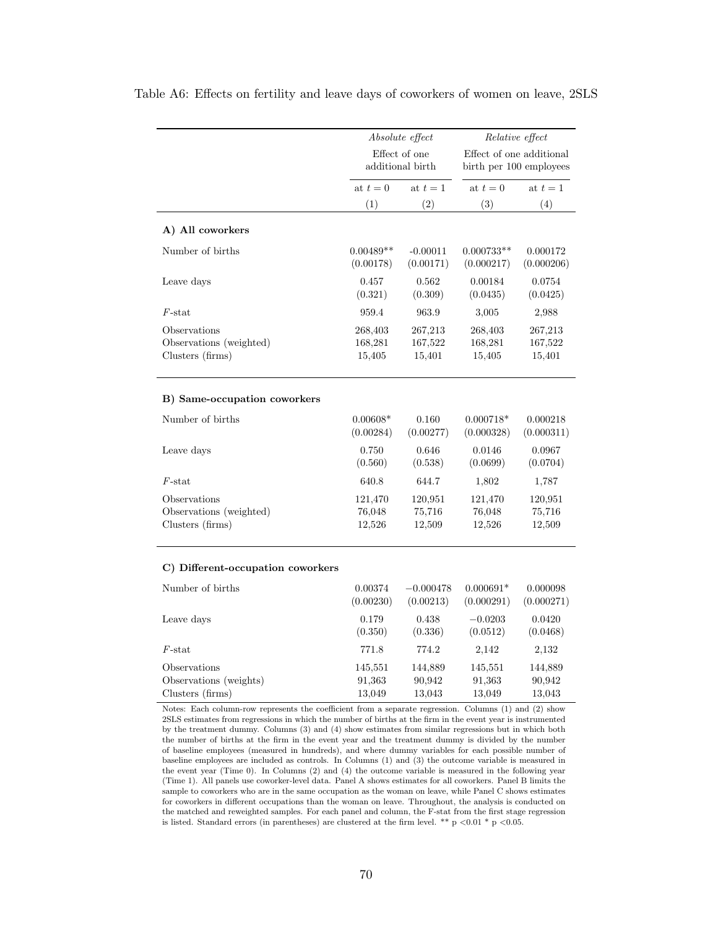|                                                             |                              | Absolute effect              |                              | Relative effect              |
|-------------------------------------------------------------|------------------------------|------------------------------|------------------------------|------------------------------|
|                                                             |                              | Effect of one                |                              | Effect of one additional     |
|                                                             |                              | additional birth             |                              | birth per 100 employees      |
|                                                             | at $t=0$                     | at $t=1$                     | at $t=0$                     | at $t=1$                     |
|                                                             | (1)                          | (2)                          | (3)                          | (4)                          |
| A) All coworkers                                            |                              |                              |                              |                              |
| Number of births                                            | $0.00489**$<br>(0.00178)     | $-0.00011$<br>(0.00171)      | $0.000733**$<br>(0.000217)   | 0.000172<br>(0.000206)       |
| Leave days                                                  | 0.457<br>(0.321)             | 0.562<br>(0.309)             | 0.00184<br>(0.0435)          | 0.0754<br>(0.0425)           |
| $F$ -stat                                                   | 959.4                        | 963.9                        | 3,005                        | 2,988                        |
| Observations<br>Observations (weighted)<br>Clusters (firms) | 268,403<br>168,281<br>15,405 | 267,213<br>167,522<br>15,401 | 268,403<br>168,281<br>15,405 | 267,213<br>167,522<br>15,401 |
| B) Same-occupation coworkers                                |                              |                              |                              |                              |
| Number of births                                            | $0.00608*$<br>(0.00284)      | 0.160<br>(0.00277)           | $0.000718*$<br>(0.000328)    | 0.000218<br>(0.000311)       |
| Leave days                                                  | 0.750<br>(0.560)             | 0.646<br>(0.538)             | 0.0146<br>(0.0699)           | 0.0967<br>(0.0704)           |
| $F\text{-stat}$                                             | 640.8                        | 644.7                        | 1,802                        | 1,787                        |
| Observations<br>Observations (weighted)<br>Clusters (firms) | 121,470<br>76,048<br>12,526  | 120,951<br>75,716<br>12,509  | 121,470<br>76,048<br>12,526  | 120,951<br>75,716<br>12,509  |
| C) Different-occupation coworkers                           |                              |                              |                              |                              |
| Number of births                                            | 0.00374<br>(0.00230)         | $-0.000478$<br>(0.00213)     | $0.000691*$<br>(0.000291)    | 0.000098<br>(0.000271)       |
| Leave days                                                  | 0.179<br>(0.350)             | 0.438<br>(0.336)             | $-0.0203$<br>(0.0512)        | 0.0420<br>(0.0468)           |
| $F$ -stat                                                   | 771.8                        | 774.2                        | 2,142                        | 2,132                        |
| Observations<br>Observations (weights)                      | 145,551<br>91,363            | 144,889<br>90,942            | 145,551<br>91,363            | 144,889<br>90,942            |

<span id="page-69-0"></span>Table A6: Effects on fertility and leave days of coworkers of women on leave, 2SLS

Notes: Each column-row represents the coefficient from a separate regression. Columns (1) and (2) show 2SLS estimates from regressions in which the number of births at the firm in the event year is instrumented by the treatment dummy. Columns (3) and (4) show estimates from similar regressions but in which both the number of births at the firm in the event year and the treatment dummy is divided by the number of baseline employees (measured in hundreds), and where dummy variables for each possible number of baseline employees are included as controls. In Columns (1) and (3) the outcome variable is measured in the event year (Time 0). In Columns (2) and (4) the outcome variable is measured in the following year (Time 1). All panels use coworker-level data. Panel A shows estimates for all coworkers. Panel B limits the sample to coworkers who are in the same occupation as the woman on leave, while Panel C shows estimates for coworkers in different occupations than the woman on leave. Throughout, the analysis is conducted on the matched and reweighted samples. For each panel and column, the F-stat from the first stage regression is listed. Standard errors (in parentheses) are clustered at the firm level. \*\* p <0.01 \* p <0.05.

Clusters (firms) 13,049 13,049 13,043 13,043 13,043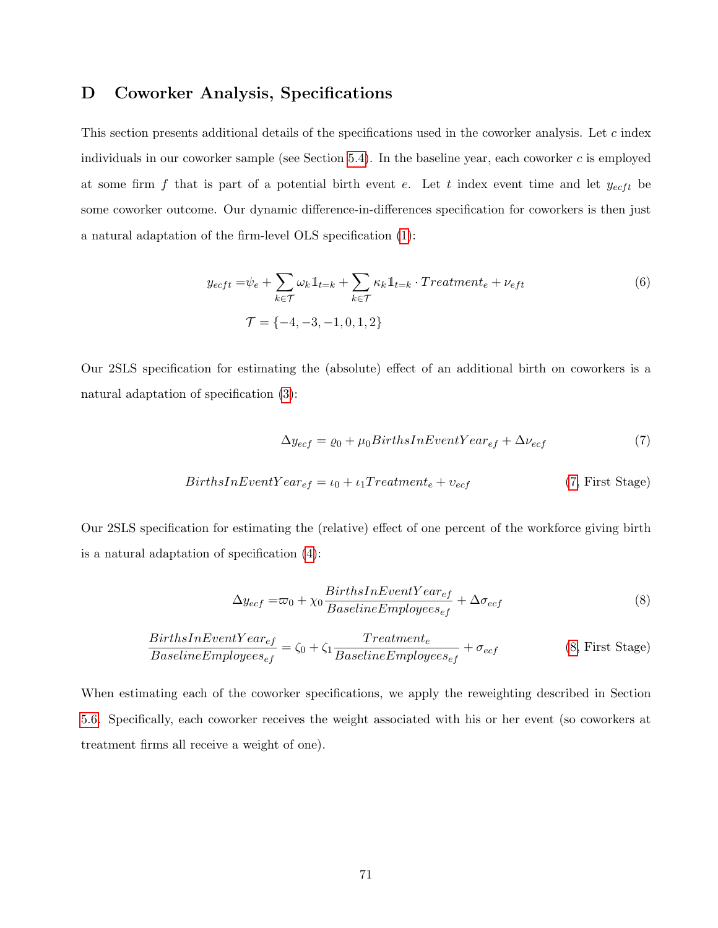# D Coworker Analysis, Specifications

This section presents additional details of the specifications used in the coworker analysis. Let c index individuals in our coworker sample (see Section [5.4\)](#page-19-0). In the baseline year, each coworker  $c$  is employed at some firm  $f$  that is part of a potential birth event  $e$ . Let  $t$  index event time and let  $y_{eeft}$  be some coworker outcome. Our dynamic difference-in-differences specification for coworkers is then just a natural adaptation of the firm-level OLS specification [\(1\)](#page-17-0):

$$
y_{ecft} = \psi_e + \sum_{k \in \mathcal{T}} \omega_k \mathbb{1}_{t=k} + \sum_{k \in \mathcal{T}} \kappa_k \mathbb{1}_{t=k} \cdot Treatment_e + \nu_{eft}
$$
  

$$
\mathcal{T} = \{-4, -3, -1, 0, 1, 2\}
$$
 (6)

Our 2SLS specification for estimating the (absolute) effect of an additional birth on coworkers is a natural adaptation of specification [\(3\)](#page-20-0):

<span id="page-70-1"></span><span id="page-70-0"></span>
$$
\Delta y_{ecf} = \varrho_0 + \mu_0 Births InEventYear_{ef} + \Delta \nu_{ecf} \tag{7}
$$

$$
BirthsInEventYear_{ef} = \iota_0 + \iota_1 Treatment_e + \nu_{ecf}
$$
\n(7, First Stage)

Our 2SLS specification for estimating the (relative) effect of one percent of the workforce giving birth is a natural adaptation of specification [\(4\)](#page-21-0):

$$
\Delta y_{ecf} = \varpi_0 + \chi_0 \frac{BirthSInEventYear_{ef}}{BaselineEmployees_{ef}} + \Delta \sigma_{ecf}
$$
\n(8)

$$
\frac{BirthSInEventYear_{ef}}{BaselineEmployees_{ef}} = \zeta_0 + \zeta_1 \frac{Trainent_e}{BaselineEmployees_{ef}} + \sigma_{ecf}
$$
 (8, First Stage)

When estimating each of the coworker specifications, we apply the reweighting described in Section [5.6.](#page-21-1) Specifically, each coworker receives the weight associated with his or her event (so coworkers at treatment firms all receive a weight of one).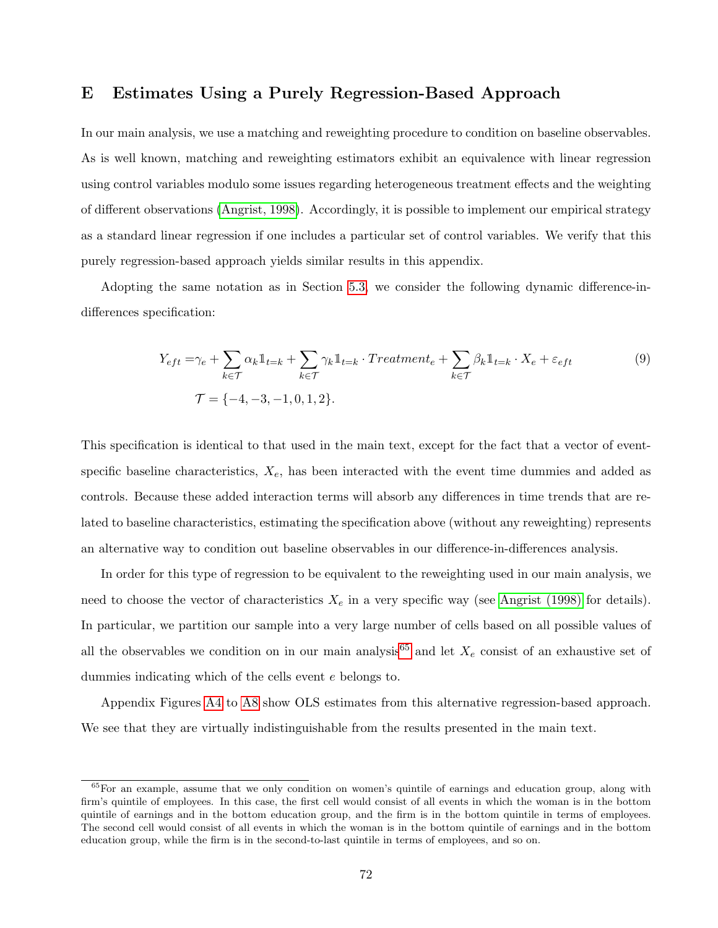# E Estimates Using a Purely Regression-Based Approach

In our main analysis, we use a matching and reweighting procedure to condition on baseline observables. As is well known, matching and reweighting estimators exhibit an equivalence with linear regression using control variables modulo some issues regarding heterogeneous treatment effects and the weighting of different observations [\(Angrist, 1998\)](#page-37-1). Accordingly, it is possible to implement our empirical strategy as a standard linear regression if one includes a particular set of control variables. We verify that this purely regression-based approach yields similar results in this appendix.

Adopting the same notation as in Section [5.3,](#page-17-1) we consider the following dynamic difference-indifferences specification:

$$
Y_{eft} = \gamma_e + \sum_{k \in \mathcal{T}} \alpha_k \mathbb{1}_{t=k} + \sum_{k \in \mathcal{T}} \gamma_k \mathbb{1}_{t=k} \cdot Treatment_e + \sum_{k \in \mathcal{T}} \beta_k \mathbb{1}_{t=k} \cdot X_e + \varepsilon_{eft}
$$
  
\n
$$
\mathcal{T} = \{-4, -3, -1, 0, 1, 2\}.
$$
\n(9)

This specification is identical to that used in the main text, except for the fact that a vector of eventspecific baseline characteristics,  $X_e$ , has been interacted with the event time dummies and added as controls. Because these added interaction terms will absorb any differences in time trends that are related to baseline characteristics, estimating the specification above (without any reweighting) represents an alternative way to condition out baseline observables in our difference-in-differences analysis.

In order for this type of regression to be equivalent to the reweighting used in our main analysis, we need to choose the vector of characteristics  $X_e$  in a very specific way (see [Angrist \(1998\)](#page-37-1) for details). In particular, we partition our sample into a very large number of cells based on all possible values of all the observables we condition on in our main analysis<sup>[65](#page-0-0)</sup> and let  $X_e$  consist of an exhaustive set of dummies indicating which of the cells event e belongs to.

Appendix Figures [A4](#page-72-0) to [A8](#page-76-0) show OLS estimates from this alternative regression-based approach. We see that they are virtually indistinguishable from the results presented in the main text.

 $65$  For an example, assume that we only condition on women's quintile of earnings and education group, along with firm's quintile of employees. In this case, the first cell would consist of all events in which the woman is in the bottom quintile of earnings and in the bottom education group, and the firm is in the bottom quintile in terms of employees. The second cell would consist of all events in which the woman is in the bottom quintile of earnings and in the bottom education group, while the firm is in the second-to-last quintile in terms of employees, and so on.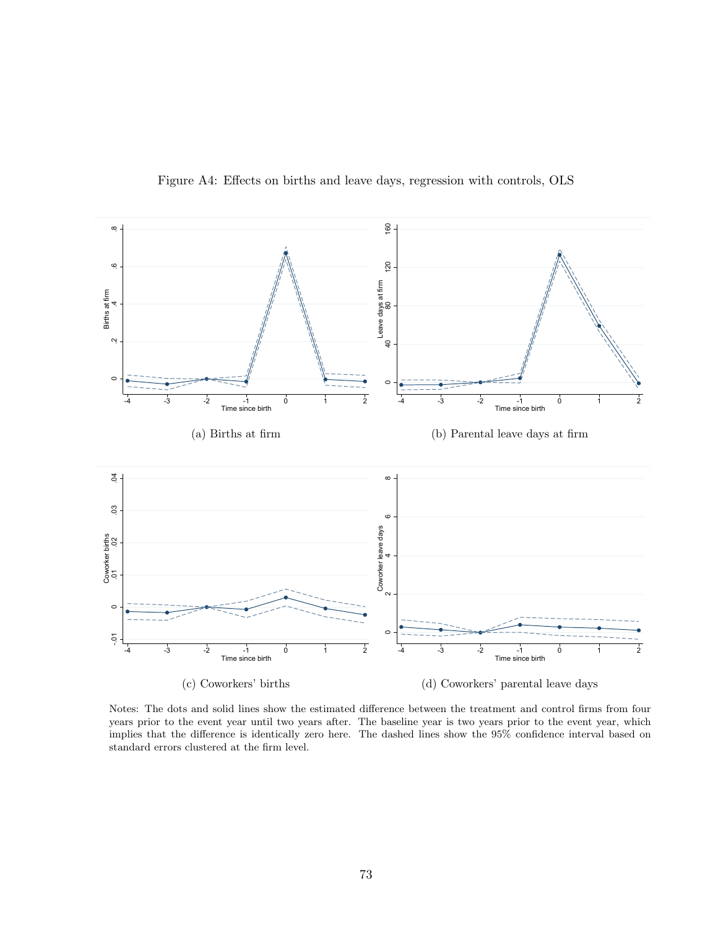

Figure A4: Effects on births and leave days, regression with controls, OLS

Notes: The dots and solid lines show the estimated difference between the treatment and control firms from four years prior to the event year until two years after. The baseline year is two years prior to the event year, which implies that the difference is identically zero here. The dashed lines show the 95% confidence interval based on standard errors clustered at the firm level.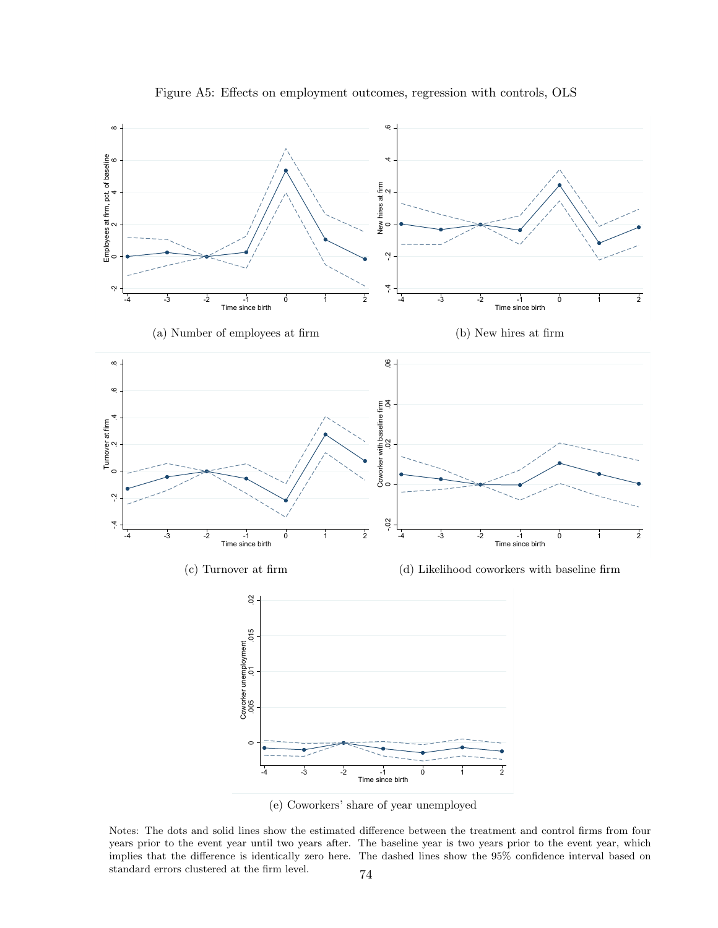

Figure A5: Effects on employment outcomes, regression with controls, OLS

(e) Coworkers' share of year unemployed

Notes: The dots and solid lines show the estimated difference between the treatment and control firms from four years prior to the event year until two years after. The baseline year is two years prior to the event year, which implies that the difference is identically zero here. The dashed lines show the 95% confidence interval based on standard errors clustered at the firm level.  $\hspace{1cm} 74$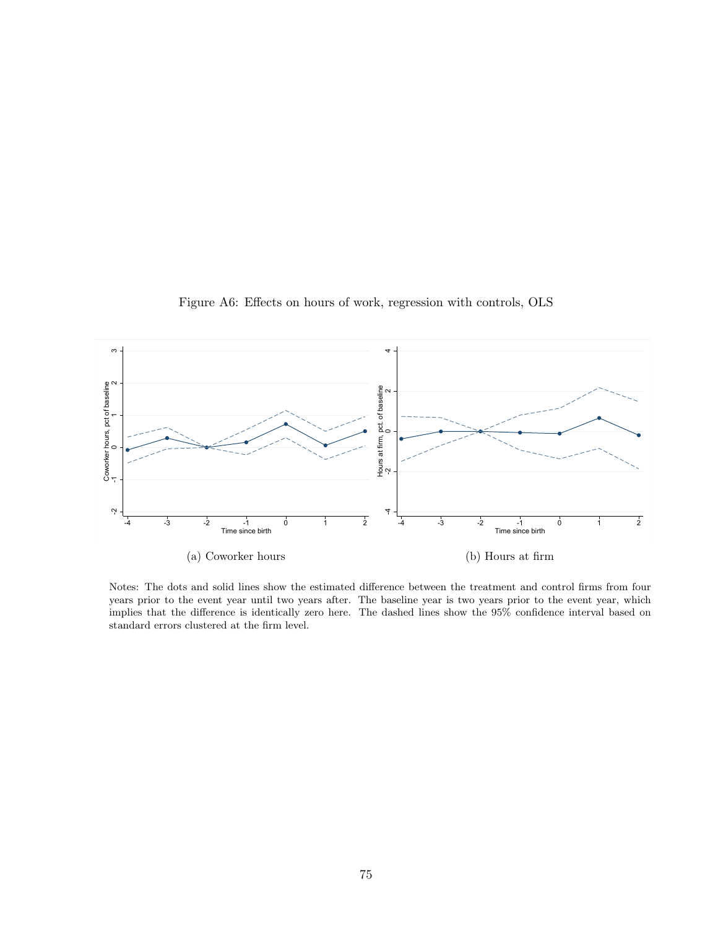

Figure A6: Effects on hours of work, regression with controls, OLS

Notes: The dots and solid lines show the estimated difference between the treatment and control firms from four years prior to the event year until two years after. The baseline year is two years prior to the event year, which implies that the difference is identically zero here. The dashed lines show the 95% confidence interval based on standard errors clustered at the firm level.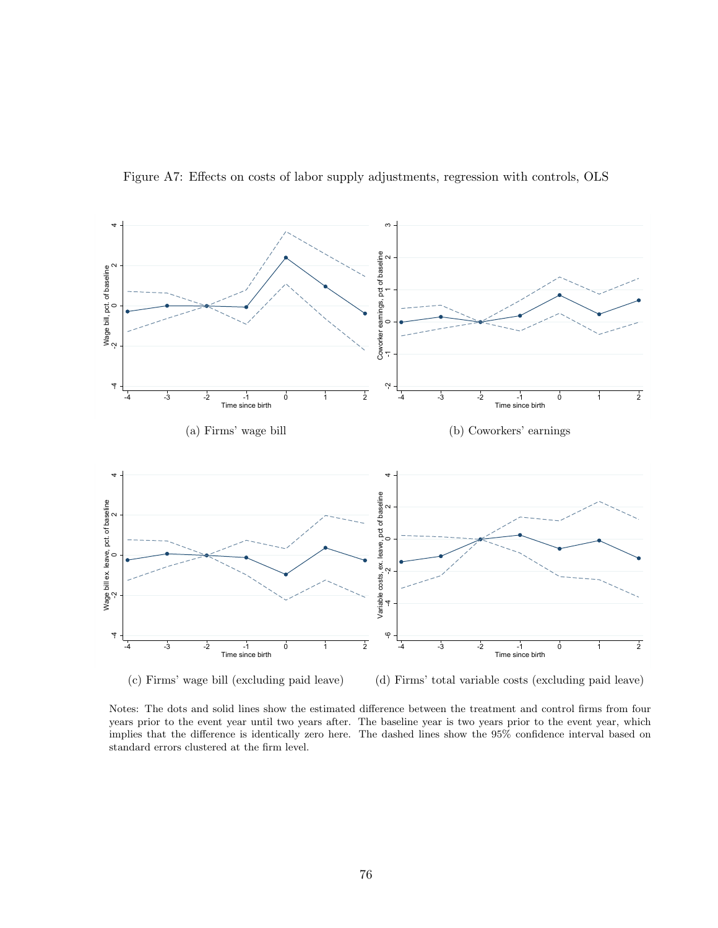

Figure A7: Effects on costs of labor supply adjustments, regression with controls, OLS

(d) Firms' total variable costs (excluding paid leave)

Notes: The dots and solid lines show the estimated difference between the treatment and control firms from four years prior to the event year until two years after. The baseline year is two years prior to the event year, which implies that the difference is identically zero here. The dashed lines show the 95% confidence interval based on standard errors clustered at the firm level.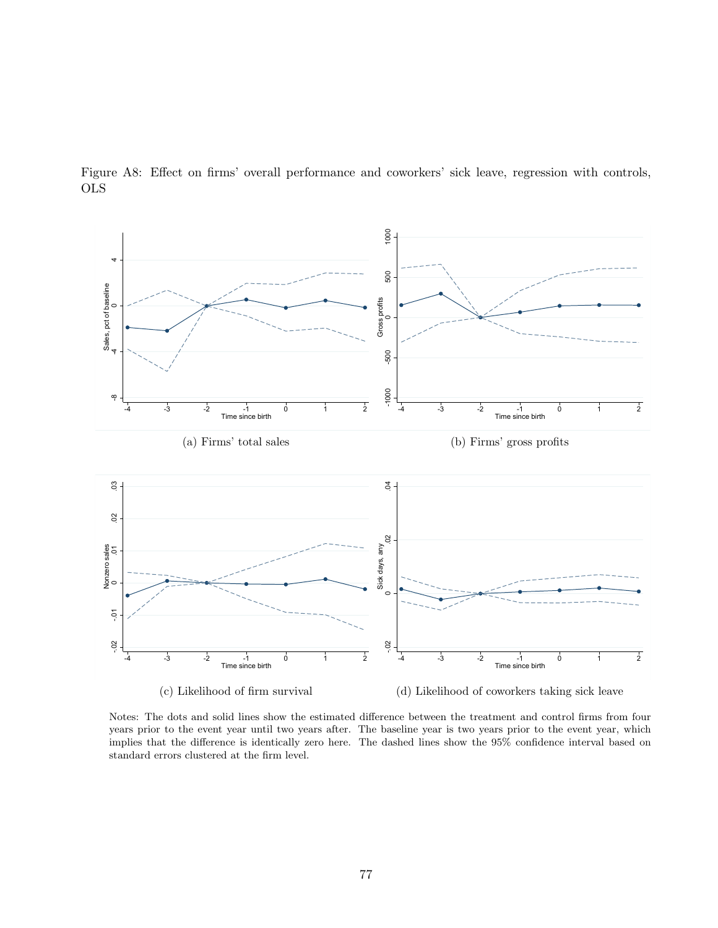

Figure A8: Effect on firms' overall performance and coworkers' sick leave, regression with controls, OLS

Notes: The dots and solid lines show the estimated difference between the treatment and control firms from four years prior to the event year until two years after. The baseline year is two years prior to the event year, which implies that the difference is identically zero here. The dashed lines show the 95% confidence interval based on standard errors clustered at the firm level.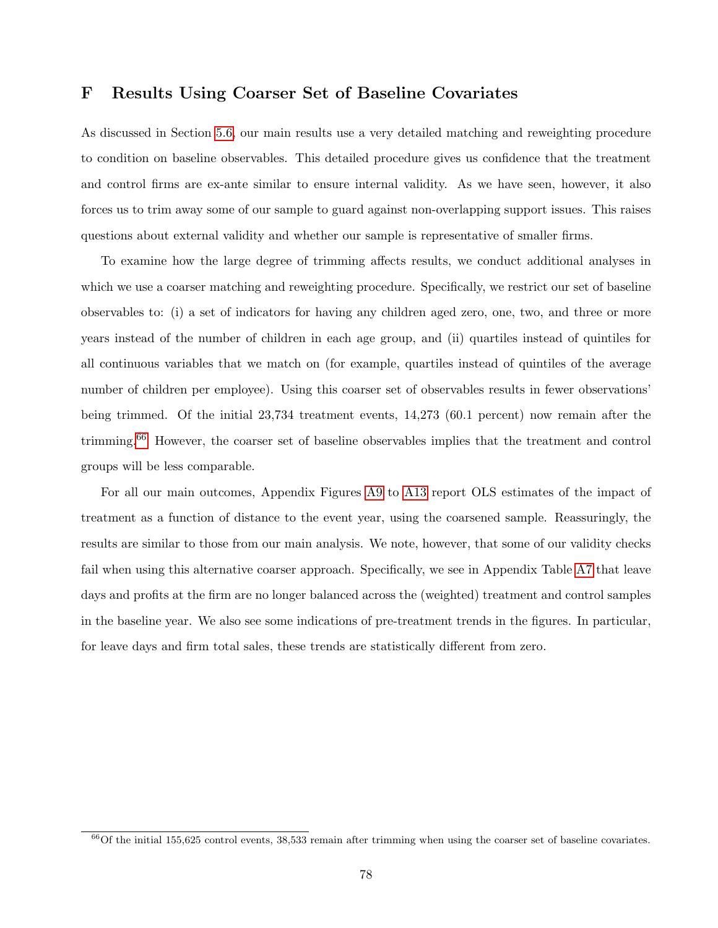### F Results Using Coarser Set of Baseline Covariates

As discussed in Section [5.6,](#page-21-0) our main results use a very detailed matching and reweighting procedure to condition on baseline observables. This detailed procedure gives us confidence that the treatment and control firms are ex-ante similar to ensure internal validity. As we have seen, however, it also forces us to trim away some of our sample to guard against non-overlapping support issues. This raises questions about external validity and whether our sample is representative of smaller firms.

To examine how the large degree of trimming affects results, we conduct additional analyses in which we use a coarser matching and reweighting procedure. Specifically, we restrict our set of baseline observables to: (i) a set of indicators for having any children aged zero, one, two, and three or more years instead of the number of children in each age group, and (ii) quartiles instead of quintiles for all continuous variables that we match on (for example, quartiles instead of quintiles of the average number of children per employee). Using this coarser set of observables results in fewer observations' being trimmed. Of the initial 23,734 treatment events, 14,273 (60.1 percent) now remain after the trimming.[66](#page-0-0) However, the coarser set of baseline observables implies that the treatment and control groups will be less comparable.

For all our main outcomes, Appendix Figures [A9](#page-79-0) to [A13](#page-83-0) report OLS estimates of the impact of treatment as a function of distance to the event year, using the coarsened sample. Reassuringly, the results are similar to those from our main analysis. We note, however, that some of our validity checks fail when using this alternative coarser approach. Specifically, we see in Appendix Table [A7](#page-78-0) that leave days and profits at the firm are no longer balanced across the (weighted) treatment and control samples in the baseline year. We also see some indications of pre-treatment trends in the figures. In particular, for leave days and firm total sales, these trends are statistically different from zero.

 $^{66}$ Of the initial 155,625 control events, 38,533 remain after trimming when using the coarser set of baseline covariates.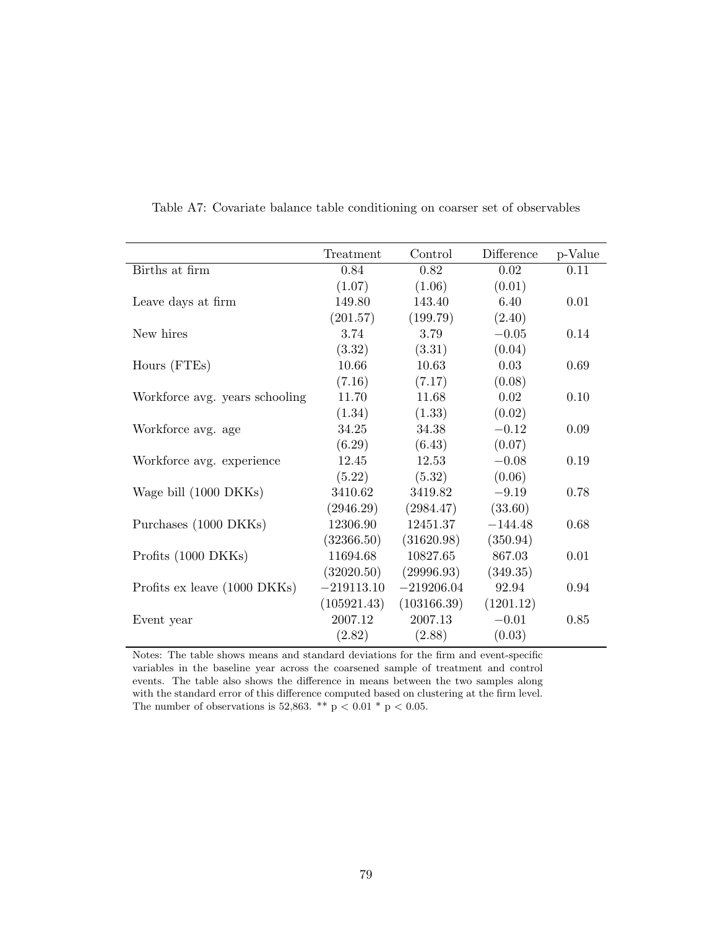<span id="page-78-0"></span>

|                                | Treatment    | Control      | Difference | p-Value |
|--------------------------------|--------------|--------------|------------|---------|
| Births at firm                 | 0.84         | 0.82         | 0.02       | 0.11    |
|                                | (1.07)       | (1.06)       | (0.01)     |         |
| Leave days at firm             | 149.80       | 143.40       | 6.40       | 0.01    |
|                                | (201.57)     | (199.79)     | (2.40)     |         |
| New hires                      | 3.74         | 3.79         | $-0.05$    | 0.14    |
|                                | (3.32)       | (3.31)       | (0.04)     |         |
| Hours (FTEs)                   | 10.66        | 10.63        | 0.03       | 0.69    |
|                                | (7.16)       | (7.17)       | (0.08)     |         |
| Workforce avg. years schooling | 11.70        | 11.68        | 0.02       | 0.10    |
|                                | (1.34)       | (1.33)       | (0.02)     |         |
| Workforce avg. age             | 34.25        | 34.38        | $-0.12$    | 0.09    |
|                                | (6.29)       | (6.43)       | (0.07)     |         |
| Workforce avg. experience      | 12.45        | 12.53        | $-0.08$    | 0.19    |
|                                | (5.22)       | (5.32)       | (0.06)     |         |
| Wage bill (1000 DKKs)          | 3410.62      | 3419.82      | $-9.19$    | 0.78    |
|                                | (2946.29)    | (2984.47)    | (33.60)    |         |
| Purchases (1000 DKKs)          | 12306.90     | 12451.37     | $-144.48$  | 0.68    |
|                                | (32366.50)   | (31620.98)   | (350.94)   |         |
| Profits (1000 DKKs)            | 11694.68     | 10827.65     | 867.03     | 0.01    |
|                                | (32020.50)   | (29996.93)   | (349.35)   |         |
| Profits ex leave (1000 DKKs)   | $-219113.10$ | $-219206.04$ | 92.94      | 0.94    |
|                                | (105921.43)  | (103166.39)  | (1201.12)  |         |
| Event year                     | 2007.12      | 2007.13      | $-0.01$    | 0.85    |
|                                | (2.82)       | (2.88)       | (0.03)     |         |

Table A7: Covariate balance table conditioning on coarser set of observables

Notes: The table shows means and standard deviations for the firm and event-specific variables in the baseline year across the coarsened sample of treatment and control events. The table also shows the difference in means between the two samples along with the standard error of this difference computed based on clustering at the firm level. The number of observations is 52,863. \*\* p < 0.01 \* p < 0.05.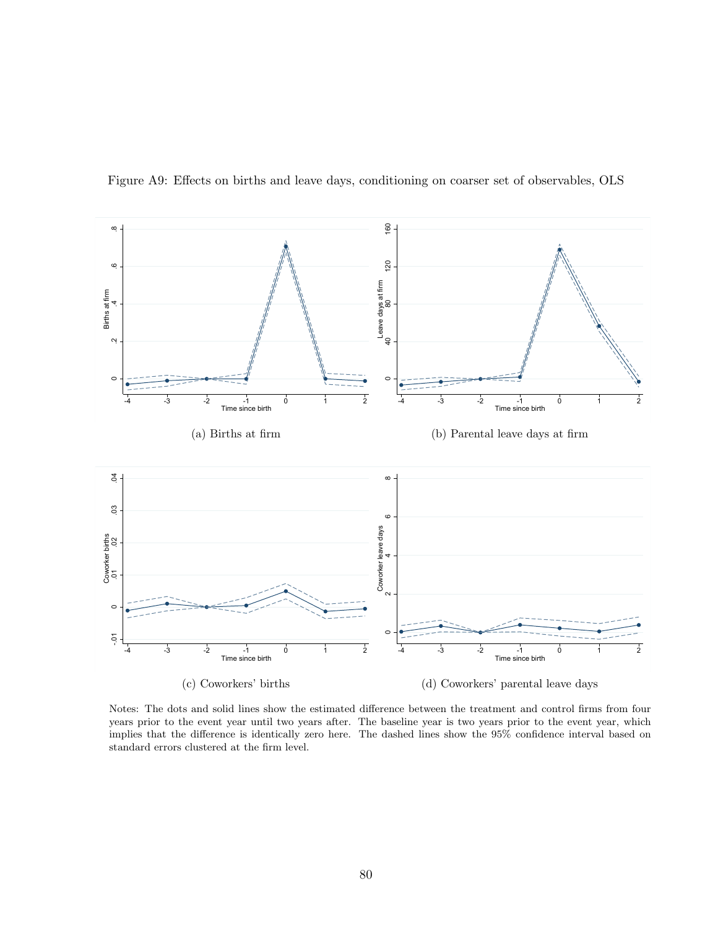

<span id="page-79-0"></span>Figure A9: Effects on births and leave days, conditioning on coarser set of observables, OLS

Notes: The dots and solid lines show the estimated difference between the treatment and control firms from four years prior to the event year until two years after. The baseline year is two years prior to the event year, which implies that the difference is identically zero here. The dashed lines show the 95% confidence interval based on standard errors clustered at the firm level.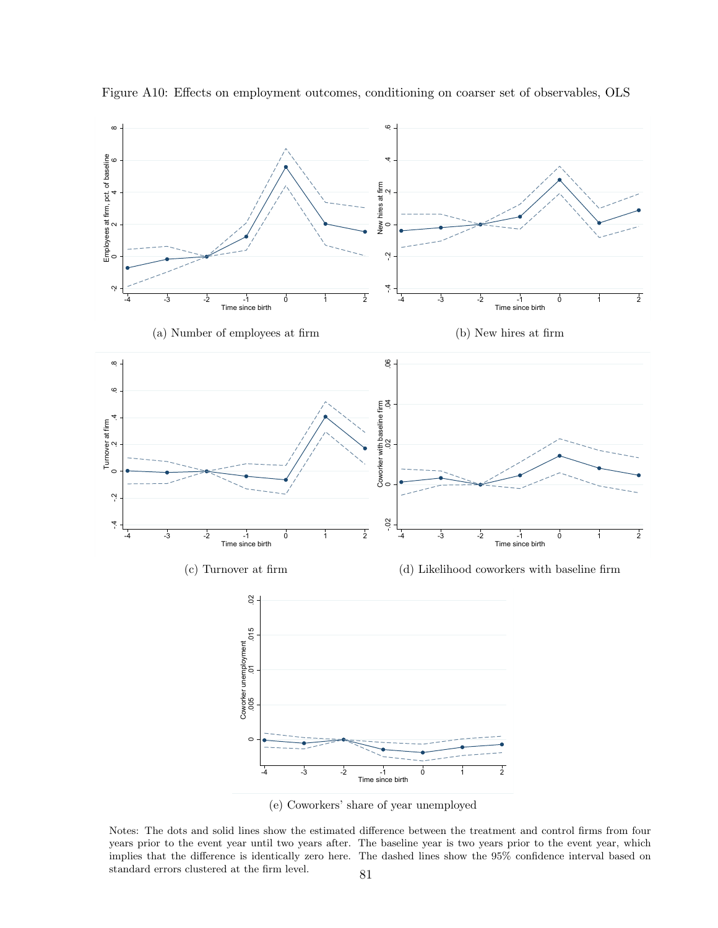

Figure A10: Effects on employment outcomes, conditioning on coarser set of observables, OLS

(e) Coworkers' share of year unemployed

Notes: The dots and solid lines show the estimated difference between the treatment and control firms from four years prior to the event year until two years after. The baseline year is two years prior to the event year, which implies that the difference is identically zero here. The dashed lines show the 95% confidence interval based on standard errors clustered at the firm level.  $\qquad \qquad 81$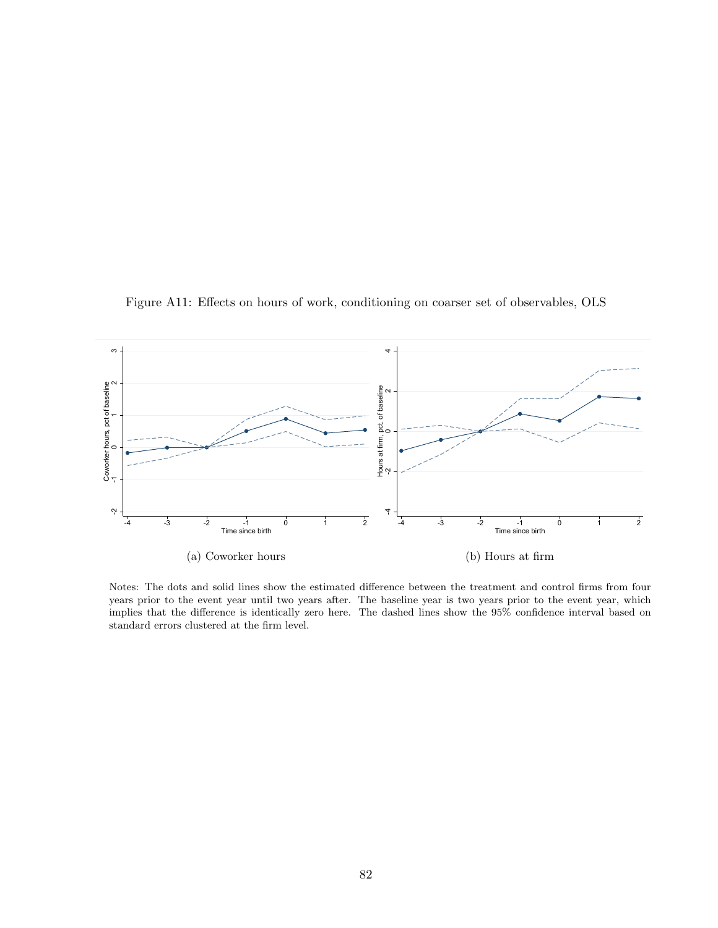Figure A11: Effects on hours of work, conditioning on coarser set of observables, OLS



Notes: The dots and solid lines show the estimated difference between the treatment and control firms from four years prior to the event year until two years after. The baseline year is two years prior to the event year, which implies that the difference is identically zero here. The dashed lines show the 95% confidence interval based on standard errors clustered at the firm level.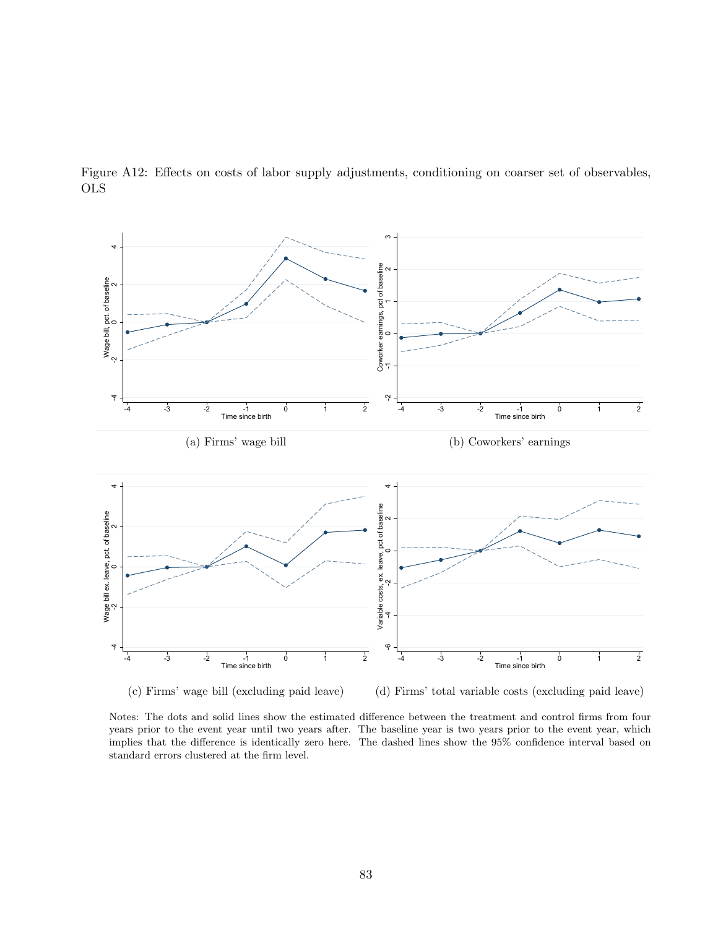

Figure A12: Effects on costs of labor supply adjustments, conditioning on coarser set of observables, OLS

(d) Firms' total variable costs (excluding paid leave)

Notes: The dots and solid lines show the estimated difference between the treatment and control firms from four years prior to the event year until two years after. The baseline year is two years prior to the event year, which implies that the difference is identically zero here. The dashed lines show the 95% confidence interval based on standard errors clustered at the firm level.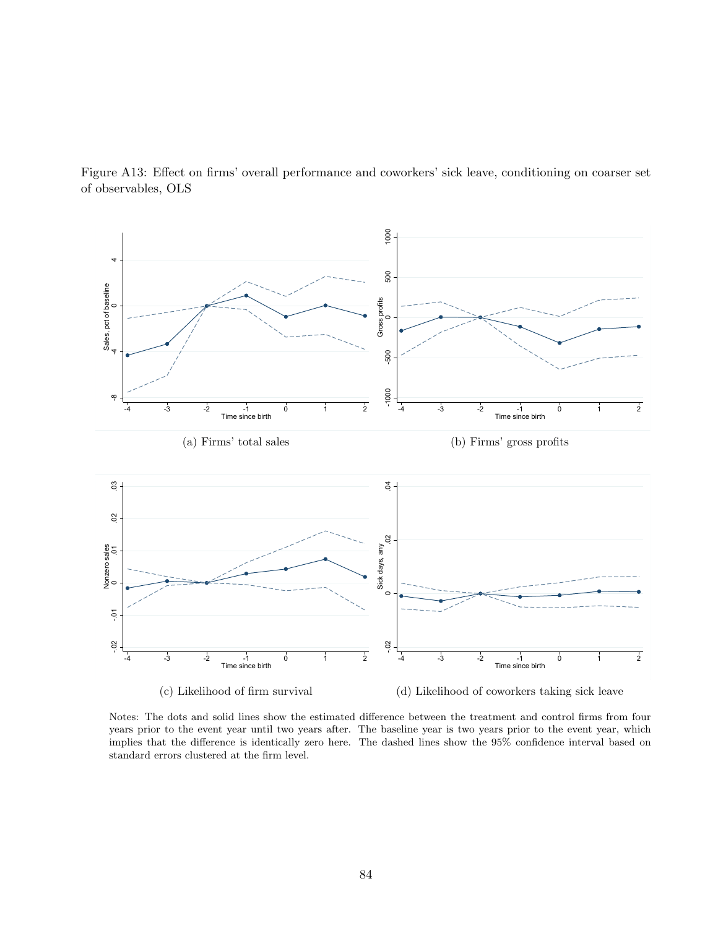

<span id="page-83-0"></span>Figure A13: Effect on firms' overall performance and coworkers' sick leave, conditioning on coarser set of observables, OLS

Notes: The dots and solid lines show the estimated difference between the treatment and control firms from four years prior to the event year until two years after. The baseline year is two years prior to the event year, which implies that the difference is identically zero here. The dashed lines show the 95% confidence interval based on standard errors clustered at the firm level.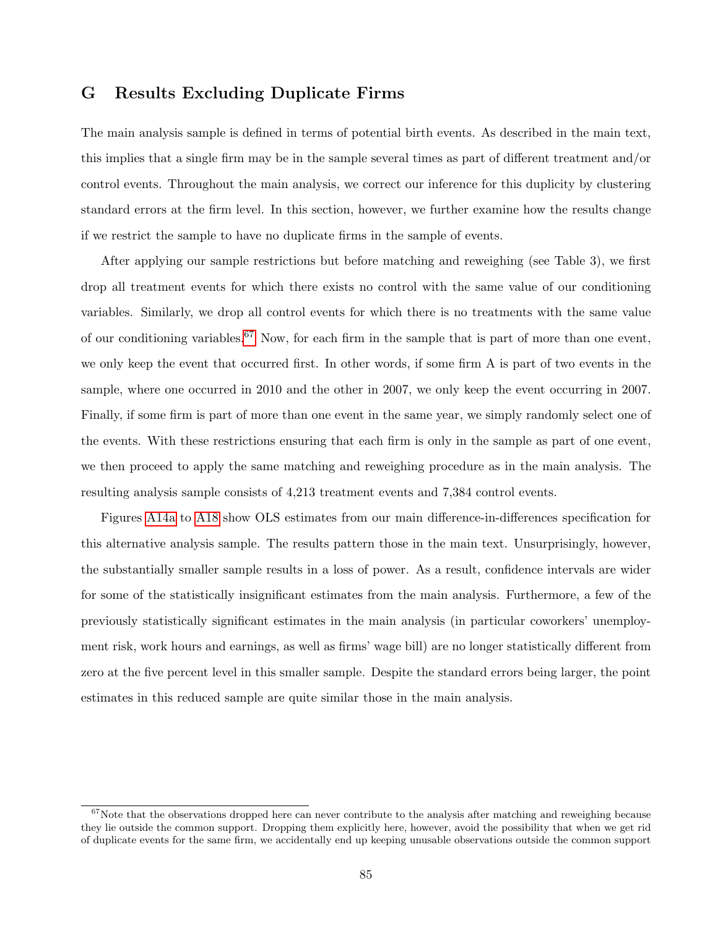## G Results Excluding Duplicate Firms

The main analysis sample is defined in terms of potential birth events. As described in the main text, this implies that a single firm may be in the sample several times as part of different treatment and/or control events. Throughout the main analysis, we correct our inference for this duplicity by clustering standard errors at the firm level. In this section, however, we further examine how the results change if we restrict the sample to have no duplicate firms in the sample of events.

After applying our sample restrictions but before matching and reweighing (see Table 3), we first drop all treatment events for which there exists no control with the same value of our conditioning variables. Similarly, we drop all control events for which there is no treatments with the same value of our conditioning variables.<sup>[67](#page-0-0)</sup> Now, for each firm in the sample that is part of more than one event, we only keep the event that occurred first. In other words, if some firm A is part of two events in the sample, where one occurred in 2010 and the other in 2007, we only keep the event occurring in 2007. Finally, if some firm is part of more than one event in the same year, we simply randomly select one of the events. With these restrictions ensuring that each firm is only in the sample as part of one event, we then proceed to apply the same matching and reweighing procedure as in the main analysis. The resulting analysis sample consists of 4,213 treatment events and 7,384 control events.

Figures [A14a](#page-85-0) to [A18](#page-89-0) show OLS estimates from our main difference-in-differences specification for this alternative analysis sample. The results pattern those in the main text. Unsurprisingly, however, the substantially smaller sample results in a loss of power. As a result, confidence intervals are wider for some of the statistically insignificant estimates from the main analysis. Furthermore, a few of the previously statistically significant estimates in the main analysis (in particular coworkers' unemployment risk, work hours and earnings, as well as firms' wage bill) are no longer statistically different from zero at the five percent level in this smaller sample. Despite the standard errors being larger, the point estimates in this reduced sample are quite similar those in the main analysis.

 $67$ Note that the observations dropped here can never contribute to the analysis after matching and reweighing because they lie outside the common support. Dropping them explicitly here, however, avoid the possibility that when we get rid of duplicate events for the same firm, we accidentally end up keeping unusable observations outside the common support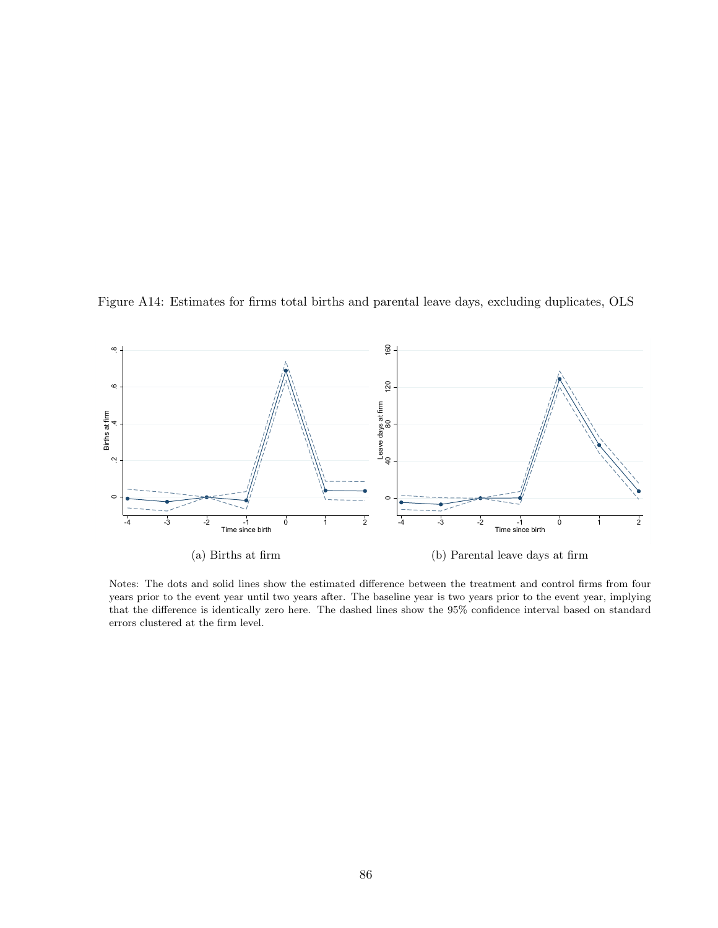<span id="page-85-0"></span>



Notes: The dots and solid lines show the estimated difference between the treatment and control firms from four years prior to the event year until two years after. The baseline year is two years prior to the event year, implying that the difference is identically zero here. The dashed lines show the 95% confidence interval based on standard errors clustered at the firm level.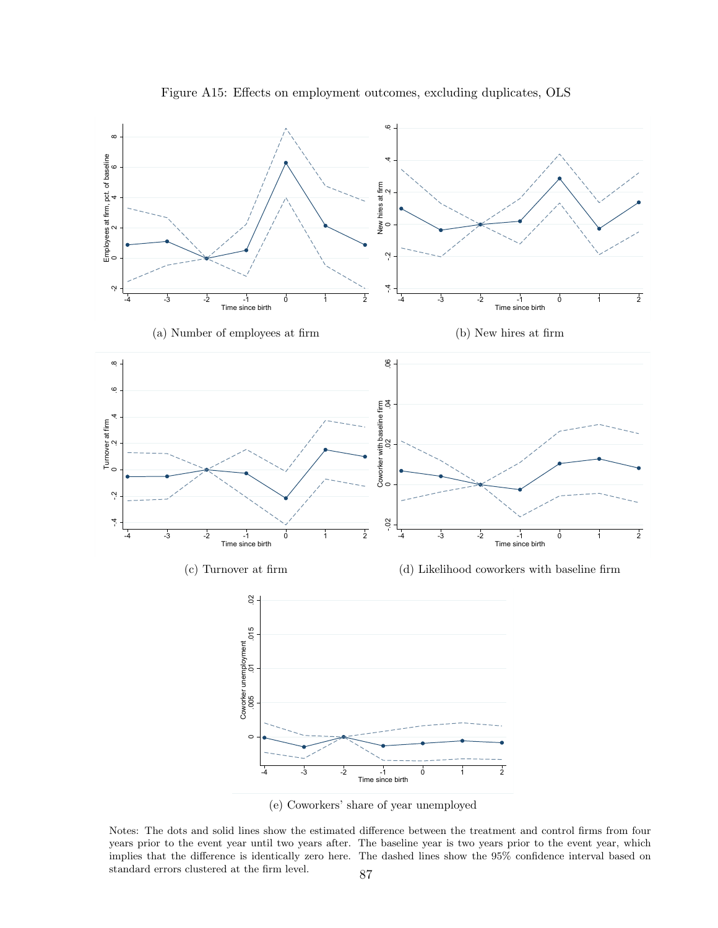

Figure A15: Effects on employment outcomes, excluding duplicates, OLS

(e) Coworkers' share of year unemployed

Notes: The dots and solid lines show the estimated difference between the treatment and control firms from four years prior to the event year until two years after. The baseline year is two years prior to the event year, which implies that the difference is identically zero here. The dashed lines show the 95% confidence interval based on standard errors clustered at the firm level.  $\qquad \qquad 87$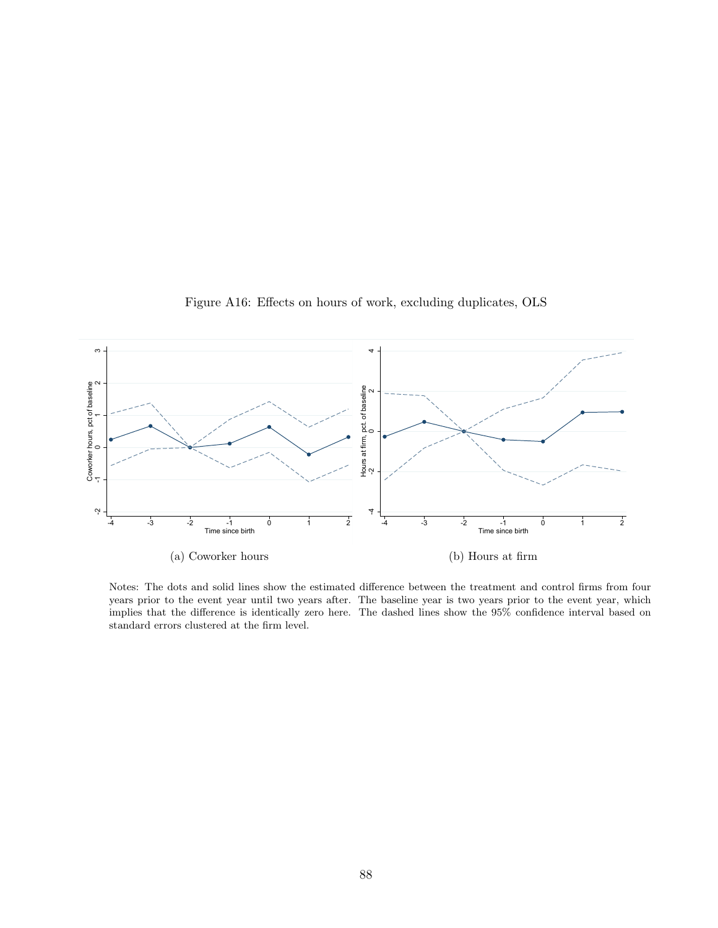

Figure A16: Effects on hours of work, excluding duplicates, OLS

Notes: The dots and solid lines show the estimated difference between the treatment and control firms from four years prior to the event year until two years after. The baseline year is two years prior to the event year, which implies that the difference is identically zero here. The dashed lines show the 95% confidence interval based on standard errors clustered at the firm level.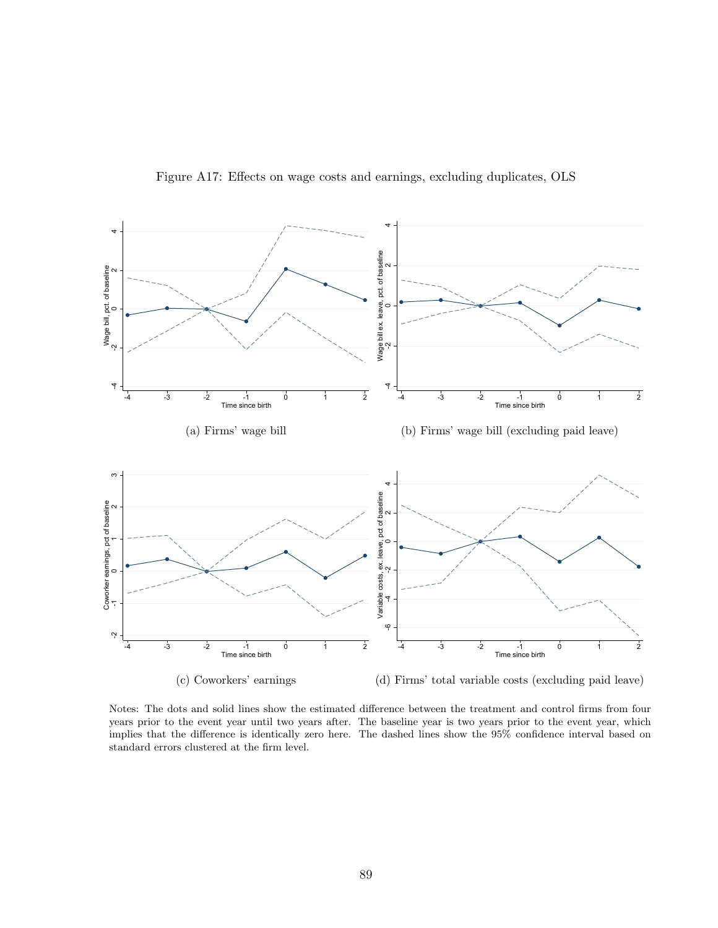

Figure A17: Effects on wage costs and earnings, excluding duplicates, OLS

Notes: The dots and solid lines show the estimated difference between the treatment and control firms from four years prior to the event year until two years after. The baseline year is two years prior to the event year, which implies that the difference is identically zero here. The dashed lines show the 95% confidence interval based on standard errors clustered at the firm level.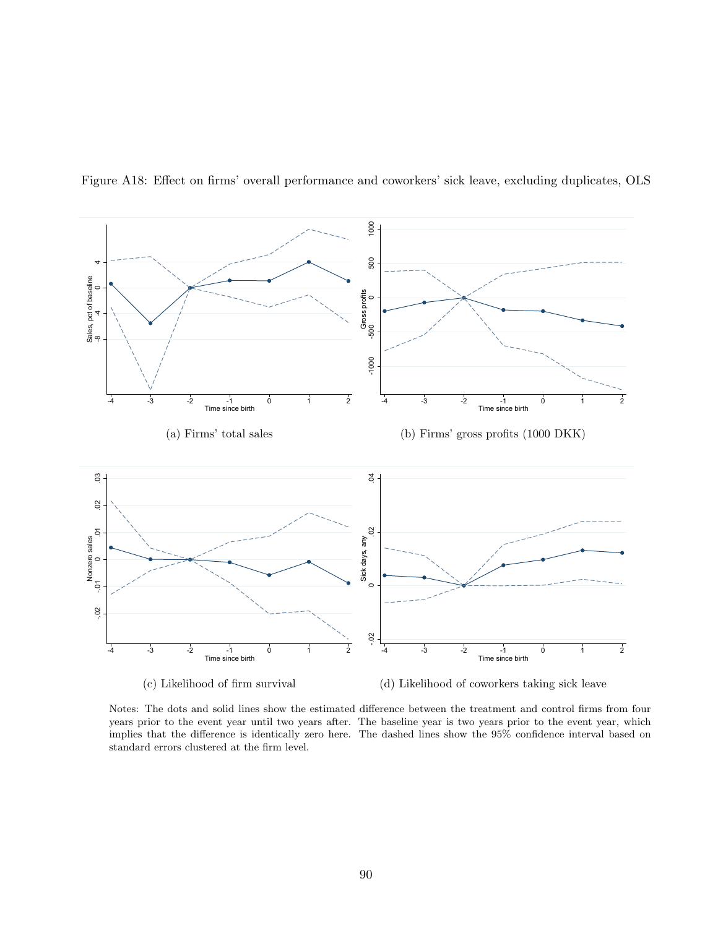

<span id="page-89-0"></span>Figure A18: Effect on firms' overall performance and coworkers' sick leave, excluding duplicates, OLS

Notes: The dots and solid lines show the estimated difference between the treatment and control firms from four years prior to the event year until two years after. The baseline year is two years prior to the event year, which implies that the difference is identically zero here. The dashed lines show the 95% confidence interval based on standard errors clustered at the firm level.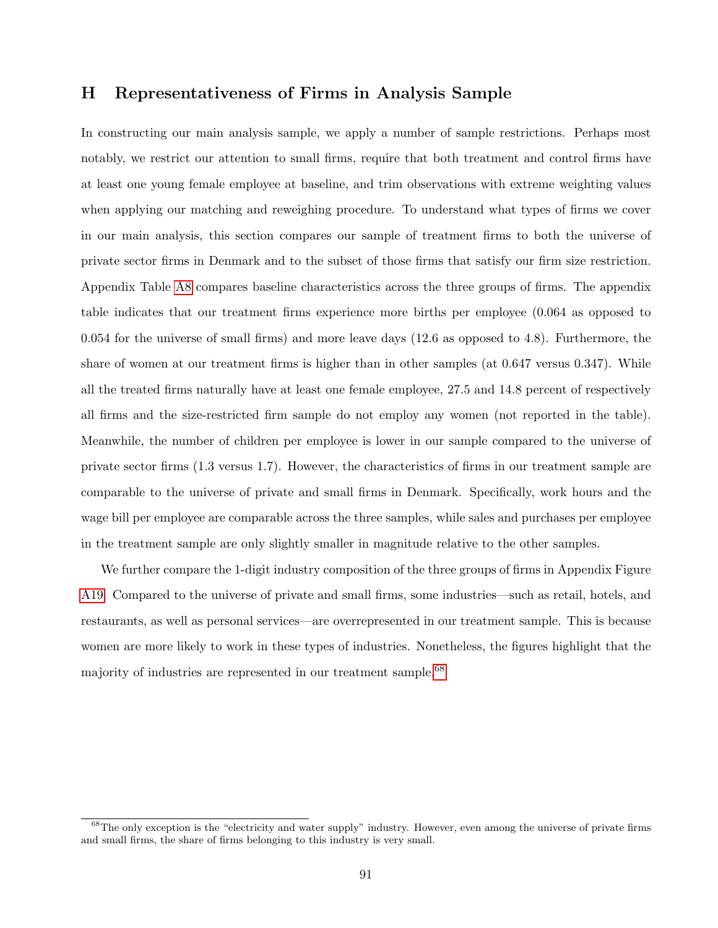### H Representativeness of Firms in Analysis Sample

In constructing our main analysis sample, we apply a number of sample restrictions. Perhaps most notably, we restrict our attention to small firms, require that both treatment and control firms have at least one young female employee at baseline, and trim observations with extreme weighting values when applying our matching and reweighing procedure. To understand what types of firms we cover in our main analysis, this section compares our sample of treatment firms to both the universe of private sector firms in Denmark and to the subset of those firms that satisfy our firm size restriction. Appendix Table [A8](#page-91-0) compares baseline characteristics across the three groups of firms. The appendix table indicates that our treatment firms experience more births per employee (0.064 as opposed to 0.054 for the universe of small firms) and more leave days (12.6 as opposed to 4.8). Furthermore, the share of women at our treatment firms is higher than in other samples (at 0.647 versus 0.347). While all the treated firms naturally have at least one female employee, 27.5 and 14.8 percent of respectively all firms and the size-restricted firm sample do not employ any women (not reported in the table). Meanwhile, the number of children per employee is lower in our sample compared to the universe of private sector firms (1.3 versus 1.7). However, the characteristics of firms in our treatment sample are comparable to the universe of private and small firms in Denmark. Specifically, work hours and the wage bill per employee are comparable across the three samples, while sales and purchases per employee in the treatment sample are only slightly smaller in magnitude relative to the other samples.

We further compare the 1-digit industry composition of the three groups of firms in Appendix Figure [A19.](#page-92-0) Compared to the universe of private and small firms, some industries—such as retail, hotels, and restaurants, as well as personal services—are overrepresented in our treatment sample. This is because women are more likely to work in these types of industries. Nonetheless, the figures highlight that the majority of industries are represented in our treatment sample.<sup>[68](#page-0-0)</sup>

<sup>&</sup>lt;sup>68</sup>The only exception is the "electricity and water supply" industry. However, even among the universe of private firms and small firms, the share of firms belonging to this industry is very small.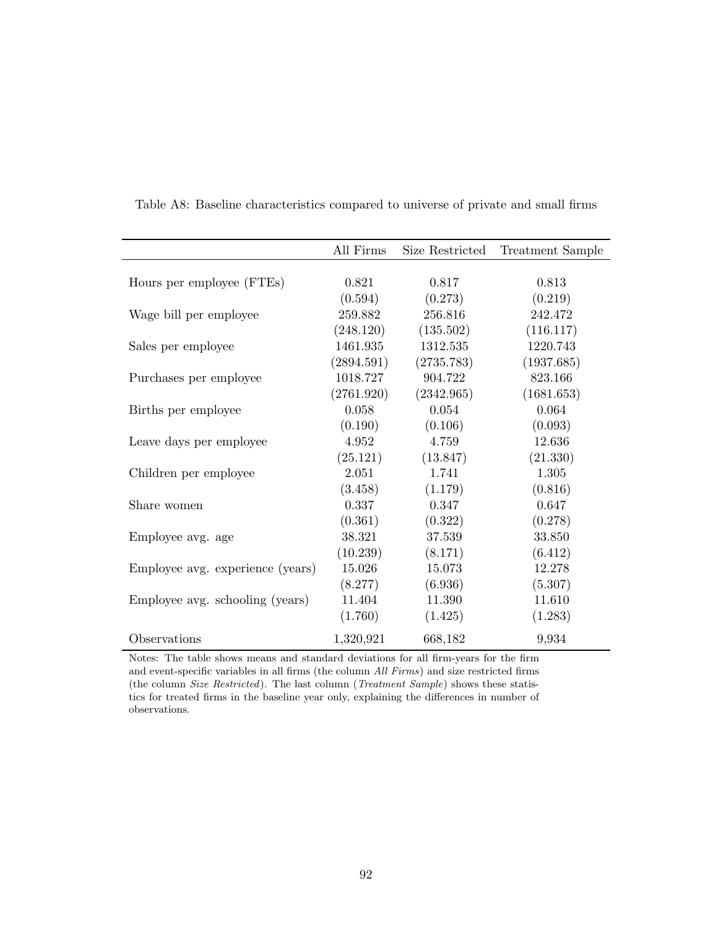|                                  | All Firms  | Size Restricted | <b>Treatment Sample</b> |
|----------------------------------|------------|-----------------|-------------------------|
|                                  |            |                 |                         |
| Hours per employee (FTEs)        | 0.821      | 0.817           | 0.813                   |
|                                  | (0.594)    | (0.273)         | (0.219)                 |
| Wage bill per employee           | 259.882    | 256.816         | 242.472                 |
|                                  | (248.120)  | (135.502)       | (116.117)               |
| Sales per employee               | 1461.935   | 1312.535        | 1220.743                |
|                                  | (2894.591) | (2735.783)      | (1937.685)              |
| Purchases per employee           | 1018.727   | 904.722         | 823.166                 |
|                                  | (2761.920) | (2342.965)      | (1681.653)              |
| Births per employee              | 0.058      | 0.054           | 0.064                   |
|                                  | (0.190)    | (0.106)         | (0.093)                 |
| Leave days per employee          | 4.952      | 4.759           | 12.636                  |
|                                  | (25.121)   | (13.847)        | (21.330)                |
| Children per employee            | 2.051      | 1.741           | 1.305                   |
|                                  | (3.458)    | (1.179)         | (0.816)                 |
| Share women                      | 0.337      | 0.347           | 0.647                   |
|                                  | (0.361)    | (0.322)         | (0.278)                 |
| Employee avg. age                | 38.321     | 37.539          | 33.850                  |
|                                  | (10.239)   | (8.171)         | (6.412)                 |
| Employee avg. experience (years) | 15.026     | 15.073          | 12.278                  |
|                                  | (8.277)    | (6.936)         | (5.307)                 |
| Employee avg. schooling (years)  | 11.404     | 11.390          | 11.610                  |
|                                  | (1.760)    | (1.425)         | (1.283)                 |
| Observations                     | 1,320,921  | 668,182         | 9,934                   |

<span id="page-91-0"></span>Table A8: Baseline characteristics compared to universe of private and small firms

Notes: The table shows means and standard deviations for all firm-years for the firm and event-specific variables in all firms (the column All Firms) and size restricted firms (the column Size Restricted). The last column (Treatment Sample) shows these statistics for treated firms in the baseline year only, explaining the differences in number of observations.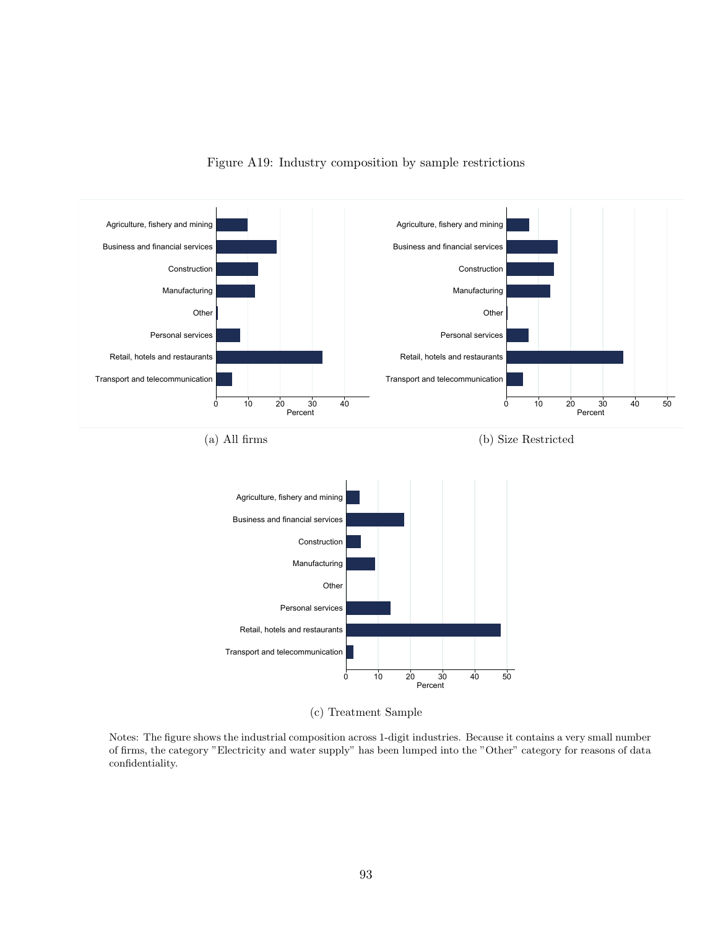<span id="page-92-0"></span>

Figure A19: Industry composition by sample restrictions

(c) Treatment Sample

Notes: The figure shows the industrial composition across 1-digit industries. Because it contains a very small number of firms, the category "Electricity and water supply" has been lumped into the "Other" category for reasons of data confidentiality.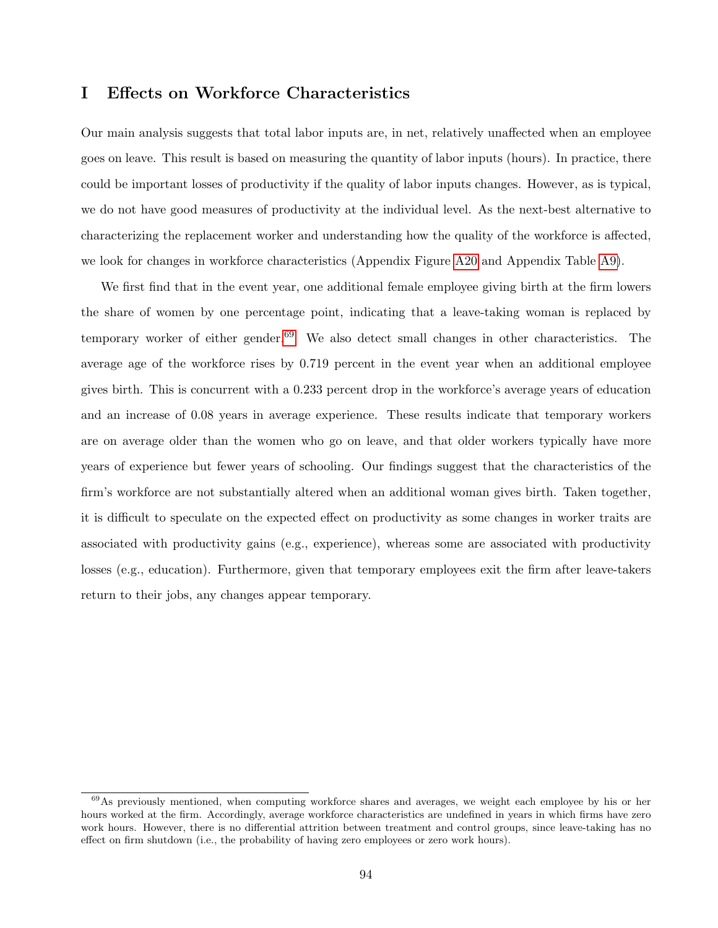# I Effects on Workforce Characteristics

Our main analysis suggests that total labor inputs are, in net, relatively unaffected when an employee goes on leave. This result is based on measuring the quantity of labor inputs (hours). In practice, there could be important losses of productivity if the quality of labor inputs changes. However, as is typical, we do not have good measures of productivity at the individual level. As the next-best alternative to characterizing the replacement worker and understanding how the quality of the workforce is affected, we look for changes in workforce characteristics (Appendix Figure [A20](#page-94-0) and Appendix Table [A9\)](#page-95-0).

We first find that in the event year, one additional female employee giving birth at the firm lowers the share of women by one percentage point, indicating that a leave-taking woman is replaced by temporary worker of either gender.<sup>[69](#page-0-0)</sup> We also detect small changes in other characteristics. The average age of the workforce rises by 0.719 percent in the event year when an additional employee gives birth. This is concurrent with a 0.233 percent drop in the workforce's average years of education and an increase of 0.08 years in average experience. These results indicate that temporary workers are on average older than the women who go on leave, and that older workers typically have more years of experience but fewer years of schooling. Our findings suggest that the characteristics of the firm's workforce are not substantially altered when an additional woman gives birth. Taken together, it is difficult to speculate on the expected effect on productivity as some changes in worker traits are associated with productivity gains (e.g., experience), whereas some are associated with productivity losses (e.g., education). Furthermore, given that temporary employees exit the firm after leave-takers return to their jobs, any changes appear temporary.

 $^{69}$ As previously mentioned, when computing workforce shares and averages, we weight each employee by his or her hours worked at the firm. Accordingly, average workforce characteristics are undefined in years in which firms have zero work hours. However, there is no differential attrition between treatment and control groups, since leave-taking has no effect on firm shutdown (i.e., the probability of having zero employees or zero work hours).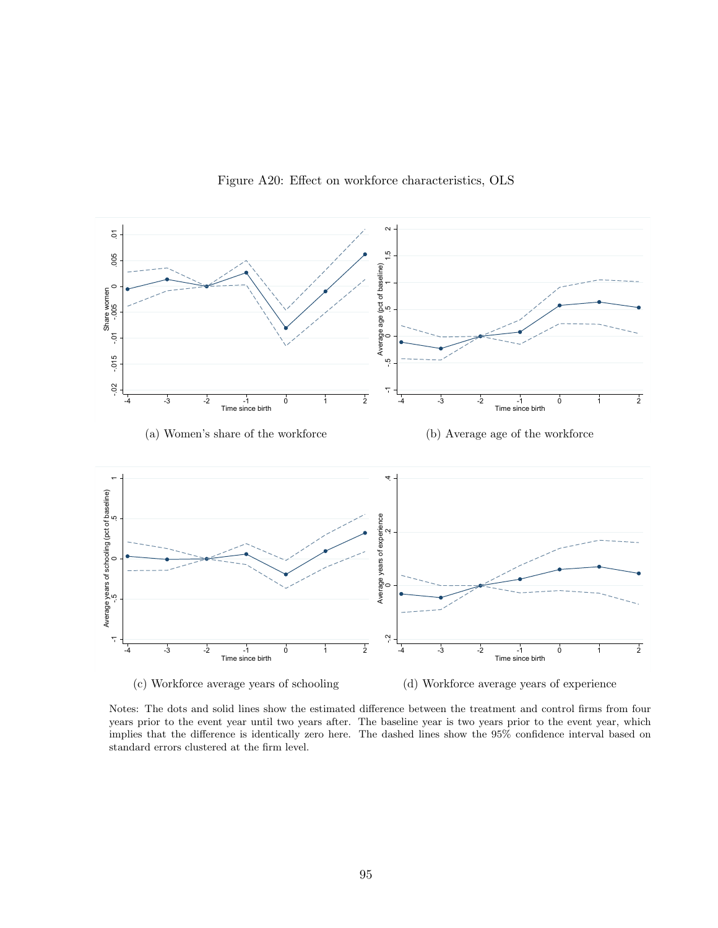<span id="page-94-0"></span>

Figure A20: Effect on workforce characteristics, OLS

Notes: The dots and solid lines show the estimated difference between the treatment and control firms from four years prior to the event year until two years after. The baseline year is two years prior to the event year, which implies that the difference is identically zero here. The dashed lines show the 95% confidence interval based on standard errors clustered at the firm level.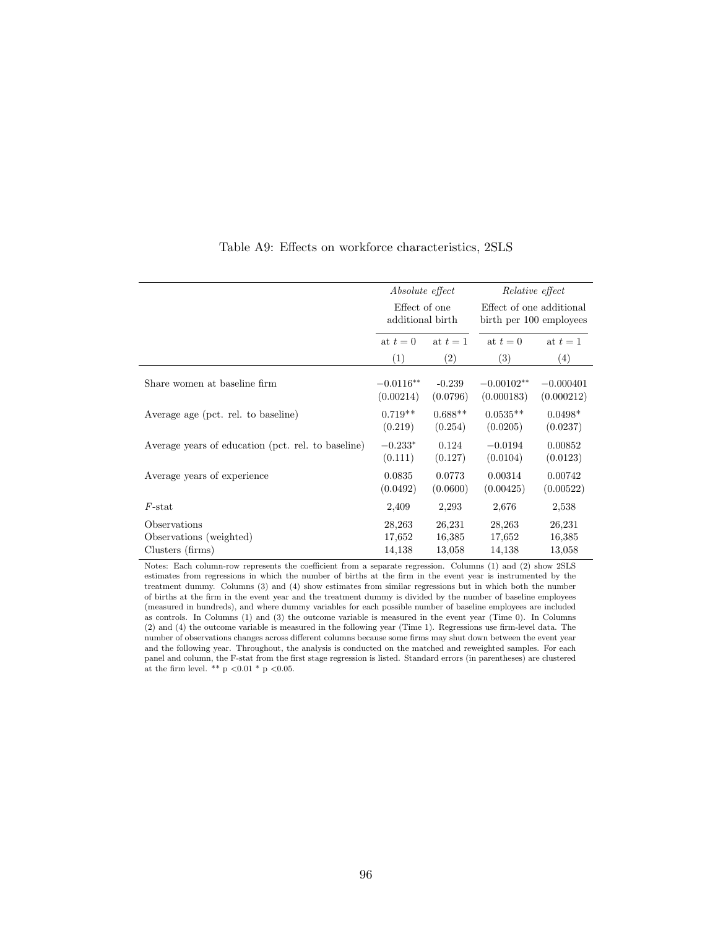<span id="page-95-0"></span>

|                                                    | Absolute effect<br>Effect of one<br>additional birth<br>at $t=1$<br>at $t=0$ |           | Relative effect                                     |             |
|----------------------------------------------------|------------------------------------------------------------------------------|-----------|-----------------------------------------------------|-------------|
|                                                    |                                                                              |           | Effect of one additional<br>birth per 100 employees |             |
|                                                    |                                                                              |           | at $t=0$                                            | at $t=1$    |
|                                                    | (1)                                                                          | (2)       | (3)                                                 | (4)         |
| Share women at baseline firm                       | $-0.0116**$                                                                  | $-0.239$  | $-0.00102**$                                        | $-0.000401$ |
|                                                    | (0.00214)                                                                    | (0.0796)  | (0.000183)                                          | (0.000212)  |
| Average age (pct. rel. to baseline)                | $0.719**$                                                                    | $0.688**$ | $0.0535**$                                          | $0.0498*$   |
|                                                    | (0.219)                                                                      | (0.254)   | (0.0205)                                            | (0.0237)    |
| Average years of education (pct. rel. to baseline) | $-0.233*$                                                                    | 0.124     | $-0.0194$                                           | 0.00852     |
|                                                    | (0.111)                                                                      | (0.127)   | (0.0104)                                            | (0.0123)    |
| Average years of experience                        | 0.0835                                                                       | 0.0773    | 0.00314                                             | 0.00742     |
|                                                    | (0.0492)                                                                     | (0.0600)  | (0.00425)                                           | (0.00522)   |
| $F$ -stat                                          | 2,409                                                                        | 2,293     | 2,676                                               | 2,538       |
| Observations                                       | 28,263                                                                       | 26,231    | 28,263                                              | 26,231      |
| Observations (weighted)                            | 17,652                                                                       | 16,385    | 17,652                                              | 16,385      |
| Clusters (firms)                                   | 14,138                                                                       | 13,058    | 14,138                                              | 13,058      |

#### Table A9: Effects on workforce characteristics, 2SLS

Notes: Each column-row represents the coefficient from a separate regression. Columns (1) and (2) show 2SLS estimates from regressions in which the number of births at the firm in the event year is instrumented by the treatment dummy. Columns (3) and (4) show estimates from similar regressions but in which both the number of births at the firm in the event year and the treatment dummy is divided by the number of baseline employees (measured in hundreds), and where dummy variables for each possible number of baseline employees are included as controls. In Columns (1) and (3) the outcome variable is measured in the event year (Time 0). In Columns (2) and (4) the outcome variable is measured in the following year (Time 1). Regressions use firm-level data. The number of observations changes across different columns because some firms may shut down between the event year and the following year. Throughout, the analysis is conducted on the matched and reweighted samples. For each panel and column, the F-stat from the first stage regression is listed. Standard errors (in parentheses) are clustered at the firm level. \*\* p <0.01 \* p <0.05.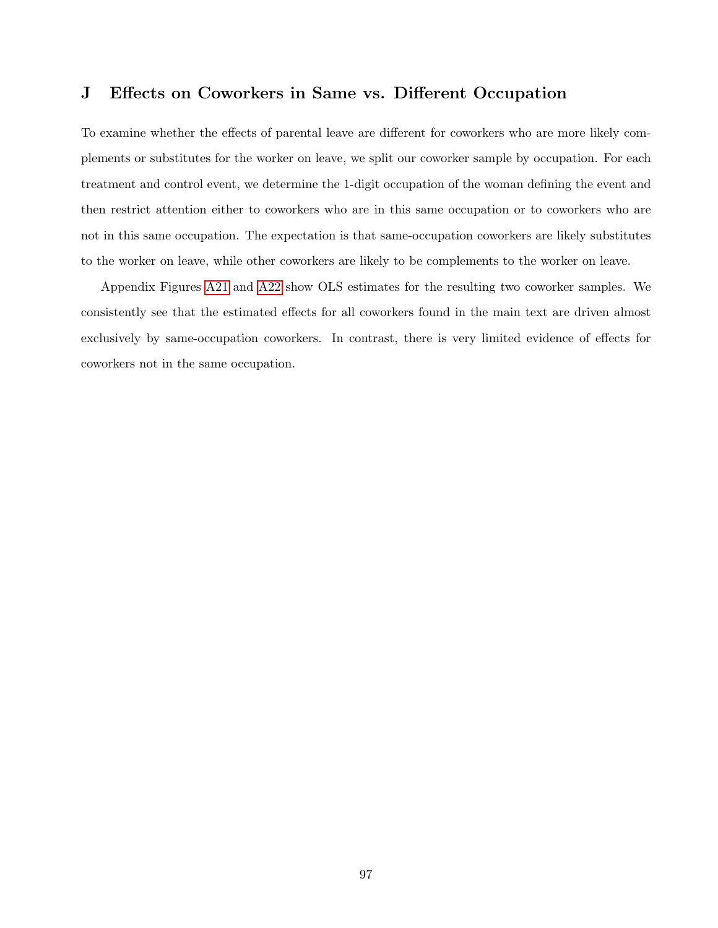# J Effects on Coworkers in Same vs. Different Occupation

To examine whether the effects of parental leave are different for coworkers who are more likely complements or substitutes for the worker on leave, we split our coworker sample by occupation. For each treatment and control event, we determine the 1-digit occupation of the woman defining the event and then restrict attention either to coworkers who are in this same occupation or to coworkers who are not in this same occupation. The expectation is that same-occupation coworkers are likely substitutes to the worker on leave, while other coworkers are likely to be complements to the worker on leave.

Appendix Figures [A21](#page-97-0) and [A22](#page-98-0) show OLS estimates for the resulting two coworker samples. We consistently see that the estimated effects for all coworkers found in the main text are driven almost exclusively by same-occupation coworkers. In contrast, there is very limited evidence of effects for coworkers not in the same occupation.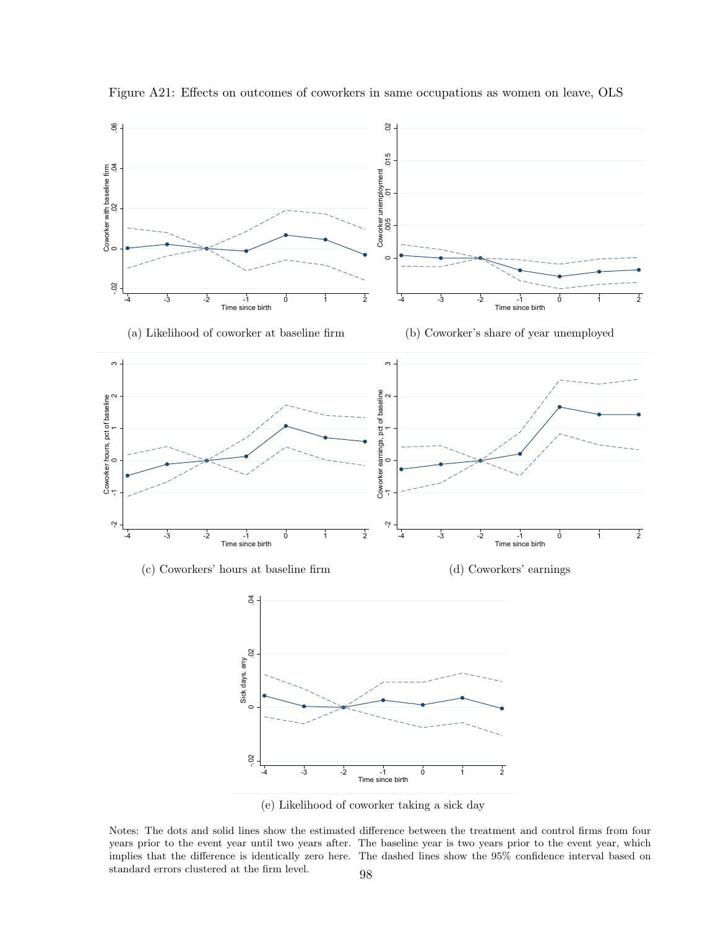<span id="page-97-0"></span>

Figure A21: Effects on outcomes of coworkers in same occupations as women on leave, OLS

(e) Likelihood of coworker taking a sick day

Notes: The dots and solid lines show the estimated difference between the treatment and control firms from four years prior to the event year until two years after. The baseline year is two years prior to the event year, which implies that the difference is identically zero here. The dashed lines show the 95% confidence interval based on standard errors clustered at the firm level. 98